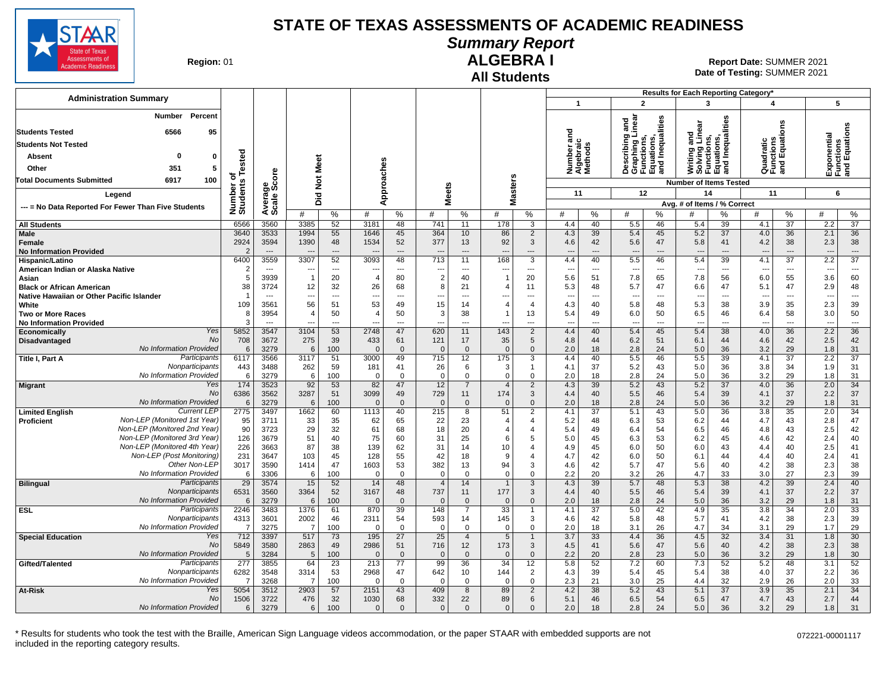

**Summary Report**

**Region: 01** 

# **All Students**

**ALGEBRA I** 01 **Report Date:** SUMMER 2021 **Date of Testing:**  SUMMER 2021

|                                                              |                              |                          |                         |                                |                 |                      |                                            |                                   |                         |                      |                                    |                 |                                 |                                                              |                                                                       |                                | Results for Each Reporting Category* |                 |                          |                                           |
|--------------------------------------------------------------|------------------------------|--------------------------|-------------------------|--------------------------------|-----------------|----------------------|--------------------------------------------|-----------------------------------|-------------------------|----------------------|------------------------------------|-----------------|---------------------------------|--------------------------------------------------------------|-----------------------------------------------------------------------|--------------------------------|--------------------------------------|-----------------|--------------------------|-------------------------------------------|
| <b>Administration Summary</b>                                |                              |                          |                         |                                |                 |                      |                                            |                                   |                         |                      | $\mathbf{1}$                       |                 |                                 | $\overline{2}$                                               | 3                                                                     |                                | 4                                    |                 |                          | 5                                         |
| <b>Number</b><br>Percent                                     |                              |                          |                         |                                |                 |                      |                                            |                                   |                         |                      | ᇴ                                  |                 | inear<br>and                    | Inequalities                                                 | and<br>Linear                                                         | lities                         |                                      | δű              |                          | Exponential<br>Functions<br>and Equations |
| 6566<br>95<br><b>Students Tested</b>                         |                              |                          |                         |                                |                 |                      |                                            |                                   |                         |                      |                                    |                 |                                 | oraphing Line<br>  Functions,<br>  Equations,<br>  and Iner∵ |                                                                       |                                |                                      |                 |                          |                                           |
| <b>Students Not Tested</b>                                   |                              |                          |                         |                                |                 |                      |                                            |                                   |                         |                      | Number ano<br>Algebraic<br>Methods |                 |                                 |                                                              | Writing and<br>Solving Lin<br>Functions,<br>Equations,<br>and Inequal | Inequal                        | Quadratic<br>Functions<br>and Equati |                 |                          |                                           |
| $\mathbf{0}$<br>Absent<br>0                                  |                              |                          |                         |                                |                 |                      |                                            |                                   |                         |                      |                                    |                 |                                 |                                                              |                                                                       |                                |                                      |                 |                          |                                           |
| Other<br>351<br>5                                            |                              |                          | Meet                    |                                |                 |                      |                                            |                                   |                         |                      |                                    |                 |                                 |                                                              |                                                                       |                                |                                      |                 |                          |                                           |
| 6917<br>100<br>Total Documents Submitted                     |                              |                          |                         |                                |                 |                      |                                            |                                   |                         | s                    |                                    |                 |                                 |                                                              |                                                                       |                                |                                      |                 |                          |                                           |
|                                                              |                              |                          | $\frac{5}{2}$           |                                |                 | Approaches           |                                            |                                   |                         | aster:               |                                    |                 |                                 |                                                              | <b>Number of Items Tested</b>                                         |                                |                                      |                 |                          |                                           |
| Leaend                                                       |                              |                          | Did                     |                                |                 |                      |                                            | <b>Meets</b>                      |                         |                      | 11                                 |                 |                                 | 12                                                           | 14                                                                    |                                | 11                                   |                 |                          | 6                                         |
| --- = No Data Reported For Fewer Than Five Students          | Number of<br>Students Tested | Average<br>Scale Score   | #                       | %                              | #               | %                    | #                                          | %                                 | Σ<br>#                  | %                    | #                                  | %               | #                               | $\%$                                                         | Avg. # of Items / % Correct                                           | ℅                              | #                                    | %               | #                        | $\%$                                      |
| <b>All Students</b>                                          | 6566                         | 3560                     | 3385                    | 52                             | 3181            | 48                   | 741                                        | 11                                | 178                     | 3                    | 4.4                                | 40              | 5.5                             | 46                                                           | 5.4                                                                   | 39                             | 4.1                                  | 37              | 2.2                      | 37                                        |
| <b>Male</b>                                                  | 3640                         | 3533                     | 1994                    | 55                             | 1646            | 45                   | 364                                        | 10                                | 86                      | $\overline{2}$       | 4.3                                | 39              | 5.4                             | 45                                                           | 5.2                                                                   | 37                             | 4.0                                  | 36              | 2.1                      | 36                                        |
| Female                                                       | 2924                         | 3594                     | 1390                    | 48                             | 1534            | 52                   | 377                                        | 13                                | 92                      | 3                    | 4.6                                | 42              | 5.6                             | 47                                                           | 5.8                                                                   | 41                             | 4.2                                  | 38              | 2.3                      | 38                                        |
| <b>No Information Provided</b>                               | $\mathcal{P}$                | $\overline{\phantom{a}}$ |                         | $---$                          |                 | $\overline{a}$       |                                            | $\overline{\phantom{a}}$          | $\overline{a}$          | ---                  | ---                                | ---             | $\overline{a}$                  | $\overline{\phantom{a}}$                                     |                                                                       | $---$                          | $\overline{\phantom{a}}$             | $---$           | $\overline{\phantom{a}}$ | $\cdots$                                  |
| Hispanic/Latino                                              | 6400                         | 3559                     | 3307                    | 52                             | 3093            | 48                   | $\overline{713}$                           | 11                                | 168                     | $\overline{3}$       | 4.4                                | 40              | 5.5                             | 46                                                           | 5.4                                                                   | 39                             | 4.1                                  | $\overline{37}$ | 2.2                      | $\overline{37}$                           |
| American Indian or Alaska Native                             | $\overline{2}$<br>5          | $\sim$<br>3939           | $\overline{1}$          | $\overline{\phantom{a}}$<br>20 | $\overline{4}$  | $\overline{a}$<br>80 | $\overline{\phantom{a}}$<br>$\overline{2}$ | $\overline{a}$<br>40              | ---                     | $\overline{a}$<br>20 | $\overline{\phantom{a}}$<br>5.6    | ---<br>51       | $\overline{\phantom{a}}$<br>7.8 | $\overline{\phantom{a}}$<br>65                               | $\overline{a}$<br>7.8                                                 | $\overline{\phantom{a}}$<br>56 | $\overline{\phantom{a}}$<br>6.0      | ---<br>55       | ---<br>3.6               | $\overline{\phantom{a}}$<br>60            |
| Asian<br><b>Black or African American</b>                    | 38                           | 3724                     | 12                      | 32                             | 26              | 68                   | 8                                          | 21                                |                         | 11                   | 5.3                                | 48              | 5.7                             | 47                                                           | 6.6                                                                   | 47                             | 5.1                                  | 47              | 2.9                      | 48                                        |
| Native Hawaiian or Other Pacific Islander                    | -1                           | $---$                    | ---                     | $\sim$                         | $---$           | $---$                | ---                                        | $---$                             | $\sim$                  | $---$                | $---$                              | ---             | $\overline{\phantom{a}}$        | $-$                                                          | $\sim$                                                                | $\sim$                         | $\sim$                               | $---$           | ---                      | $\sim$                                    |
| White                                                        | 109                          | 3561                     | 56                      | 51                             | 53              | 49                   | 15                                         | 14                                | $\overline{\mathbf{4}}$ | 4                    | 4.3                                | 40              | 5.8                             | 48                                                           | 5.3                                                                   | 38                             | 3.9                                  | 35              | 2.3                      | 39                                        |
| <b>Two or More Races</b>                                     | 8                            | 3954                     | $\overline{\mathbf{A}}$ | 50                             | $\overline{4}$  | 50                   | 3                                          | 38                                |                         | 13                   | 5.4                                | 49              | 6.0                             | 50                                                           | 6.5                                                                   | 46                             | 6.4                                  | 58              | 3.0                      | 50                                        |
| <b>No Information Provided</b>                               | 3                            | $\overline{a}$           |                         | $\overline{a}$                 |                 | $\overline{a}$       | $\overline{\phantom{a}}$                   | $\overline{\phantom{a}}$          |                         | $\overline{a}$       | $\overline{a}$                     | ---             | $\overline{a}$                  | $\overline{a}$                                               | $\overline{\phantom{a}}$                                              | $\sim$                         | $\sim$                               | $\overline{a}$  | $\overline{\phantom{a}}$ | $-$                                       |
| Yes<br>Economically                                          | 5852                         | 3547                     | 3104                    | 53                             | 2748            | 47                   | 620                                        | 11                                | 143                     | $\overline{2}$       | 4.4                                | 40              | 5.4                             | 45                                                           | 5.4                                                                   | 38                             | 4.0                                  | 36              | 2.2                      | 36                                        |
| <b>No</b><br>Disadvantaged                                   | 708                          | 3672                     | 275                     | 39                             | 433             | 61                   | 121                                        | 17                                | 35                      | 5                    | 4.8                                | 44              | 6.2                             | 51                                                           | 6.1                                                                   | 44                             | 4.6                                  | 42              | 2.5                      | 42                                        |
| No Information Provided                                      | 6                            | 3279                     | $6\overline{6}$         | 100                            | $\Omega$        | $\mathbf{0}$         | $\Omega$                                   | $\Omega$                          | $\Omega$                | $\Omega$             | 2.0                                | 18              | 2.8                             | 24                                                           | 5.0                                                                   | 36                             | 3.2                                  | 29              | 1.8                      | 31                                        |
| Participants<br>Title I, Part A<br>Nonparticipants           | 6117                         | 3566                     | 3117                    | 51                             | 3000            | 49                   | 715                                        | 12                                | 175                     | 3                    | 4.4                                | 40<br>37        | 5.5                             | 46<br>43                                                     | 5.5                                                                   | 39<br>36                       | 4.1                                  | 37              | 2.2                      | $\overline{37}$<br>31                     |
| No Information Provided                                      | 443<br>6                     | 3488<br>3279             | 262<br>6                | 59<br>100                      | 181<br>$\Omega$ | 41<br>$\mathbf 0$    | 26<br>$\Omega$                             | 6<br>$\mathbf 0$                  | 3<br>$\mathbf 0$        | 1<br>$\Omega$        | 4.1<br>2.0                         | 18              | 5.2<br>2.8                      | 24                                                           | 5.0<br>5.0                                                            | 36                             | 3.8<br>3.2                           | 34<br>29        | 1.9<br>1.8               | 31                                        |
| Yes<br><b>Migrant</b>                                        | 174                          | 3523                     | 92                      | 53                             | 82              | 47                   | 12                                         | $\overline{7}$                    | $\overline{4}$          | 2                    | 4.3                                | 39              | 5.2                             | 43                                                           | 5.2                                                                   | 37                             | 4.0                                  | 36              | 2.0                      | 34                                        |
| No                                                           | 6386                         | 3562                     | 3287                    | 51                             | 3099            | 49                   | 729                                        | 11                                | 174                     | 3                    | 4.4                                | 40              | 5.5                             | 46                                                           | 5.4                                                                   | 39                             | 4.1                                  | 37              | 2.2                      | 37                                        |
| No Information Provided                                      | 6                            | 3279                     | 6                       | 100                            | $\Omega$        | $\mathbf 0$          | $\Omega$                                   | $\mathbf 0$                       | $\overline{0}$          | $\Omega$             | 2.0                                | 18              | 2.8                             | 24                                                           | 5.0                                                                   | 36                             | 3.2                                  | 29              | 1.8                      | 31                                        |
| <b>Current LEP</b><br><b>Limited English</b>                 | 2775                         | 3497                     | 1662                    | 60                             | 1113            | 40                   | 215                                        | 8                                 | 51                      | $\overline{2}$       | 4.1                                | $\overline{37}$ | 5.1                             | 43                                                           | 5.0                                                                   | 36                             | 3.8                                  | 35              | 2.0                      | $\overline{34}$                           |
| Non-LEP (Monitored 1st Year)<br>Proficient                   | 95                           | 3711                     | 33                      | 35                             | 62              | 65                   | 22                                         | 23                                | $\overline{\mathbf{4}}$ | 4                    | 5.2                                | 48              | 6.3                             | 53                                                           | 6.2                                                                   | 44                             | 4.7                                  | 43              | 2.8                      | 47                                        |
| Non-LEP (Monitored 2nd Year)<br>Non-LEP (Monitored 3rd Year) | 90                           | 3723                     | 29                      | 32                             | 61              | 68                   | 18                                         | 20                                | $\overline{\mathbf{4}}$ | 4                    | 5.4                                | 49              | 6.4                             | 54                                                           | 6.5                                                                   | 46                             | 4.8                                  | 43              | 2.5                      | 42                                        |
| Non-LEP (Monitored 4th Year)                                 | 126                          | 3679                     | 51                      | 40                             | 75              | 60                   | 31                                         | 25                                | 6                       | 5                    | 5.0                                | 45              | 6.3                             | 53                                                           | 6.2                                                                   | 45                             | 4.6                                  | 42              | 2.4                      | 40                                        |
| Non-LEP (Post Monitoring)                                    | 226<br>231                   | 3663<br>3647             | 87<br>103               | 38<br>45                       | 139<br>128      | 62<br>55             | 31<br>42                                   | 14<br>18                          | 10<br>9                 | $\overline{4}$<br>4  | 4.9<br>4.7                         | 45<br>42        | 6.0<br>6.0                      | 50<br>50                                                     | 6.0<br>6.1                                                            | 43<br>44                       | 4.4<br>4.4                           | 40<br>40        | 2.5<br>2.4               | 41<br>41                                  |
| Other Non-LEP                                                | 3017                         | 3590                     | 1414                    | 47                             | 1603            | 53                   | 382                                        | 13                                | 94                      | 3                    | 4.6                                | 42              | 5.7                             | 47                                                           | 5.6                                                                   | 40                             | 4.2                                  | 38              | 2.3                      | 38                                        |
| No Information Provided                                      | 6                            | 3306                     | 6                       | 100                            | $\Omega$        | $\mathbf 0$          | $\Omega$                                   | $\Omega$                          | $\Omega$                | $\Omega$             | 2.2                                | 20              | 3.2                             | 26                                                           | 4.7                                                                   | 33                             | 3.0                                  | 27              | 2.3                      | 39                                        |
| Participants<br><b>Bilingual</b>                             | 29                           | 3574                     | 15                      | 52                             | 14              | 48                   | $\overline{4}$                             | 14                                | $\mathbf{1}$            | 3                    | 4.3                                | 39              | 5.7                             | 48                                                           | 5.3                                                                   | 38                             | 4.2                                  | 39              | 2.4                      | 40                                        |
| Nonparticipants                                              | 6531                         | 3560                     | 3364                    | 52                             | 3167            | 48                   | 737                                        | 11                                | 177                     | 3                    | 4.4                                | 40              | 5.5                             | 46                                                           | 5.4                                                                   | 39                             | 4.1                                  | 37              | 2.2                      | 37                                        |
| No Information Provided                                      | 6                            | 3279                     | 6                       | 100                            | $\Omega$        | $\mathbf{0}$         | $\Omega$                                   | $\Omega$                          | $\Omega$                | $\Omega$             | 2.0                                | 18              | 2.8                             | 24                                                           | 5.0                                                                   | 36                             | 3.2                                  | 29              | 1.8                      | 31                                        |
| <b>ESL</b><br>Participants                                   | 2246                         | 3483                     | 1376                    | 61                             | 870             | 39                   | 148                                        | $\overline{7}$                    | 33                      | 1                    | 4.1                                | $\overline{37}$ | 5.0                             | 42                                                           | 4.9                                                                   | 35                             | 3.8                                  | 34              | 2.0                      | 33                                        |
| Nonparticipants                                              | 4313                         | 3601                     | 2002                    | 46                             | 2311            | 54                   | 593                                        | 14                                | 145                     | 3                    | 4.6                                | 42              | 5.8                             | 48                                                           | 5.7                                                                   | 41                             | 4.2                                  | 38              | 2.3                      | 39                                        |
| No Information Provided<br>Yes                               | -7                           | 3275                     | $\overline{7}$          | 100                            | $\Omega$        | $\mathbf 0$          | $\Omega$                                   | $\mathbf 0$                       | $\mathbf 0$             | $\Omega$             | 2.0                                | 18              | 3.1                             | 26                                                           | 4.7                                                                   | 34                             | 3.1                                  | 29              | 1.7                      | 29                                        |
| <b>Special Education</b><br><b>No</b>                        | 712<br>5849                  | 3397<br>3580             | 517<br>2863             | 73<br>49                       | 195<br>2986     | 27<br>51             | 25<br>716                                  | $\overline{4}$<br>12 <sup>2</sup> | 5<br>173                | $\mathbf{1}$<br>3    | 3.7<br>4.5                         | 33<br>41        | 4.4<br>5.6                      | 36<br>47                                                     | 4.5<br>5.6                                                            | 32<br>40                       | 3.4<br>4.2                           | 31<br>38        | 1.8<br>2.3               | 30<br>38                                  |
| No Information Provided                                      | 5                            | 3284                     | 5                       | 100                            | $\Omega$        | $\mathbf{0}$         | $\Omega$                                   | $\Omega$                          | $\Omega$                | $\Omega$             | 2.2                                | 20              | 2.8                             | 23                                                           | 5.0                                                                   | 36                             | 3.2                                  | 29              | 1.8                      | 30                                        |
| Participants<br>Gifted/Talented                              | 277                          | 3855                     | 64                      | $\overline{23}$                | 213             | $\overline{77}$      | 99                                         | $\overline{36}$                   | $\overline{34}$         | 12                   | 5.8                                | 52              | 7.2                             | 60                                                           | 7.3                                                                   | 52                             | 5.2                                  | 48              | 3.1                      | 52                                        |
| Nonparticipants                                              | 6282                         | 3548                     | 3314                    | 53                             | 2968            | 47                   | 642                                        | 10                                | 144                     | $\overline{2}$       | 4.3                                | 39              | 5.4                             | 45                                                           | 5.4                                                                   | 38                             | 4.0                                  | 37              | 2.2                      | 36                                        |
| No Information Provided                                      | -7                           | 3268                     | $\overline{7}$          | 100                            | $\Omega$        | $\mathbf 0$          | $\Omega$                                   | $\Omega$                          | $\Omega$                | $\Omega$             | 2.3                                | 21              | 3.0                             | 25                                                           | 4.4                                                                   | 32                             | 2.9                                  | 26              | 2.0                      | 33                                        |
| Yes<br>At-Risk                                               | 5054                         | 3512                     | 2903                    | 57                             | 2151            | 43                   | 409                                        | 8                                 | 89                      | $\overline{2}$       | 4.2                                | 38              | 5.2                             | 43                                                           | 5.1                                                                   | 37                             | 3.9                                  | 35              | 2.1                      | 34                                        |
| <b>No</b>                                                    | 1506                         | 3722                     | 476                     | 32                             | 1030            | 68                   | 332                                        | 22                                | 89                      | 6                    | 5.1                                | 46              | 6.5                             | 54                                                           | 6.5                                                                   | 47                             | 4.7                                  | 43              | 2.7                      | 44                                        |
| No Information Provided                                      | 6                            | 3279                     | 6                       | 100                            | $\mathbf{0}$    | $\Omega$             | $\mathbf{0}$                               | $\Omega$                          | $\Omega$                | $\Omega$             | 2.0                                | 18              | 2.8                             | 24                                                           | 5.0                                                                   | 36                             | 3.2                                  | 29              | 1.8                      | 31                                        |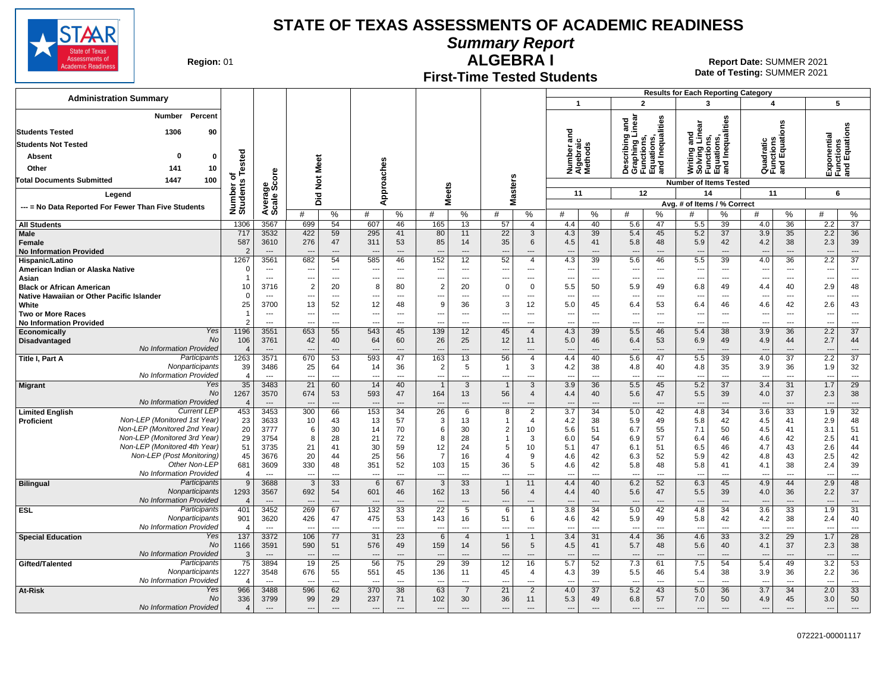

**Summary Report**

**Region: 01** 

#### **First-Time Tested Students ALGEBRA I** 01 **Report Date:** SUMMER 2021

**Date of Testing:**  SUMMER 2021

|                                                                                            |                                   |                                    |                       |                                            |                      |                                            |                                            |                                                      |                                      |                                            |                                    |                                |                                                                          |                                            | <b>Results for Each Reporting Category</b> |                                                                               |                                                      |                       |                                            |                                 |
|--------------------------------------------------------------------------------------------|-----------------------------------|------------------------------------|-----------------------|--------------------------------------------|----------------------|--------------------------------------------|--------------------------------------------|------------------------------------------------------|--------------------------------------|--------------------------------------------|------------------------------------|--------------------------------|--------------------------------------------------------------------------|--------------------------------------------|--------------------------------------------|-------------------------------------------------------------------------------|------------------------------------------------------|-----------------------|--------------------------------------------|---------------------------------|
| <b>Administration Summary</b>                                                              |                                   |                                    |                       |                                            |                      |                                            |                                            |                                                      |                                      |                                            | $\mathbf{1}$                       |                                | $\overline{2}$                                                           |                                            | $\overline{\mathbf{3}}$                    |                                                                               | 4                                                    |                       | 5                                          |                                 |
| Percent<br>Number                                                                          |                                   |                                    |                       |                                            |                      |                                            |                                            |                                                      |                                      |                                            |                                    |                                | and<br>inear                                                             |                                            |                                            | Writing and<br>Solving Linear<br>Functions,<br>Equations,<br>and Inequalities |                                                      |                       |                                            |                                 |
| <b>Students Tested</b><br>1306<br>90                                                       |                                   |                                    |                       |                                            |                      |                                            |                                            |                                                      |                                      |                                            |                                    |                                |                                                                          | Inequalities                               |                                            |                                                                               |                                                      | ons                   | Exponential<br>Functions<br>and Equations  |                                 |
| <b>Students Not Tested</b>                                                                 |                                   |                                    |                       |                                            |                      |                                            |                                            |                                                      |                                      |                                            | Number and<br>Algebraic<br>Methods |                                | Describing a<br>Graphing Lii<br>Functions,<br>Equations,<br>and Inequali |                                            |                                            |                                                                               | Quadratic<br>Functions<br>and Equati                 |                       |                                            |                                 |
| Absent<br>0<br>0                                                                           |                                   |                                    |                       |                                            |                      |                                            |                                            |                                                      |                                      |                                            |                                    |                                |                                                                          |                                            |                                            |                                                                               |                                                      |                       |                                            |                                 |
| Other<br>10<br>141                                                                         | Tested                            |                                    |                       |                                            |                      |                                            |                                            |                                                      |                                      |                                            |                                    |                                |                                                                          |                                            |                                            |                                                                               |                                                      |                       |                                            |                                 |
| <b>Total Documents Submitted</b><br>1447<br>100                                            | ъ                                 | Average<br>Scale Score             | <b>Not Meet</b>       |                                            |                      | Approaches                                 |                                            |                                                      |                                      |                                            |                                    |                                |                                                                          |                                            | <b>Number of Items Tested</b>              |                                                                               |                                                      |                       |                                            |                                 |
| Legend                                                                                     | Number of<br>Students             |                                    |                       |                                            |                      |                                            | <b>Meets</b>                               |                                                      | <b>Masters</b>                       |                                            | 11                                 |                                | 12                                                                       |                                            | 14                                         |                                                                               | 11                                                   |                       | 6                                          |                                 |
| --- = No Data Reported For Fewer Than Five Students                                        |                                   |                                    | Did                   |                                            |                      |                                            |                                            |                                                      |                                      |                                            |                                    |                                |                                                                          |                                            | Avg. # of Items / % Correct                |                                                                               |                                                      |                       |                                            |                                 |
|                                                                                            |                                   |                                    | #                     | %                                          | #                    | %                                          | #                                          | %                                                    | #                                    | %                                          | #                                  | %                              | #                                                                        | ℅                                          | #                                          | %                                                                             | #                                                    | %                     | #                                          | %                               |
| <b>All Students</b>                                                                        | 1306                              | 3567                               | 699                   | 54                                         | 607                  | 46                                         | 165                                        | 13                                                   | 57                                   | $\overline{4}$                             | 4.4                                | 40                             | 5.6                                                                      | 47                                         | 5.5                                        | 39                                                                            | 4.0                                                  | 36                    | 2.2                                        | $\overline{37}$                 |
| Male<br>Female<br><b>No Information Provided</b>                                           | 717<br>587<br>$\overline{2}$      | 3532<br>3610<br>$---$              | 422<br>276<br>---     | 59<br>47<br>$---$                          | 295<br>311<br>$\sim$ | 41<br>53<br>$---$                          | 80<br>85<br>$\overline{a}$                 | 11<br>14<br>$---$                                    | 22<br>35<br>$\overline{\phantom{a}}$ | 3<br>6<br>$---$                            | 4.3<br>4.5<br>$---$                | 39<br>41<br>$---$              | 5.4<br>5.8<br>$\overline{\phantom{a}}$                                   | 45<br>48<br>$---$                          | 5.2<br>5.9<br>$---$                        | 37<br>42<br>$---$                                                             | 3.9<br>4.2<br>$---$                                  | 35<br>38<br>$---$     | 2.2<br>2.3<br>$---$                        | 36<br>39<br>$---$               |
| Hispanic/Latino                                                                            | 1267                              | 3561                               | 682                   | 54                                         | 585                  | 46                                         | 152                                        | 12                                                   | 52                                   | $\overline{4}$                             | 4.3                                | 39                             | 5.6                                                                      | 46                                         | 5.5                                        | 39                                                                            | 4.0                                                  | 36                    | 2.2                                        | $\overline{37}$                 |
| American Indian or Alaska Native                                                           | O                                 | $---$                              | ---                   | $\sim$                                     | $\overline{a}$       | $---$                                      | $\overline{\phantom{a}}$                   | $\sim$                                               | $\sim$                               | $---$                                      | $\overline{a}$                     | $\overline{a}$                 | $\overline{\phantom{a}}$                                                 | $\sim$                                     | $\overline{\phantom{a}}$                   | $---$                                                                         | $\sim$                                               | $---$                 | $\overline{a}$                             | $\overline{\phantom{a}}$        |
| Asian<br><b>Black or African American</b>                                                  | 10                                | $\overline{a}$<br>3716             | ---<br>$\overline{2}$ | $\overline{\phantom{a}}$<br>20             | ---<br>8             | $---$<br>80                                | $\overline{\phantom{a}}$<br>$\overline{2}$ | $\overline{\phantom{a}}$<br>20                       | ---<br>$\mathbf 0$                   | ---<br>$\mathbf 0$                         | $\overline{a}$<br>5.5              | $\overline{\phantom{a}}$<br>50 | $\overline{\phantom{a}}$<br>5.9                                          | $\overline{\phantom{a}}$<br>49             | $\overline{\phantom{a}}$<br>6.8            | $\overline{\phantom{a}}$<br>49                                                | $\overline{\phantom{a}}$<br>4.4                      | ---<br>40             | $\overline{\phantom{a}}$<br>2.9            | $\ldots$<br>48                  |
| Native Hawaiian or Other Pacific Islander                                                  | $\Omega$                          | ---                                | ---                   | $\overline{\phantom{a}}$                   |                      | ---                                        | ---                                        | $\overline{\phantom{a}}$                             |                                      | $\overline{\phantom{a}}$                   | ---                                | $\overline{a}$                 | $\overline{\phantom{a}}$                                                 | ---                                        | $\overline{\phantom{a}}$                   | ---                                                                           | $\overline{\phantom{a}}$                             | ---                   | ---                                        | $\overline{\phantom{a}}$        |
| White                                                                                      | 25                                | 3700                               | 13                    | 52                                         | 12                   | 48                                         | 9                                          | 36                                                   | 3                                    | 12                                         | 5.0                                | 45                             | 6.4                                                                      | 53                                         | 6.4                                        | 46                                                                            | 4.6                                                  | 42                    | 2.6                                        | 43                              |
| <b>Two or More Races</b><br><b>No Information Provided</b>                                 | -1<br>$\mathcal{P}$               | $\overline{\phantom{a}}$<br>$\sim$ | ---<br>---            | $\overline{\phantom{a}}$<br>$\overline{a}$ | ---                  | $\overline{\phantom{a}}$<br>$\overline{a}$ | $\overline{\phantom{a}}$<br>$\overline{a}$ | $\overline{\phantom{a}}$<br>$\overline{\phantom{a}}$ | $\overline{a}$                       | $\overline{\phantom{a}}$<br>$\overline{a}$ | ---<br>$\overline{a}$              | $\cdots$<br>$\overline{a}$     | ---<br>$\overline{a}$                                                    | $\hspace{0.05cm} \ldots$<br>$\overline{a}$ | $\hspace{0.05cm} \cdots$<br>$\overline{a}$ | ---<br>---                                                                    | $\overline{\phantom{a}}$<br>$\overline{\phantom{a}}$ | ---<br>$\overline{a}$ | $\overline{\phantom{a}}$<br>$\overline{a}$ | ---<br>$\overline{\phantom{a}}$ |
| Yes<br>Economically                                                                        | 1196                              | 3551                               | 653                   | 55                                         | 543                  | 45                                         | 139                                        | 12                                                   | 45                                   | $\overline{4}$                             | 4.3                                | 39                             | 5.5                                                                      | 46                                         | 5.4                                        | $\overline{38}$                                                               | 3.9                                                  | 36                    | 2.2                                        | $\overline{37}$                 |
| No<br>Disadvantaged<br><b>No Information Provided</b>                                      | 106<br>$\overline{4}$             | 3761<br>$\overline{\phantom{a}}$   | 42<br>$\overline{a}$  | 40<br>$\overline{\phantom{a}}$             | 64                   | 60<br>$\overline{a}$                       | 26<br>$\overline{\phantom{a}}$             | 25<br>$\overline{\phantom{a}}$                       | 12                                   | 11                                         | 5.0<br>$\overline{a}$              | 46                             | 6.4<br>$\sim$                                                            | 53<br>---                                  | 6.9<br>$\overline{\phantom{a}}$            | 49<br>$\overline{\phantom{a}}$                                                | 4.9<br>$\overline{\phantom{a}}$                      | 44<br>---             | 2.7<br>$\overline{\phantom{a}}$            | 44<br>$\overline{\phantom{a}}$  |
| Participants<br>Title I, Part A                                                            | 1263                              | 3571                               | 670                   | 53                                         | 593                  | 47                                         | 163                                        | 13                                                   | 56                                   | $\overline{4}$                             | 4.4                                | 40                             | 5.6                                                                      | 47                                         | 5.5                                        | 39                                                                            | 4.0                                                  | 37                    | 2.2                                        | $\overline{37}$                 |
| Nonparticipants                                                                            | 39                                | 3486                               | 25                    | 64                                         | 14                   | 36                                         | $\overline{2}$                             | 5                                                    | $\overline{1}$                       | 3                                          | 4.2                                | 38                             | 4.8                                                                      | 40                                         | 4.8                                        | 35                                                                            | 3.9                                                  | 36                    | 1.9                                        | 32                              |
| No Information Provided<br>Yes<br>Migrant                                                  | $\overline{4}$<br>$\overline{35}$ | $\overline{a}$<br>3483             | ---<br>21             | $\overline{a}$<br>60                       | $\overline{a}$<br>14 | $\overline{a}$<br>40                       | ---<br>$\overline{1}$                      | $\sim$<br>3                                          | $\overline{a}$<br>$\overline{1}$     | ---<br>3                                   | $\overline{a}$<br>3.9              | $---$<br>36                    | $\overline{\phantom{a}}$<br>5.5                                          | $\overline{\phantom{a}}$<br>45             | $\overline{\phantom{a}}$<br>5.2            | $\overline{a}$<br>$\overline{37}$                                             | $\overline{\phantom{a}}$<br>3.4                      | $\overline{a}$<br>31  | $\overline{a}$<br>1.7                      | $\overline{\phantom{a}}$<br>29  |
| No                                                                                         | 1267                              | 3570                               | 674                   | 53                                         | 593                  | 47                                         | 164                                        | 13                                                   | 56                                   | $\overline{4}$                             | 4.4                                | 40                             | 5.6                                                                      | 47                                         | 5.5                                        | 39                                                                            | 4.0                                                  | 37                    | 2.3                                        | 38                              |
| No Information Provided                                                                    | $\overline{4}$                    | $\overline{a}$                     | ---                   | $\overline{\phantom{a}}$                   | $\overline{a}$       | $\overline{a}$                             | $\overline{\phantom{a}}$                   | $\overline{\phantom{a}}$                             | $\overline{\phantom{a}}$             | ---                                        | $\overline{a}$                     | $\overline{\phantom{a}}$       | $\sim$                                                                   | ---                                        | $\overline{\phantom{a}}$                   | $\overline{\phantom{a}}$                                                      | $\overline{\phantom{a}}$                             | $---$                 | $\overline{\phantom{a}}$                   | $\overline{\phantom{a}}$        |
| <b>Current LEP</b><br><b>Limited English</b><br>Non-LEP (Monitored 1st Year)<br>Proficient | 453<br>23                         | 3453<br>3633                       | 300<br>10             | 66<br>43                                   | 153<br>13            | 34<br>57                                   | $\overline{26}$<br>3                       | 6<br>13                                              | 8<br>$\mathbf{1}$                    | $\overline{2}$<br>$\overline{4}$           | 3.7<br>4.2                         | $\overline{34}$<br>38          | 5.0<br>5.9                                                               | 42<br>49                                   | 4.8<br>5.8                                 | $\overline{34}$<br>42                                                         | 3.6<br>4.5                                           | 33<br>41              | 1.9<br>2.9                                 | $\overline{32}$<br>48           |
| Non-LEP (Monitored 2nd Year)                                                               | 20                                | 3777                               | 6                     | 30                                         | 14                   | 70                                         | 6                                          | 30                                                   | $\overline{2}$                       | 10                                         | 5.6                                | 51                             | 6.7                                                                      | 55                                         | 7.1                                        | 50                                                                            | 4.5                                                  | 41                    | 3.1                                        | 51                              |
| Non-LEP (Monitored 3rd Year)<br>Non-LEP (Monitored 4th Year)                               | 29                                | 3754                               | 8                     | 28                                         | 21                   | 72                                         | 8                                          | 28                                                   | $\mathbf{1}$                         | 3                                          | 6.0                                | 54                             | 6.9                                                                      | 57                                         | 6.4                                        | 46                                                                            | 4.6                                                  | 42                    | 2.5                                        | 41                              |
| Non-LEP (Post Monitoring)                                                                  | 51<br>45                          | 3735<br>3676                       | 21<br>20              | 41<br>44                                   | 30<br>25             | 59<br>56                                   | 12<br>$\overline{7}$                       | 24<br>16                                             | 5<br>4                               | 10<br>9                                    | 5.1<br>4.6                         | 47<br>42                       | 6.1<br>6.3                                                               | 51<br>52                                   | 6.5<br>5.9                                 | 46<br>42                                                                      | 4.7<br>4.8                                           | 43<br>43              | 2.6<br>2.5                                 | 44<br>42                        |
| Other Non-LEP                                                                              | 681                               | 3609                               | 330                   | 48                                         | 351                  | 52                                         | 103                                        | 15                                                   | 36                                   | 5                                          | 4.6                                | 42                             | 5.8                                                                      | 48                                         | 5.8                                        | 41                                                                            | 4.1                                                  | 38                    | 2.4                                        | 39                              |
| No Information Provided<br>Participants                                                    | $\overline{4}$<br>9               | $\overline{a}$                     | --                    | $\overline{a}$                             |                      | $\overline{a}$                             | $\overline{\phantom{a}}$                   | $\overline{\phantom{a}}$                             | $\overline{\phantom{a}}$             | $\overline{a}$                             | $\overline{a}$                     | $\overline{a}$                 | $\sim$                                                                   | $\overline{\phantom{a}}$                   | $\overline{a}$                             | $\overline{a}$                                                                | $\overline{\phantom{a}}$                             | $- - -$               |                                            | $\overline{a}$<br>48            |
| <b>Bilingual</b><br>Nonparticipants                                                        | 1293                              | 3688<br>3567                       | 3<br>692              | 33<br>54                                   | 6<br>601             | 67<br>46                                   | 3<br>162                                   | 33<br>13                                             | $\overline{\mathbf{1}}$<br>56        | 11<br>$\overline{4}$                       | 4.4<br>4.4                         | 40<br>40                       | 6.2<br>5.6                                                               | 52<br>47                                   | 6.3<br>5.5                                 | 45<br>39                                                                      | 4.9<br>4.0                                           | 44<br>36              | 2.9<br>2.2                                 | 37                              |
| No Information Provided                                                                    | $\overline{4}$                    | $\overline{a}$                     |                       | $\sim$                                     |                      | $\overline{a}$                             | $\overline{\phantom{a}}$                   | $\overline{\phantom{a}}$                             | $\overline{\phantom{a}}$             | $\overline{a}$                             |                                    | $---$                          | $\overline{\phantom{a}}$                                                 | $\sim$                                     | $\overline{\phantom{a}}$                   | $\overline{a}$                                                                | $\overline{\phantom{a}}$                             | $\overline{a}$        | ---                                        | $\hspace{0.05cm} \ldots$        |
| Participants<br><b>ESL</b><br>Nonparticipants                                              | 401                               | 3452                               | 269                   | 67                                         | 132                  | 33                                         | 22                                         | 5                                                    | 6                                    | $\overline{1}$                             | 3.8                                | 34                             | 5.0                                                                      | 42                                         | 4.8                                        | 34                                                                            | 3.6                                                  | $\overline{33}$       | 1.9                                        | 31                              |
| No Information Provided                                                                    | 901<br>$\boldsymbol{\Delta}$      | 3620<br>$\overline{a}$             | 426                   | 47<br>$\overline{a}$                       | 475                  | 53<br>$\overline{a}$                       | 143<br>$\overline{a}$                      | 16<br>---                                            | 51<br>$\overline{a}$                 | 6<br>---                                   | 4.6<br>-−                          | 42<br>$\overline{a}$           | 5.9<br>$\overline{\phantom{a}}$                                          | 49<br>$\overline{a}$                       | 5.8<br>$\overline{a}$                      | 42<br>---                                                                     | 4.2<br>$\sim$                                        | 38<br>$\overline{a}$  | 2.4<br>$\overline{a}$                      | 40<br>---                       |
| Yes<br><b>Special Education</b>                                                            | 137                               | 3372                               | 106                   | 77                                         | 31                   | 23                                         | 6                                          | $\overline{4}$                                       | $\overline{1}$                       | $\overline{1}$                             | 3.4                                | 31                             | 4.4                                                                      | 36                                         | 4.6                                        | 33                                                                            | 3.2                                                  | 29                    | 1.7                                        | 28                              |
| No<br><b>No Information Provided</b>                                                       | 1166                              | 3591<br>$\overline{a}$             | 590<br>---            | 51<br>$---$                                | 576<br>$---$         | 49<br>$\overline{a}$                       | 159<br>$\overline{\phantom{a}}$            | 14<br>$---$                                          | 56<br>$\overline{\phantom{a}}$       | $\sqrt{5}$<br>---                          | 4.5<br>$\overline{a}$              | 41<br>$---$                    | 5.7<br>---                                                               | 48<br>$\overline{a}$                       | 5.6                                        | 40<br>$\overline{a}$                                                          | 4.1<br>$---$                                         | 37<br>$\overline{a}$  | 2.3<br>$\overline{a}$                      | 38                              |
| Gifted/Talented<br>Participants                                                            | 3<br>75                           | 3894                               | $\overline{19}$       | 25                                         | 56                   | 75                                         | 29                                         | 39                                                   | $\overline{12}$                      | 16                                         | 5.7                                | 52                             | 7.3                                                                      | 61                                         | $\hspace{0.05cm} \ldots$<br>7.5            | 54                                                                            | 5.4                                                  | 49                    | 3.2                                        | $\cdots$<br>53                  |
| Nonparticipants                                                                            | 1227                              | 3548                               | 676                   | 55                                         | 551                  | 45                                         | 136                                        | 11                                                   | 45                                   | $\overline{4}$                             | 4.3                                | 39                             | 5.5                                                                      | 46                                         | 5.4                                        | 38                                                                            | 3.9                                                  | 36                    | 2.2                                        | 36                              |
| No Information Provideo<br>At-Risk<br>Yes                                                  | 966                               | $\overline{a}$<br>3488             | 596                   | $\overline{a}$<br>62                       | 370                  | $\overline{a}$<br>38                       | 63                                         | $\sim$<br>$\overline{7}$                             | 21                                   | ---<br>$\overline{2}$                      | 4.0                                | $\overline{a}$<br>37           | 5.2                                                                      | $\overline{a}$<br>43                       | $\overline{a}$<br>5.0                      | $\overline{a}$<br>36                                                          | 3.7                                                  | $\overline{a}$<br>34  | 2.0                                        | $\overline{a}$<br>33            |
| N <sub>O</sub>                                                                             | 336                               | 3799                               | 99                    | 29                                         | 237                  | 71                                         | 102                                        | 30                                                   | 36                                   | 11                                         | 5.3                                | 49                             | 6.8                                                                      | 57                                         | 7.0                                        | 50                                                                            | 4.9                                                  | 45                    | 3.0                                        | 50                              |
| No Information Provided                                                                    | $\overline{4}$                    | $---$                              | ---                   | $---$                                      | $---$                | $\overline{a}$                             | $\overline{\phantom{a}}$                   | $---$                                                | ---                                  | $\overline{\phantom{a}}$                   | $\overline{\phantom{a}}$           | $---$                          | $\overline{\phantom{a}}$                                                 | $---$                                      | $---$                                      | $---$                                                                         | $\overline{\phantom{a}}$                             | $---$                 | $---$                                      | $\overline{\phantom{a}}$        |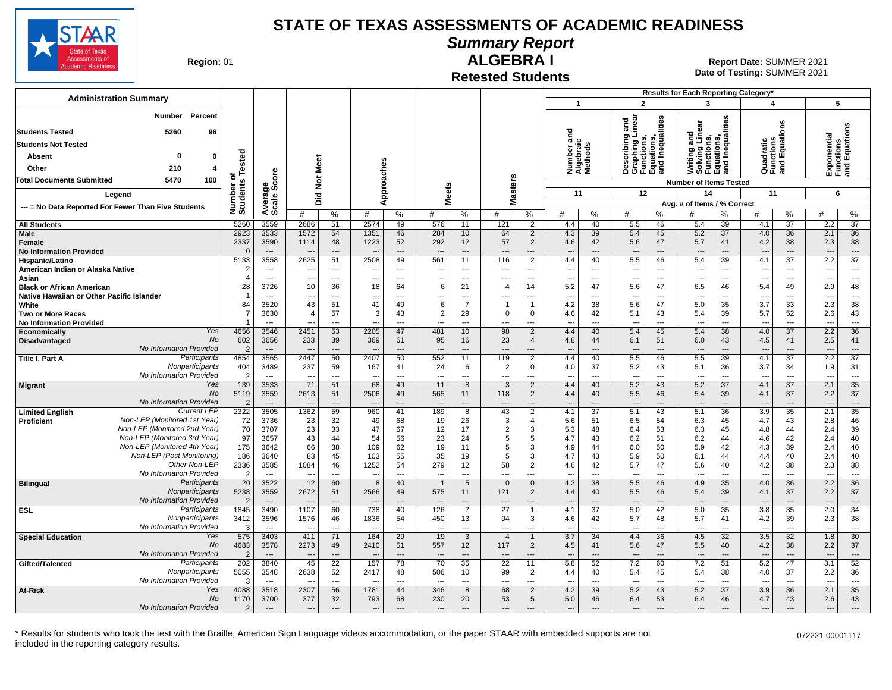

# **Summary Report**

**Region: 01** 

#### **Retested Students ALGEBRA I**

**Date of Testing:**  SUMMER 2021 01 **Report Date:** SUMMER 2021

| <b>Administration Summary</b>                       |                                  |                                  |                                 |                                   |                          |                                   |                                            |                                |                                |                                  |                                                      |                                  | $\overline{2}$                                                     |                          | Results for Each Reporting Category*<br>$\overline{\mathbf{3}}$      |                                | $\overline{\mathbf{A}}$               |                                       |                                                      |                                           |
|-----------------------------------------------------|----------------------------------|----------------------------------|---------------------------------|-----------------------------------|--------------------------|-----------------------------------|--------------------------------------------|--------------------------------|--------------------------------|----------------------------------|------------------------------------------------------|----------------------------------|--------------------------------------------------------------------|--------------------------|----------------------------------------------------------------------|--------------------------------|---------------------------------------|---------------------------------------|------------------------------------------------------|-------------------------------------------|
|                                                     |                                  |                                  |                                 |                                   |                          |                                   |                                            |                                |                                |                                  | 1                                                    |                                  |                                                                    |                          |                                                                      |                                |                                       |                                       |                                                      | 5                                         |
| Percent<br><b>Number</b>                            |                                  |                                  |                                 |                                   |                          |                                   |                                            |                                |                                |                                  |                                                      |                                  | and<br>linear                                                      |                          |                                                                      |                                |                                       |                                       |                                                      |                                           |
| 5260<br><b>Students Tested</b><br>96                |                                  |                                  |                                 |                                   |                          |                                   |                                            |                                |                                |                                  | 73                                                   |                                  | ö                                                                  | Inequalities             | and<br>Linear                                                        | ations,<br>Inequalities        |                                       | ons                                   |                                                      | Exponential<br>Functions<br>and Equations |
| <b>Students Not Tested</b>                          |                                  |                                  |                                 |                                   |                          |                                   |                                            |                                |                                |                                  | 듦<br>Number ar<br>Algebraic<br>Methods               |                                  | Describing<br>Graphing L<br>Functions,<br>Equations,<br>and Inequa |                          | Writing and<br>Solving Lin<br>Functions,<br>Equations,<br>and Inequa |                                |                                       | Quadratic<br>Functions<br>and Equatio |                                                      |                                           |
| Absent<br>$\mathbf{0}$<br>$\mathbf 0$               |                                  |                                  |                                 |                                   |                          |                                   |                                            |                                |                                |                                  |                                                      |                                  |                                                                    |                          |                                                                      |                                |                                       |                                       |                                                      |                                           |
| Other<br>210<br>4                                   | Tested                           |                                  |                                 | Meet                              |                          |                                   |                                            |                                |                                |                                  |                                                      |                                  |                                                                    |                          |                                                                      |                                |                                       |                                       |                                                      |                                           |
| 5470<br>100<br><b>Total Documents Submitted</b>     | ৳                                |                                  |                                 |                                   |                          |                                   |                                            |                                |                                |                                  |                                                      |                                  |                                                                    |                          |                                                                      |                                |                                       |                                       |                                                      |                                           |
|                                                     |                                  |                                  |                                 | $\frac{5}{2}$                     |                          | Approaches                        |                                            | <b>Meets</b>                   | lasters                        |                                  |                                                      |                                  |                                                                    |                          | <b>Number of Items Tested</b>                                        |                                |                                       |                                       |                                                      |                                           |
| Legend                                              |                                  |                                  |                                 | 꽃<br>۵                            |                          |                                   |                                            |                                | Σ                              |                                  | 11                                                   |                                  | 12                                                                 |                          | 14                                                                   |                                | 11                                    |                                       | 6                                                    |                                           |
| --- = No Data Reported For Fewer Than Five Students | Number of<br>Students            | Average<br>Scale Score           | #                               | %                                 | #                        | %                                 | #                                          | %                              | #                              | %                                | #                                                    | %                                | #                                                                  | %                        | Avg. # of Items / % Correct<br>#                                     | %                              | #                                     | %                                     | #                                                    | $\%$                                      |
| <b>All Students</b>                                 | 5260                             | 3559                             | 2686                            | 51                                | 2574                     | 49                                | 576                                        | 11                             | 121                            | $\overline{2}$                   | 4.4                                                  | 40                               | 5.5                                                                | 46                       | 5.4                                                                  | 39                             | 4.1                                   | 37                                    | 2.2                                                  | 37                                        |
| Male                                                | 2923                             | 3533                             | 1572                            | 54                                | 1351                     | 46                                | 284                                        | 10                             | 64                             | $\overline{2}$                   | 4.3                                                  | 39                               | 5.4                                                                | 45                       | 5.2                                                                  | 37                             | 4.0                                   | 36                                    | 2.1                                                  | 36                                        |
| Female                                              | 2337                             | 3590                             | 1114                            | 48                                | 1223                     | 52                                | 292                                        | 12                             | 57                             | $\overline{2}$                   | 4.6                                                  | 42                               | 5.6                                                                | 47                       | 5.7                                                                  | 41                             | 4.2                                   | 38                                    | 2.3                                                  | 38                                        |
| <b>No Information Provided</b>                      | $\Omega$                         | $\sim$                           |                                 | $\overline{a}$                    |                          | $---$                             | $\overline{\phantom{a}}$                   | $\overline{\phantom{a}}$       | $\overline{\phantom{a}}$       | $---$                            | $\overline{a}$                                       | $\overline{a}$                   | $\sim$                                                             | $\overline{a}$           | $\overline{\phantom{a}}$                                             | $---$                          | $\overline{a}$                        | $\overline{a}$                        | $\overline{\phantom{a}}$                             | $\overline{a}$                            |
| Hispanic/Latino                                     | 5133                             | 3558                             | 2625                            | 51                                | 2508                     | 49                                | 561                                        | 11                             | 116                            | 2                                | 4.4                                                  | 40                               | 5.5                                                                | 46                       | 5.4                                                                  | 39                             | 4.1                                   | 37                                    | 2.2                                                  | $\overline{37}$                           |
| American Indian or Alaska Native<br>Asian           | $\overline{2}$<br>$\overline{4}$ | $---$<br>$\sim$                  | $\overline{\phantom{a}}$<br>--- | $---$<br>$\overline{\phantom{a}}$ | $\overline{a}$           | $---$<br>$\overline{\phantom{a}}$ | $\overline{\phantom{a}}$<br>$\overline{a}$ | $---$<br>$---$                 | --<br>$\overline{\phantom{a}}$ | $\overline{a}$<br>$---$          | $\overline{\phantom{a}}$<br>$\overline{\phantom{a}}$ | $\overline{a}$<br>$\overline{a}$ | $\overline{\phantom{a}}$<br>$\overline{\phantom{a}}$               | $---$<br>$---$           | $\overline{\phantom{a}}$<br>$\overline{\phantom{a}}$                 | $\sim$<br>---                  | $\ddotsc$<br>$\overline{\phantom{a}}$ | $---$<br>$\overline{\phantom{a}}$     | $\overline{\phantom{a}}$<br>$\overline{\phantom{a}}$ | $---$<br>$\overline{a}$                   |
| <b>Black or African American</b>                    | 28                               | 3726                             | 10                              | 36                                | 18                       | 64                                | 6                                          | 21                             | $\overline{4}$                 | 14                               | 5.2                                                  | 47                               | 5.6                                                                | 47                       | 6.5                                                                  | 46                             | 5.4                                   | 49                                    | 2.9                                                  | 48                                        |
| Native Hawaiian or Other Pacific Islander           | -1                               | $\overline{\phantom{a}}$         | $\overline{\phantom{a}}$        | $\overline{a}$                    |                          | ---                               | ---                                        | $\overline{a}$                 |                                | ---                              | ---                                                  | ---                              | --                                                                 | ---                      | ---                                                                  | ---                            |                                       | $\overline{a}$                        | $\overline{\phantom{a}}$                             | $\overline{\phantom{a}}$                  |
| White                                               | 84                               | 3520                             | 43                              | 51                                | 41                       | 49                                | 6                                          | $\overline{7}$                 | $\overline{\mathbf{1}}$        | $\mathbf{1}$                     | 4.2                                                  | 38                               | 5.6                                                                | 47                       | 5.0                                                                  | 35                             | 3.7                                   | 33                                    | 2.3                                                  | 38                                        |
| <b>Two or More Races</b>                            | -7                               | 3630                             | $\overline{4}$                  | 57                                | 3                        | 43                                | $\overline{2}$                             | 29                             | $\Omega$                       | 0                                | 4.6                                                  | 42                               | 5.1                                                                | 43                       | 5.4                                                                  | 39                             | 5.7                                   | 52                                    | 2.6                                                  | 43                                        |
| <b>No Information Provided</b>                      |                                  |                                  |                                 |                                   |                          | $\overline{\phantom{a}}$          | $\overline{\phantom{a}}$                   | $\overline{\phantom{a}}$       |                                | ---                              |                                                      | $\overline{a}$                   | --                                                                 | ---                      | $\overline{\phantom{a}}$                                             | $\overline{\phantom{a}}$       |                                       | $\overline{a}$                        |                                                      | ---                                       |
| Yes<br>Economically<br>No                           | 4656                             | 3546                             | 2451<br>233                     | 53                                | 2205                     | 47                                | 481                                        | 10                             | 98<br>23                       | 2                                | 4.4                                                  | 40                               | 5.4                                                                | 45                       | 5.4                                                                  | 38                             | 4.0<br>4.5                            | 37                                    | 2.2<br>2.5                                           | 36                                        |
| Disadvantaged<br>No Information Provided            | 602<br>$\overline{2}$            | 3656<br>$\overline{\phantom{a}}$ |                                 | 39<br>$---$                       | 369<br>$\overline{a}$    | 61<br>$\overline{\phantom{a}}$    | 95<br>$\overline{a}$                       | 16<br>$\overline{\phantom{a}}$ | $\overline{\phantom{a}}$       | $\overline{4}$<br>$---$          | 4.8<br>$\overline{a}$                                | 44<br>$---$                      | 6.1<br>$\overline{\phantom{a}}$                                    | 51<br>---                | 6.0<br>$\overline{\phantom{a}}$                                      | 43<br>$\overline{\phantom{a}}$ |                                       | 41<br>$\overline{a}$                  | $\overline{\phantom{a}}$                             | 41<br>$\overline{\phantom{a}}$            |
| Participants<br>Title I, Part A                     | 4854                             | 3565                             | 2447                            | 50                                | 2407                     | 50                                | 552                                        | 11                             | 119                            | $\overline{2}$                   | 4.4                                                  | 40                               | 5.5                                                                | 46                       | 5.5                                                                  | 39                             | 4.1                                   | $\overline{37}$                       | 2.2                                                  | $\overline{37}$                           |
| Nonparticipants                                     | 404                              | 3489                             | 237                             | 59                                | 167                      | 41                                | 24                                         | 6                              | 2                              | $\mathbf 0$                      | 4.0                                                  | 37                               | 5.2                                                                | 43                       | 5.1                                                                  | 36                             | 3.7                                   | 34                                    | 1.9                                                  | 31                                        |
| No Information Provided                             | $\overline{2}$                   | $\sim$                           | $\overline{a}$                  | $---$                             | $\sim$                   | $\overline{a}$                    | $\overline{a}$                             | $\overline{\phantom{a}}$       | $\sim$                         | $---$                            | $---$                                                | $\overline{a}$                   | $\overline{\phantom{a}}$                                           | $\overline{a}$           | $\sim$                                                               | $\overline{\phantom{a}}$       | $\overline{a}$                        | $\overline{a}$                        | $\overline{\phantom{a}}$                             | $\sim$                                    |
| Yes<br><b>Migrant</b>                               | 139                              | 3533                             | 71                              | 51                                | 68                       | 49                                | 11                                         | 8                              | 3                              | $\overline{2}$                   | 4.4                                                  | 40                               | 5.2                                                                | 43                       | 5.2                                                                  | 37                             | 4.1                                   | 37                                    | 2.1                                                  | 35                                        |
| <b>No</b><br>No Information Provided                | 5119<br>$\overline{2}$           | 3559<br>$---$                    | 2613                            | 51<br>$\overline{a}$              | 2506                     | 49<br>$---$                       | 565<br>$\overline{a}$                      | 11<br>$---$                    | 118                            | $\overline{2}$<br>$\overline{a}$ | 4.4<br>$\overline{\phantom{a}}$                      | 40<br>$\sim$                     | 5.5<br>$\sim$                                                      | 46<br>$\overline{a}$     | 5.4<br>$---$                                                         | 39<br>$\overline{\phantom{a}}$ | 4.1<br>$\overline{\phantom{a}}$       | 37<br>$\overline{a}$                  | 2.2<br>$\overline{\phantom{a}}$                      | 37<br>$---$                               |
| <b>Current LEP</b><br><b>Limited English</b>        | 2322                             | 3505                             | 1362                            | 59                                | 960                      | 41                                | 189                                        | $\overline{8}$                 | 43                             | $\overline{2}$                   | 4.1                                                  | $\overline{37}$                  | 5.1                                                                | 43                       | 5.1                                                                  | 36                             | 3.9                                   | $\overline{35}$                       | 2.1                                                  | $\overline{35}$                           |
| Non-LEP (Monitored 1st Year)<br>Proficient          | 72                               | 3736                             | 23                              | 32                                | 49                       | 68                                | 19                                         | 26                             | 3                              | $\overline{4}$                   | 5.6                                                  | 51                               | 6.5                                                                | 54                       | 6.3                                                                  | 45                             | 4.7                                   | 43                                    | 2.8                                                  | 46                                        |
| Non-LEP (Monitored 2nd Year)                        | 70                               | 3707                             | 23                              | 33                                | 47                       | 67                                | 12                                         | 17                             | $\overline{2}$                 | 3                                | 5.3                                                  | 48                               | 6.4                                                                | 53                       | 6.3                                                                  | 45                             | 4.8                                   | 44                                    | 2.4                                                  | 39                                        |
| Non-LEP (Monitored 3rd Year)                        | 97                               | 3657                             | 43                              | 44                                | 54                       | 56                                | 23                                         | 24                             | 5                              | 5                                | 4.7                                                  | 43                               | 6.2                                                                | 51                       | 6.2                                                                  | 44                             | 4.6                                   | 42                                    | 2.4                                                  | 40                                        |
| Non-LEP (Monitored 4th Year)                        | 175                              | 3642                             | 66                              | 38                                | 109                      | 62                                | 19                                         | 11                             | .5                             | 3                                | 4.9                                                  | 44                               | 6.0                                                                | 50                       | 5.9                                                                  | 42                             | 4.3                                   | 39                                    | 2.4                                                  | 40                                        |
| Non-LEP (Post Monitoring)<br>Other Non-LEP          | 186<br>2336                      | 3640<br>3585                     | 83<br>1084                      | 45<br>46                          | 103<br>1252              | 55<br>54                          | 35<br>279                                  | 19<br>12                       | 5<br>58                        | 3<br>$\overline{2}$              | 4.7<br>4.6                                           | 43<br>42                         | 5.9<br>5.7                                                         | 50<br>47                 | 6.1<br>5.6                                                           | 44<br>40                       | 4.4<br>4.2                            | 40<br>38                              | 2.4<br>2.3                                           | 40<br>38                                  |
| No Information Provided                             | $\overline{2}$                   | $\sim$                           | $\overline{\phantom{a}}$        | $\overline{a}$                    |                          | $\overline{a}$                    |                                            | $\overline{a}$                 |                                | ---                              | ---                                                  | $\overline{a}$                   | --                                                                 | ---                      | $\overline{a}$                                                       | $\overline{\phantom{a}}$       | $\overline{\phantom{a}}$              | $\overline{a}$                        | $\overline{\phantom{a}}$                             | $\sim$ $\sim$ $\sim$                      |
| Participants<br><b>Bilingual</b>                    | $\overline{20}$                  | 3522                             | $\overline{12}$                 | 60                                | 8                        | 40                                | $\overline{1}$                             | 5                              | $\Omega$                       | $\mathbf{0}$                     | 4.2                                                  | $\overline{38}$                  | 5.5                                                                | 46                       | 4.9                                                                  | $\overline{35}$                | 4.0                                   | $\overline{36}$                       | 2.2                                                  | 36                                        |
| Nonparticipants                                     | 5238                             | 3559                             | 2672                            | 51                                | 2566                     | 49                                | 575                                        | 11                             | 121                            | $\overline{2}$                   | 4.4                                                  | 40                               | 5.5                                                                | 46                       | 5.4                                                                  | 39                             | 4.1                                   | 37                                    | 2.2                                                  | 37                                        |
| No Information Provided                             | $\overline{2}$                   | $\overline{\phantom{a}}$         |                                 | $\overline{a}$                    |                          | $\overline{a}$                    |                                            | $\overline{\phantom{a}}$       |                                | $---$                            |                                                      | $\overline{a}$                   | $\overline{\phantom{a}}$                                           | ---                      | $\overline{\phantom{a}}$                                             | $\overline{\phantom{a}}$       |                                       | $---$                                 | $\overline{\phantom{a}}$                             | $\overline{\phantom{a}}$                  |
| <b>ESL</b><br>Participants                          | 1845                             | 3490                             | 1107                            | 60                                | 738                      | 40                                | 126                                        | $\overline{7}$                 | $\overline{27}$                |                                  | 4.1                                                  | $\overline{37}$                  | 5.0                                                                | 42                       | 5.0                                                                  | 35                             | 3.8                                   | 35                                    | 2.0                                                  | 34                                        |
| Nonparticipants<br>No Information Provideo          | 3412                             | 3596                             | 1576                            | 46                                | 1836                     | 54                                | 450                                        | 13                             | 94                             | 3                                | 4.6                                                  | 42                               | 5.7                                                                | 48                       | 5.7                                                                  | 41                             | 4.2                                   | 39                                    | 2.3                                                  | 38                                        |
| Yes<br><b>Special Education</b>                     | 3<br>575                         | $---$<br>3403                    | $\overline{\phantom{a}}$<br>411 | $\overline{a}$<br>71              | 164                      | $---$<br>29                       | $\sim$<br>19                               | $---$<br>3                     | --<br>$\overline{4}$           | $---$<br>$\overline{1}$          | $---$<br>3.7                                         | $\overline{a}$<br>34             | $\overline{\phantom{a}}$<br>4.4                                    | ---<br>36                | $\sim$<br>4.5                                                        | $\overline{a}$<br>32           | $\overline{\phantom{a}}$<br>3.5       | $---$<br>32                           | $\sim$<br>1.8                                        | $\sim$<br>30                              |
| No                                                  | 4683                             | 3578                             | 2273                            | 49                                | 2410                     | 51                                | 557                                        | 12                             | 117                            | $\overline{2}$                   | 4.5                                                  | 41                               | 5.6                                                                | 47                       | 5.5                                                                  | 40                             | 4.2                                   | 38                                    | 2.2                                                  | 37                                        |
| No Information Provided                             | $\overline{2}$                   | $---$                            | $\overline{\phantom{a}}$        | $---$                             |                          | $---$                             | $\overline{\phantom{a}}$                   | $---$                          | $\overline{\phantom{a}}$       | $---$                            | $\overline{\phantom{a}}$                             | $---$                            | $\sim$                                                             | $\overline{a}$           | $---$                                                                | $---$                          | $---$                                 | $---$                                 | $\overline{\phantom{a}}$                             | $---$                                     |
| Participants<br>Gifted/Talented                     | 202                              | 3840                             | 45                              | $\overline{22}$                   | 157                      | 78                                | 70                                         | 35                             | $\overline{22}$                | 11                               | 5.8                                                  | 52                               | 7.2                                                                | 60                       | 7.2                                                                  | 51                             | 5.2                                   | 47                                    | 3.1                                                  | 52                                        |
| Nonparticipants                                     | 5055                             | 3548                             | 2638                            | 52                                | 2417                     | 48                                | 506                                        | 10                             | 99                             | $\overline{2}$                   | 4.4                                                  | 40                               | 5.4                                                                | 45                       | 5.4                                                                  | 38                             | 4.0                                   | 37                                    | 2.2                                                  | 36                                        |
| No Information Provided                             | 3                                | $---$                            | $\sim$                          | $---$                             |                          | $---$                             | $\overline{a}$                             | $---$                          | $\overline{\phantom{a}}$       | ---                              | $\overline{a}$                                       | $\overline{a}$                   | $\sim$                                                             | $\overline{a}$           | $\sim$                                                               | $\overline{a}$                 | $\overline{\phantom{a}}$              | $---$                                 | $\overline{\phantom{a}}$                             | $\sim$                                    |
| Yes<br>At-Risk<br><b>No</b>                         | 4088<br>1170                     | 3518<br>3700                     | 2307<br>377                     | 56<br>32                          | 1781<br>793              | 44<br>68                          | 346<br>230                                 | 8<br>20                        | 68<br>53                       | $\overline{2}$<br>$\,$ 5 $\,$    | 4.2<br>5.0                                           | 39<br>46                         | 5.2<br>6.4                                                         | 43<br>53                 | 5.2<br>6.4                                                           | 37<br>46                       | 3.9<br>4.7                            | 36<br>43                              | 2.1<br>2.6                                           | 35<br>43                                  |
| No Information Provided                             | $\overline{2}$                   | $\hspace{0.05cm} \ldots$         | $\overline{\phantom{a}}$        | $\overline{a}$                    | $\overline{\phantom{a}}$ | $\sim$                            | $\overline{\phantom{a}}$                   | $\overline{\phantom{a}}$       | $\overline{\phantom{a}}$       | $\overline{a}$                   | $\hspace{1.5cm} \ldots$                              | $\overline{a}$                   | ---                                                                | $\overline{\phantom{a}}$ | $\sim$                                                               | $\overline{\phantom{a}}$       | $\overline{\phantom{a}}$              | $\overline{a}$                        | $\overline{\phantom{a}}$                             | $\overline{a}$                            |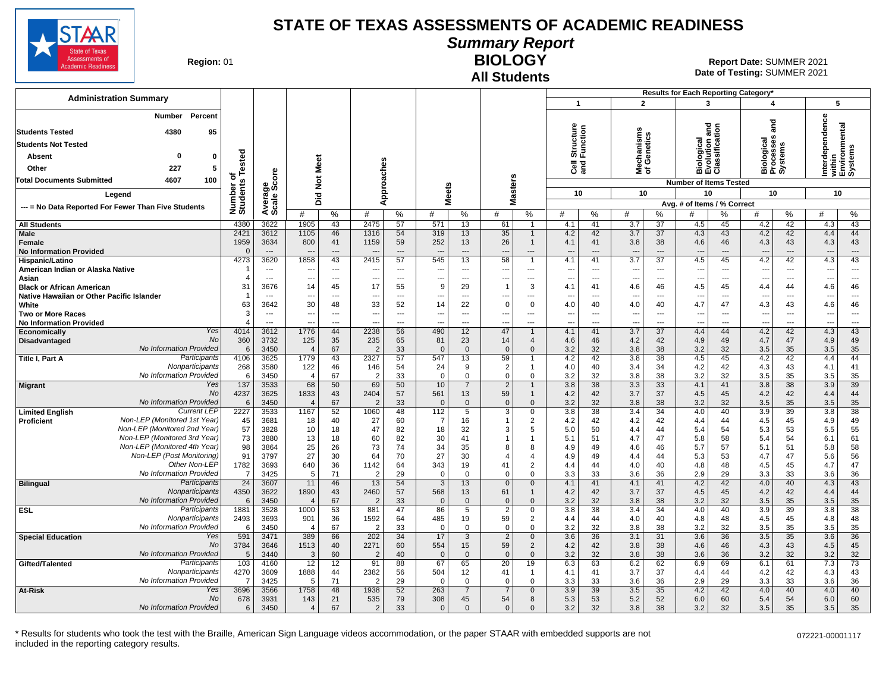

**Summary Report**

**Region: 01** 

# **All Students**

**BIOLOGY** 01 **Report Date:** SUMMER 2021 **Date of Testing:**  SUMMER 2021

| $\mathbf{1}$<br>$\overline{2}$<br>5<br>3<br>4<br>Percent<br><b>Number</b><br>dependence<br>and<br>ithin<br>nvironmental<br>Structure<br>Function<br>nd<br>and<br>iological<br>volution and<br>lassification<br>lechanisms<br>f Genetics<br>4380<br>95<br><b>Students Tested</b><br>Biological<br>Processes<br>Systems<br><b>Students Not Tested</b><br>Tested<br>0<br>$\mathbf{0}$<br>Absent<br>Meet<br>es<br><b>ខិ</b> ខ្លី<br>ō<br>ಕ<br>227<br>5<br>Other<br>Approach<br>ই চ<br>ξ≩ច្<br>ၜႍႍႍႍၮႍ<br>δã<br>ъ<br><b>Masters</b><br>$\breve{\mathbf{z}}$<br><b>Total Documents Submitted</b><br>4607<br>100<br>Number of<br>Students<br><b>Number of Items Tested</b><br>Average<br>Scale Scc<br><b>Meets</b><br>10<br>10<br>10<br>10<br>10<br>Did<br>Legend<br>Avg. # of Items / % Correct<br>--- = No Data Reported For Fewer Than Five Students<br>%<br>%<br>%<br>#<br>%<br>#<br>%<br>#<br>$\%$<br>#<br>%<br>#<br>#<br>$\%$<br>#<br>%<br>#<br>#<br>2475<br>$\overline{37}$<br>43<br>4380<br>3622<br>1905<br>43<br>57<br>571<br>13<br>61<br>41<br>3.7<br>45<br>4.2<br>42<br>4.3<br><b>All Students</b><br>$\mathbf{1}$<br>4.1<br>4.5<br>2421<br>3612<br>54<br>319<br>35<br>42<br>37<br>42<br>44<br>Male<br>1105<br>46<br>1316<br>13<br>4.2<br>3.7<br>4.3<br>43<br>4.2<br>4.4<br>$\mathbf{1}$<br>43<br>1959<br>3634<br>800<br>41<br>1159<br>59<br>252<br>13<br>26<br>4.1<br>41<br>3.8<br>38<br>4.6<br>46<br>4.3<br>43<br>4.3<br>Female<br>$\mathbf{1}$<br><b>No Information Provided</b><br>$\Omega$<br>$\overline{a}$<br>$\overline{\phantom{a}}$<br>$\overline{\phantom{a}}$<br>$\overline{a}$<br>$\overline{\phantom{a}}$<br>$---$<br>---<br>$\overline{\phantom{a}}$<br>$---$<br>$\overline{\phantom{a}}$<br>$---$<br>$---$<br>$\overline{\phantom{a}}$<br>$\overline{a}$<br>$---$<br>$---$<br>$---$<br>$\overline{a}$<br>$\overline{\phantom{a}}$<br>4273<br>3620<br>1858<br>43<br>57<br>545<br>58<br>3.7<br>$\overline{37}$<br>4.5<br>4.2<br>42<br>4.3<br>43<br>2415<br>13<br>4.1<br>41<br>45<br>$\overline{1}$<br>Hispanic/Latino<br>American Indian or Alaska Native<br>$---$<br>$\overline{\phantom{a}}$<br>$---$<br>$\overline{a}$<br>---<br>$---$<br>$\overline{\phantom{a}}$<br>---<br>---<br>$---$<br>$---$<br>---<br>$---$<br>---<br>$\overline{\phantom{a}}$<br>---<br>$---$<br>$\overline{a}$<br>---<br>Asian<br>$\overline{a}$<br>$\overline{\phantom{a}}$<br>$\overline{a}$<br>---<br>$\overline{\phantom{a}}$<br>$---$<br>---<br>$\overline{a}$<br>---<br>$\overline{a}$<br>$---$<br>$\overline{\phantom{a}}$<br>$\overline{a}$<br>$---$<br>$---$<br>$\overline{a}$<br>$---$<br>3676<br>14<br>45<br>17<br>9<br>29<br>4.6<br>4.5<br>46<br>31<br>55<br>3<br>4.1<br>41<br>46<br>45<br>44<br>4.6<br><b>Black or African American</b><br>4.4<br>Native Hawaiian or Other Pacific Islander<br>---<br>---<br>---<br>$\overline{\phantom{a}}$<br>$\overline{a}$<br>---<br>---<br>---<br>$\overline{\phantom{a}}$<br>---<br>$\overline{\phantom{a}}$<br>$\overline{\phantom{a}}$<br>---<br>---<br>$\overline{\phantom{a}}$<br>63<br>3642<br>30<br>14<br>22<br>$\Omega$<br>4.7<br>46<br>White<br>48<br>33<br>52<br>$\mathbf 0$<br>40<br>4.0<br>40<br>47<br>43<br>4.0<br>4.3<br>4.6<br>3<br><b>Two or More Races</b><br>$\overline{\phantom{a}}$<br>$\overline{\phantom{a}}$<br>---<br>---<br>$\overline{\phantom{a}}$<br>---<br>---<br>---<br>---<br>---<br>$\overline{\phantom{a}}$<br>$\hspace{0.05cm} \ldots$<br>$\overline{\phantom{a}}$<br>---<br>$\overline{\phantom{a}}$<br>$\overline{\phantom{a}}$<br>$\overline{\phantom{a}}$<br>$\overline{\phantom{a}}$<br><b>No Information Provided</b><br>4<br>$\overline{\phantom{a}}$<br>---<br>---<br>---<br>$\overline{a}$<br>$\overline{a}$<br>---<br>---<br>---<br>---<br>---<br>---<br>---<br>---<br>---<br>$\overline{\phantom{a}}$<br>$\overline{\phantom{a}}$<br>---<br>Yes<br>490<br>47<br>4.4<br>43<br>4014<br>3612<br>1776<br>44<br>2238<br>56<br>12<br>4.1<br>3.7<br>37<br>44<br>4.2<br>42<br>4.3<br>41<br>Economically<br>$\mathbf{1}$<br>No<br>35<br>49<br>360<br>3732<br>125<br>235<br>65<br>81<br>23<br>14<br>46<br>4.2<br>42<br>4.9<br>49<br>47<br>4.9<br>Disadvantaged<br>4.6<br>4.7<br>4<br>No Information Provided<br>38<br>35<br>3450<br>67<br>$\overline{2}$<br>$\overline{0}$<br>$\overline{0}$<br>$\Omega$<br>3.2<br>32<br>3.8<br>3.2<br>32<br>3.5<br>35<br>3.5<br>6<br>$\overline{4}$<br>33<br>$\Omega$<br>59<br>Participants<br>4106<br>3625<br>1779<br>43<br>57<br>547<br>42<br>3.8<br>38<br>42<br>44<br>2327<br>13<br>4.2<br>4.5<br>45<br>4.2<br>4.4<br>Title I, Part A<br>$\mathbf{1}$<br>Nonparticipants<br>41<br>268<br>3580<br>122<br>46<br>146<br>54<br>24<br>9<br>$\overline{2}$<br>3.4<br>34<br>4.2<br>42<br>4.3<br>43<br>4.1<br>4.0<br>40<br>$\overline{1}$<br>No Information Provided<br>35<br>38<br>3.2<br>3450<br>$\overline{4}$<br>67<br>33<br>$\mathbf 0$<br>$\mathbf 0$<br>$\mathbf 0$<br>$\mathbf 0$<br>3.2<br>32<br>3.8<br>32<br>3.5<br>35<br>3.5<br>6<br>$\overline{2}$<br>68<br>39<br>Yes<br>137<br>3533<br>50<br>69<br>50<br>10<br>$\overline{2}$<br>3.8<br>38<br>3.3<br>33<br>4.1<br>41<br>3.8<br>38<br>3.9<br>7<br>$\mathbf{1}$<br><b>Migrant</b><br>No<br>4237<br>3625<br>1833<br>43<br>2404<br>561<br>59<br>3.7<br>37<br>44<br>57<br>13<br>$\mathbf{1}$<br>4.2<br>42<br>4.5<br>45<br>4.2<br>42<br>4.4<br>No Information Provided<br>35<br>3450<br>67<br>$\overline{0}$<br>3.2<br>32<br>3.8<br>38<br>3.2<br>32<br>3.5<br>35<br>3.5<br>6<br>$\overline{4}$<br>33<br>$\Omega$<br>$\mathbf{0}$<br>$\Omega$<br>$\overline{2}$<br><b>Current LEF</b><br>2227<br>3533<br>1167<br>52<br>1060<br>48<br>112<br>5<br>3<br>3.8<br>38<br>3.4<br>34<br>4.0<br>3.9<br>39<br>3.8<br>38<br><b>Limited English</b><br>0<br>40<br>Non-LEP (Monitored 1st Year)<br>4.2<br>42<br>4.5<br>4.9<br>49<br>45<br>3681<br>18<br>40<br>27<br>60<br>$\overline{7}$<br>16<br>$\overline{2}$<br>4.2<br>42<br>4.4<br>44<br>45<br><b>Proficient</b><br>Non-LEP (Monitored 2nd Year)<br>57<br>10<br>18<br>4.4<br>5.5<br>55<br>3828<br>18<br>47<br>82<br>32<br>3<br>5<br>5.0<br>50<br>44<br>5.4<br>54<br>5.3<br>53<br>Non-LEP (Monitored 3rd Year)<br>73<br>13<br>30<br>4.7<br>6.1<br>61<br>3880<br>18<br>60<br>82<br>41<br>5.1<br>51<br>47<br>5.8<br>58<br>5.4<br>54<br>$\overline{\mathbf{1}}$<br>Non-LEP (Monitored 4th Year)<br>98<br>3864<br>25<br>26<br>73<br>34<br>35<br>4.6<br>57<br>5.8<br>58<br>74<br>8<br>8<br>4.9<br>49<br>46<br>5.7<br>5.1<br>51<br>Non-LEP (Post Monitoring)<br>91<br>27<br>30<br>64<br>27<br>30<br>53<br>5.6<br>56<br>3797<br>70<br>49<br>4.4<br>44<br>5.3<br>4.7<br>47<br>4.9<br>4<br>4<br>Other Non-LEP<br>1782<br>3693<br>640<br>36<br>343<br>41<br>40<br>48<br>4.7<br>47<br>1142<br>64<br>19<br>2<br>4.0<br>4.8<br>4.5<br>45<br>4.4<br>44<br>No Information Provided<br>71<br>$\mathbf 0$<br>36<br>36<br>$\overline{7}$<br>3425<br>5<br>29<br>$\mathbf 0$<br>$\mathbf 0$<br>3.3<br>33<br>3.6<br>2.9<br>29<br>3.3<br>33<br>3.6<br>2<br>$\mathbf 0$<br>Participants<br>$\overline{24}$<br>4.3<br>43<br>3607<br>11<br>46<br>13<br>54<br>3<br>13<br>$\Omega$<br>$\Omega$<br>4.1<br>41<br>4.1<br>41<br>4.2<br>42<br>4.0<br>40<br><b>Bilingual</b><br>44<br>Nonparticipants<br>4350<br>3622<br>1890<br>43<br>57<br>568<br>13<br>61<br>42<br>3.7<br>37<br>4.5<br>4.2<br>42<br>4.4<br>2460<br>4.2<br>45<br>1<br>No Information Provided<br>3450<br>35<br>67<br>33<br>$\overline{0}$<br>3.2<br>32<br>3.8<br>38<br>3.2<br>32<br>3.5<br>35<br>3.5<br>6<br>$\overline{2}$<br>$\Omega$<br>$\Omega$<br>$\Omega$<br>$\overline{4}$<br>38<br>Participants<br>1881<br>3528<br>1000<br>53<br>86<br>2<br>3.8<br>38<br>3.4<br>34<br>4.0<br>40<br>3.9<br>39<br>3.8<br><b>ESL</b><br>881<br>47<br>5<br>0<br>Nonparticipants<br>59<br>3693<br>36<br>485<br>4.0<br>4.8<br>48<br>2493<br>901<br>1592<br>64<br>19<br>2<br>4.4<br>44<br>40<br>4.8<br>48<br>4.5<br>45<br>No Information Provided<br>35<br>3450<br>67<br>32<br>3.8<br>38<br>35<br>3.5<br>$\overline{4}$<br>2<br>33<br>$\Omega$<br>$\mathbf 0$<br>$\overline{0}$<br>$\mathbf 0$<br>3.2<br>3.2<br>32<br>3.5<br>6<br>389<br>$\overline{2}$<br>36<br>Yes<br>591<br>34<br>17<br>$\mathbf{3}$<br>36<br>3.1<br>31<br>3.6<br>3.5<br>35<br>3.6<br>3471<br>66<br>202<br>$\mathbf{0}$<br>3.6<br>36<br><b>Special Education</b><br>No<br>59<br>45<br>3784<br>3646<br>1513<br>40<br>2271<br>60<br>554<br>$\overline{2}$<br>4.2<br>42<br>3.8<br>38<br>4.6<br>46<br>4.3<br>43<br>4.5<br>15<br>No Information Provided<br>32<br>3440<br>3<br>60<br>$\mathbf{0}$<br>$\overline{0}$<br>$\overline{0}$<br>$\mathbf{0}$<br>3.2<br>32<br>3.8<br>38<br>3.6<br>36<br>3.2<br>32<br>3.2<br>5<br>$\overline{2}$<br>40<br>Participants<br>67<br>$\overline{20}$<br>62<br>7.3<br>73<br>103<br>4160<br>12<br>12<br>91<br>88<br>65<br>19<br>6.3<br>63<br>6.2<br>6.9<br>69<br>6.1<br>61<br>Gifted/Talented<br>Nonparticipants<br>4270<br>3609<br>1888<br>2382<br>504<br>3.7<br>37<br>43<br>44<br>56<br>12<br>41<br>4.1<br>41<br>4.4<br>44<br>4.2<br>42<br>4.3<br>$\mathbf{1}$<br>No Information Provided<br>36<br>3425<br>5<br>71<br>29<br>$\mathbf 0$<br>33<br>3.6<br>36<br>2.9<br>29<br>3.3<br>33<br>3.6<br>7<br>2<br>$\Omega$<br>$\mathbf 0$<br>$\Omega$<br>3.3<br>Yes<br>52<br>39<br>3.5<br>40<br>At-Risk<br>3696<br>3566<br>1758<br>48<br>1938<br>263<br>$\overline{7}$<br>$\overline{7}$<br>3.9<br>35<br>4.2<br>42<br>4.0<br>40<br>4.0<br>$\Omega$<br>No<br>678<br>3931<br>143<br>21<br>79<br>308<br>54<br>53<br>5.2<br>52<br>6.0<br>6.0<br>60<br>535<br>45<br>8<br>5.3<br>60<br>5.4<br>54<br>No Information Provided<br>6<br>3450<br>$\overline{4}$<br>67<br>2<br>33<br>$\mathbf{0}$<br>$\mathbf{0}$<br>$\Omega$<br>$\mathbf{0}$<br>3.2<br>32<br>3.8<br>38<br>3.2<br>32<br>3.5<br>35<br>3.5<br>35 |                               |  |  |  |  |  |  |  | Results for Each Reporting Category* |  |  |  |
|-------------------------------------------------------------------------------------------------------------------------------------------------------------------------------------------------------------------------------------------------------------------------------------------------------------------------------------------------------------------------------------------------------------------------------------------------------------------------------------------------------------------------------------------------------------------------------------------------------------------------------------------------------------------------------------------------------------------------------------------------------------------------------------------------------------------------------------------------------------------------------------------------------------------------------------------------------------------------------------------------------------------------------------------------------------------------------------------------------------------------------------------------------------------------------------------------------------------------------------------------------------------------------------------------------------------------------------------------------------------------------------------------------------------------------------------------------------------------------------------------------------------------------------------------------------------------------------------------------------------------------------------------------------------------------------------------------------------------------------------------------------------------------------------------------------------------------------------------------------------------------------------------------------------------------------------------------------------------------------------------------------------------------------------------------------------------------------------------------------------------------------------------------------------------------------------------------------------------------------------------------------------------------------------------------------------------------------------------------------------------------------------------------------------------------------------------------------------------------------------------------------------------------------------------------------------------------------------------------------------------------------------------------------------------------------------------------------------------------------------------------------------------------------------------------------------------------------------------------------------------------------------------------------------------------------------------------------------------------------------------------------------------------------------------------------------------------------------------------------------------------------------------------------------------------------------------------------------------------------------------------------------------------------------------------------------------------------------------------------------------------------------------------------------------------------------------------------------------------------------------------------------------------------------------------------------------------------------------------------------------------------------------------------------------------------------------------------------------------------------------------------------------------------------------------------------------------------------------------------------------------------------------------------------------------------------------------------------------------------------------------------------------------------------------------------------------------------------------------------------------------------------------------------------------------------------------------------------------------------------------------------------------------------------------------------------------------------------------------------------------------------------------------------------------------------------------------------------------------------------------------------------------------------------------------------------------------------------------------------------------------------------------------------------------------------------------------------------------------------------------------------------------------------------------------------------------------------------------------------------------------------------------------------------------------------------------------------------------------------------------------------------------------------------------------------------------------------------------------------------------------------------------------------------------------------------------------------------------------------------------------------------------------------------------------------------------------------------------------------------------------------------------------------------------------------------------------------------------------------------------------------------------------------------------------------------------------------------------------------------------------------------------------------------------------------------------------------------------------------------------------------------------------------------------------------------------------------------------------------------------------------------------------------------------------------------------------------------------------------------------------------------------------------------------------------------------------------------------------------------------------------------------------------------------------------------------------------------------------------------------------------------------------------------------------------------------------------------------------------------------------------------------------------------------------------------------------------------------------------------------------------------------------------------------------------------------------------------------------------------------------------------------------------------------------------------------------------------------------------------------------------------------------------------------------------------------------------------------------------------------------------------------------------------------------------------------------------------------------------------------------------------------------------------------------------------------------------------------------------------------------------------------------------------------------------------------------------------------------------------------------------------------------------------------------------------------------------------------------------------------------------------------------------------------------------------------------------------------------------------------------------------------------------------------------------------------------------------------------------------------------------------------------------------------------------------------------------------------------------------------------------------------------------------------------------------------------------------------------------------------------------------------------------------------------------------------------------------------------------------------------------------------------------------------------------------------------------------------------------------------------------------------------------------------------------------------------------------------------------------------------------------------------------------------------------------------------------------------------------------------------------------------------------------------------------------------------------------------------------------------------------------------------------------------------------------------------------------------------------------------------------------------------------------------------------------------------------------------------------------------------------------------------------------------------------------------------------------------------------------------------------------------------------------------------------------------------------------------------------------------------------------------------------------------------------------------------------------------------------------------------------------------------------------------------------------------------------------------------------------------------------------------------------------------------------------------------------------------------------------------------------------------------------------------------------------------------------------------------------------------------------------------------------------------------------------------------------------------------------------------------------------------------------------------------------------------------------------------|-------------------------------|--|--|--|--|--|--|--|--------------------------------------|--|--|--|
|                                                                                                                                                                                                                                                                                                                                                                                                                                                                                                                                                                                                                                                                                                                                                                                                                                                                                                                                                                                                                                                                                                                                                                                                                                                                                                                                                                                                                                                                                                                                                                                                                                                                                                                                                                                                                                                                                                                                                                                                                                                                                                                                                                                                                                                                                                                                                                                                                                                                                                                                                                                                                                                                                                                                                                                                                                                                                                                                                                                                                                                                                                                                                                                                                                                                                                                                                                                                                                                                                                                                                                                                                                                                                                                                                                                                                                                                                                                                                                                                                                                                                                                                                                                                                                                                                                                                                                                                                                                                                                                                                                                                                                                                                                                                                                                                                                                                                                                                                                                                                                                                                                                                                                                                                                                                                                                                                                                                                                                                                                                                                                                                                                                                                                                                                                                                                                                                                                                                                                                                                                                                                                                                                                                                                                                                                                                                                                                                                                                                                                                                                                                                                                                                                                                                                                                                                                                                                                                                                                                                                                                                                                                                                                                                                                                                                                                                                                                                                                                                                                                                                                                                                                                                                                                                                                                                                                                                                                                                                                                                                                                                                                                                                                                                                                                                                                                                                                                                                                                                                                                                                                                                                                                                                                                                                                                                                                                                                                                                                                                                                                                                                                                                                                                                                                                                                                                                                                                                                                                                                                                                                                                                                                                                                                                         | <b>Administration Summary</b> |  |  |  |  |  |  |  |                                      |  |  |  |
|                                                                                                                                                                                                                                                                                                                                                                                                                                                                                                                                                                                                                                                                                                                                                                                                                                                                                                                                                                                                                                                                                                                                                                                                                                                                                                                                                                                                                                                                                                                                                                                                                                                                                                                                                                                                                                                                                                                                                                                                                                                                                                                                                                                                                                                                                                                                                                                                                                                                                                                                                                                                                                                                                                                                                                                                                                                                                                                                                                                                                                                                                                                                                                                                                                                                                                                                                                                                                                                                                                                                                                                                                                                                                                                                                                                                                                                                                                                                                                                                                                                                                                                                                                                                                                                                                                                                                                                                                                                                                                                                                                                                                                                                                                                                                                                                                                                                                                                                                                                                                                                                                                                                                                                                                                                                                                                                                                                                                                                                                                                                                                                                                                                                                                                                                                                                                                                                                                                                                                                                                                                                                                                                                                                                                                                                                                                                                                                                                                                                                                                                                                                                                                                                                                                                                                                                                                                                                                                                                                                                                                                                                                                                                                                                                                                                                                                                                                                                                                                                                                                                                                                                                                                                                                                                                                                                                                                                                                                                                                                                                                                                                                                                                                                                                                                                                                                                                                                                                                                                                                                                                                                                                                                                                                                                                                                                                                                                                                                                                                                                                                                                                                                                                                                                                                                                                                                                                                                                                                                                                                                                                                                                                                                                                                                         |                               |  |  |  |  |  |  |  |                                      |  |  |  |
|                                                                                                                                                                                                                                                                                                                                                                                                                                                                                                                                                                                                                                                                                                                                                                                                                                                                                                                                                                                                                                                                                                                                                                                                                                                                                                                                                                                                                                                                                                                                                                                                                                                                                                                                                                                                                                                                                                                                                                                                                                                                                                                                                                                                                                                                                                                                                                                                                                                                                                                                                                                                                                                                                                                                                                                                                                                                                                                                                                                                                                                                                                                                                                                                                                                                                                                                                                                                                                                                                                                                                                                                                                                                                                                                                                                                                                                                                                                                                                                                                                                                                                                                                                                                                                                                                                                                                                                                                                                                                                                                                                                                                                                                                                                                                                                                                                                                                                                                                                                                                                                                                                                                                                                                                                                                                                                                                                                                                                                                                                                                                                                                                                                                                                                                                                                                                                                                                                                                                                                                                                                                                                                                                                                                                                                                                                                                                                                                                                                                                                                                                                                                                                                                                                                                                                                                                                                                                                                                                                                                                                                                                                                                                                                                                                                                                                                                                                                                                                                                                                                                                                                                                                                                                                                                                                                                                                                                                                                                                                                                                                                                                                                                                                                                                                                                                                                                                                                                                                                                                                                                                                                                                                                                                                                                                                                                                                                                                                                                                                                                                                                                                                                                                                                                                                                                                                                                                                                                                                                                                                                                                                                                                                                                                                                         |                               |  |  |  |  |  |  |  |                                      |  |  |  |
|                                                                                                                                                                                                                                                                                                                                                                                                                                                                                                                                                                                                                                                                                                                                                                                                                                                                                                                                                                                                                                                                                                                                                                                                                                                                                                                                                                                                                                                                                                                                                                                                                                                                                                                                                                                                                                                                                                                                                                                                                                                                                                                                                                                                                                                                                                                                                                                                                                                                                                                                                                                                                                                                                                                                                                                                                                                                                                                                                                                                                                                                                                                                                                                                                                                                                                                                                                                                                                                                                                                                                                                                                                                                                                                                                                                                                                                                                                                                                                                                                                                                                                                                                                                                                                                                                                                                                                                                                                                                                                                                                                                                                                                                                                                                                                                                                                                                                                                                                                                                                                                                                                                                                                                                                                                                                                                                                                                                                                                                                                                                                                                                                                                                                                                                                                                                                                                                                                                                                                                                                                                                                                                                                                                                                                                                                                                                                                                                                                                                                                                                                                                                                                                                                                                                                                                                                                                                                                                                                                                                                                                                                                                                                                                                                                                                                                                                                                                                                                                                                                                                                                                                                                                                                                                                                                                                                                                                                                                                                                                                                                                                                                                                                                                                                                                                                                                                                                                                                                                                                                                                                                                                                                                                                                                                                                                                                                                                                                                                                                                                                                                                                                                                                                                                                                                                                                                                                                                                                                                                                                                                                                                                                                                                                                                         |                               |  |  |  |  |  |  |  |                                      |  |  |  |
|                                                                                                                                                                                                                                                                                                                                                                                                                                                                                                                                                                                                                                                                                                                                                                                                                                                                                                                                                                                                                                                                                                                                                                                                                                                                                                                                                                                                                                                                                                                                                                                                                                                                                                                                                                                                                                                                                                                                                                                                                                                                                                                                                                                                                                                                                                                                                                                                                                                                                                                                                                                                                                                                                                                                                                                                                                                                                                                                                                                                                                                                                                                                                                                                                                                                                                                                                                                                                                                                                                                                                                                                                                                                                                                                                                                                                                                                                                                                                                                                                                                                                                                                                                                                                                                                                                                                                                                                                                                                                                                                                                                                                                                                                                                                                                                                                                                                                                                                                                                                                                                                                                                                                                                                                                                                                                                                                                                                                                                                                                                                                                                                                                                                                                                                                                                                                                                                                                                                                                                                                                                                                                                                                                                                                                                                                                                                                                                                                                                                                                                                                                                                                                                                                                                                                                                                                                                                                                                                                                                                                                                                                                                                                                                                                                                                                                                                                                                                                                                                                                                                                                                                                                                                                                                                                                                                                                                                                                                                                                                                                                                                                                                                                                                                                                                                                                                                                                                                                                                                                                                                                                                                                                                                                                                                                                                                                                                                                                                                                                                                                                                                                                                                                                                                                                                                                                                                                                                                                                                                                                                                                                                                                                                                                                                         |                               |  |  |  |  |  |  |  |                                      |  |  |  |
|                                                                                                                                                                                                                                                                                                                                                                                                                                                                                                                                                                                                                                                                                                                                                                                                                                                                                                                                                                                                                                                                                                                                                                                                                                                                                                                                                                                                                                                                                                                                                                                                                                                                                                                                                                                                                                                                                                                                                                                                                                                                                                                                                                                                                                                                                                                                                                                                                                                                                                                                                                                                                                                                                                                                                                                                                                                                                                                                                                                                                                                                                                                                                                                                                                                                                                                                                                                                                                                                                                                                                                                                                                                                                                                                                                                                                                                                                                                                                                                                                                                                                                                                                                                                                                                                                                                                                                                                                                                                                                                                                                                                                                                                                                                                                                                                                                                                                                                                                                                                                                                                                                                                                                                                                                                                                                                                                                                                                                                                                                                                                                                                                                                                                                                                                                                                                                                                                                                                                                                                                                                                                                                                                                                                                                                                                                                                                                                                                                                                                                                                                                                                                                                                                                                                                                                                                                                                                                                                                                                                                                                                                                                                                                                                                                                                                                                                                                                                                                                                                                                                                                                                                                                                                                                                                                                                                                                                                                                                                                                                                                                                                                                                                                                                                                                                                                                                                                                                                                                                                                                                                                                                                                                                                                                                                                                                                                                                                                                                                                                                                                                                                                                                                                                                                                                                                                                                                                                                                                                                                                                                                                                                                                                                                                                         |                               |  |  |  |  |  |  |  |                                      |  |  |  |
|                                                                                                                                                                                                                                                                                                                                                                                                                                                                                                                                                                                                                                                                                                                                                                                                                                                                                                                                                                                                                                                                                                                                                                                                                                                                                                                                                                                                                                                                                                                                                                                                                                                                                                                                                                                                                                                                                                                                                                                                                                                                                                                                                                                                                                                                                                                                                                                                                                                                                                                                                                                                                                                                                                                                                                                                                                                                                                                                                                                                                                                                                                                                                                                                                                                                                                                                                                                                                                                                                                                                                                                                                                                                                                                                                                                                                                                                                                                                                                                                                                                                                                                                                                                                                                                                                                                                                                                                                                                                                                                                                                                                                                                                                                                                                                                                                                                                                                                                                                                                                                                                                                                                                                                                                                                                                                                                                                                                                                                                                                                                                                                                                                                                                                                                                                                                                                                                                                                                                                                                                                                                                                                                                                                                                                                                                                                                                                                                                                                                                                                                                                                                                                                                                                                                                                                                                                                                                                                                                                                                                                                                                                                                                                                                                                                                                                                                                                                                                                                                                                                                                                                                                                                                                                                                                                                                                                                                                                                                                                                                                                                                                                                                                                                                                                                                                                                                                                                                                                                                                                                                                                                                                                                                                                                                                                                                                                                                                                                                                                                                                                                                                                                                                                                                                                                                                                                                                                                                                                                                                                                                                                                                                                                                                                                         |                               |  |  |  |  |  |  |  |                                      |  |  |  |
|                                                                                                                                                                                                                                                                                                                                                                                                                                                                                                                                                                                                                                                                                                                                                                                                                                                                                                                                                                                                                                                                                                                                                                                                                                                                                                                                                                                                                                                                                                                                                                                                                                                                                                                                                                                                                                                                                                                                                                                                                                                                                                                                                                                                                                                                                                                                                                                                                                                                                                                                                                                                                                                                                                                                                                                                                                                                                                                                                                                                                                                                                                                                                                                                                                                                                                                                                                                                                                                                                                                                                                                                                                                                                                                                                                                                                                                                                                                                                                                                                                                                                                                                                                                                                                                                                                                                                                                                                                                                                                                                                                                                                                                                                                                                                                                                                                                                                                                                                                                                                                                                                                                                                                                                                                                                                                                                                                                                                                                                                                                                                                                                                                                                                                                                                                                                                                                                                                                                                                                                                                                                                                                                                                                                                                                                                                                                                                                                                                                                                                                                                                                                                                                                                                                                                                                                                                                                                                                                                                                                                                                                                                                                                                                                                                                                                                                                                                                                                                                                                                                                                                                                                                                                                                                                                                                                                                                                                                                                                                                                                                                                                                                                                                                                                                                                                                                                                                                                                                                                                                                                                                                                                                                                                                                                                                                                                                                                                                                                                                                                                                                                                                                                                                                                                                                                                                                                                                                                                                                                                                                                                                                                                                                                                                                         |                               |  |  |  |  |  |  |  |                                      |  |  |  |
|                                                                                                                                                                                                                                                                                                                                                                                                                                                                                                                                                                                                                                                                                                                                                                                                                                                                                                                                                                                                                                                                                                                                                                                                                                                                                                                                                                                                                                                                                                                                                                                                                                                                                                                                                                                                                                                                                                                                                                                                                                                                                                                                                                                                                                                                                                                                                                                                                                                                                                                                                                                                                                                                                                                                                                                                                                                                                                                                                                                                                                                                                                                                                                                                                                                                                                                                                                                                                                                                                                                                                                                                                                                                                                                                                                                                                                                                                                                                                                                                                                                                                                                                                                                                                                                                                                                                                                                                                                                                                                                                                                                                                                                                                                                                                                                                                                                                                                                                                                                                                                                                                                                                                                                                                                                                                                                                                                                                                                                                                                                                                                                                                                                                                                                                                                                                                                                                                                                                                                                                                                                                                                                                                                                                                                                                                                                                                                                                                                                                                                                                                                                                                                                                                                                                                                                                                                                                                                                                                                                                                                                                                                                                                                                                                                                                                                                                                                                                                                                                                                                                                                                                                                                                                                                                                                                                                                                                                                                                                                                                                                                                                                                                                                                                                                                                                                                                                                                                                                                                                                                                                                                                                                                                                                                                                                                                                                                                                                                                                                                                                                                                                                                                                                                                                                                                                                                                                                                                                                                                                                                                                                                                                                                                                                                         |                               |  |  |  |  |  |  |  |                                      |  |  |  |
|                                                                                                                                                                                                                                                                                                                                                                                                                                                                                                                                                                                                                                                                                                                                                                                                                                                                                                                                                                                                                                                                                                                                                                                                                                                                                                                                                                                                                                                                                                                                                                                                                                                                                                                                                                                                                                                                                                                                                                                                                                                                                                                                                                                                                                                                                                                                                                                                                                                                                                                                                                                                                                                                                                                                                                                                                                                                                                                                                                                                                                                                                                                                                                                                                                                                                                                                                                                                                                                                                                                                                                                                                                                                                                                                                                                                                                                                                                                                                                                                                                                                                                                                                                                                                                                                                                                                                                                                                                                                                                                                                                                                                                                                                                                                                                                                                                                                                                                                                                                                                                                                                                                                                                                                                                                                                                                                                                                                                                                                                                                                                                                                                                                                                                                                                                                                                                                                                                                                                                                                                                                                                                                                                                                                                                                                                                                                                                                                                                                                                                                                                                                                                                                                                                                                                                                                                                                                                                                                                                                                                                                                                                                                                                                                                                                                                                                                                                                                                                                                                                                                                                                                                                                                                                                                                                                                                                                                                                                                                                                                                                                                                                                                                                                                                                                                                                                                                                                                                                                                                                                                                                                                                                                                                                                                                                                                                                                                                                                                                                                                                                                                                                                                                                                                                                                                                                                                                                                                                                                                                                                                                                                                                                                                                                                         |                               |  |  |  |  |  |  |  |                                      |  |  |  |
|                                                                                                                                                                                                                                                                                                                                                                                                                                                                                                                                                                                                                                                                                                                                                                                                                                                                                                                                                                                                                                                                                                                                                                                                                                                                                                                                                                                                                                                                                                                                                                                                                                                                                                                                                                                                                                                                                                                                                                                                                                                                                                                                                                                                                                                                                                                                                                                                                                                                                                                                                                                                                                                                                                                                                                                                                                                                                                                                                                                                                                                                                                                                                                                                                                                                                                                                                                                                                                                                                                                                                                                                                                                                                                                                                                                                                                                                                                                                                                                                                                                                                                                                                                                                                                                                                                                                                                                                                                                                                                                                                                                                                                                                                                                                                                                                                                                                                                                                                                                                                                                                                                                                                                                                                                                                                                                                                                                                                                                                                                                                                                                                                                                                                                                                                                                                                                                                                                                                                                                                                                                                                                                                                                                                                                                                                                                                                                                                                                                                                                                                                                                                                                                                                                                                                                                                                                                                                                                                                                                                                                                                                                                                                                                                                                                                                                                                                                                                                                                                                                                                                                                                                                                                                                                                                                                                                                                                                                                                                                                                                                                                                                                                                                                                                                                                                                                                                                                                                                                                                                                                                                                                                                                                                                                                                                                                                                                                                                                                                                                                                                                                                                                                                                                                                                                                                                                                                                                                                                                                                                                                                                                                                                                                                                                         |                               |  |  |  |  |  |  |  |                                      |  |  |  |
|                                                                                                                                                                                                                                                                                                                                                                                                                                                                                                                                                                                                                                                                                                                                                                                                                                                                                                                                                                                                                                                                                                                                                                                                                                                                                                                                                                                                                                                                                                                                                                                                                                                                                                                                                                                                                                                                                                                                                                                                                                                                                                                                                                                                                                                                                                                                                                                                                                                                                                                                                                                                                                                                                                                                                                                                                                                                                                                                                                                                                                                                                                                                                                                                                                                                                                                                                                                                                                                                                                                                                                                                                                                                                                                                                                                                                                                                                                                                                                                                                                                                                                                                                                                                                                                                                                                                                                                                                                                                                                                                                                                                                                                                                                                                                                                                                                                                                                                                                                                                                                                                                                                                                                                                                                                                                                                                                                                                                                                                                                                                                                                                                                                                                                                                                                                                                                                                                                                                                                                                                                                                                                                                                                                                                                                                                                                                                                                                                                                                                                                                                                                                                                                                                                                                                                                                                                                                                                                                                                                                                                                                                                                                                                                                                                                                                                                                                                                                                                                                                                                                                                                                                                                                                                                                                                                                                                                                                                                                                                                                                                                                                                                                                                                                                                                                                                                                                                                                                                                                                                                                                                                                                                                                                                                                                                                                                                                                                                                                                                                                                                                                                                                                                                                                                                                                                                                                                                                                                                                                                                                                                                                                                                                                                                                         |                               |  |  |  |  |  |  |  |                                      |  |  |  |
|                                                                                                                                                                                                                                                                                                                                                                                                                                                                                                                                                                                                                                                                                                                                                                                                                                                                                                                                                                                                                                                                                                                                                                                                                                                                                                                                                                                                                                                                                                                                                                                                                                                                                                                                                                                                                                                                                                                                                                                                                                                                                                                                                                                                                                                                                                                                                                                                                                                                                                                                                                                                                                                                                                                                                                                                                                                                                                                                                                                                                                                                                                                                                                                                                                                                                                                                                                                                                                                                                                                                                                                                                                                                                                                                                                                                                                                                                                                                                                                                                                                                                                                                                                                                                                                                                                                                                                                                                                                                                                                                                                                                                                                                                                                                                                                                                                                                                                                                                                                                                                                                                                                                                                                                                                                                                                                                                                                                                                                                                                                                                                                                                                                                                                                                                                                                                                                                                                                                                                                                                                                                                                                                                                                                                                                                                                                                                                                                                                                                                                                                                                                                                                                                                                                                                                                                                                                                                                                                                                                                                                                                                                                                                                                                                                                                                                                                                                                                                                                                                                                                                                                                                                                                                                                                                                                                                                                                                                                                                                                                                                                                                                                                                                                                                                                                                                                                                                                                                                                                                                                                                                                                                                                                                                                                                                                                                                                                                                                                                                                                                                                                                                                                                                                                                                                                                                                                                                                                                                                                                                                                                                                                                                                                                                                         |                               |  |  |  |  |  |  |  |                                      |  |  |  |
|                                                                                                                                                                                                                                                                                                                                                                                                                                                                                                                                                                                                                                                                                                                                                                                                                                                                                                                                                                                                                                                                                                                                                                                                                                                                                                                                                                                                                                                                                                                                                                                                                                                                                                                                                                                                                                                                                                                                                                                                                                                                                                                                                                                                                                                                                                                                                                                                                                                                                                                                                                                                                                                                                                                                                                                                                                                                                                                                                                                                                                                                                                                                                                                                                                                                                                                                                                                                                                                                                                                                                                                                                                                                                                                                                                                                                                                                                                                                                                                                                                                                                                                                                                                                                                                                                                                                                                                                                                                                                                                                                                                                                                                                                                                                                                                                                                                                                                                                                                                                                                                                                                                                                                                                                                                                                                                                                                                                                                                                                                                                                                                                                                                                                                                                                                                                                                                                                                                                                                                                                                                                                                                                                                                                                                                                                                                                                                                                                                                                                                                                                                                                                                                                                                                                                                                                                                                                                                                                                                                                                                                                                                                                                                                                                                                                                                                                                                                                                                                                                                                                                                                                                                                                                                                                                                                                                                                                                                                                                                                                                                                                                                                                                                                                                                                                                                                                                                                                                                                                                                                                                                                                                                                                                                                                                                                                                                                                                                                                                                                                                                                                                                                                                                                                                                                                                                                                                                                                                                                                                                                                                                                                                                                                                                                         |                               |  |  |  |  |  |  |  |                                      |  |  |  |
|                                                                                                                                                                                                                                                                                                                                                                                                                                                                                                                                                                                                                                                                                                                                                                                                                                                                                                                                                                                                                                                                                                                                                                                                                                                                                                                                                                                                                                                                                                                                                                                                                                                                                                                                                                                                                                                                                                                                                                                                                                                                                                                                                                                                                                                                                                                                                                                                                                                                                                                                                                                                                                                                                                                                                                                                                                                                                                                                                                                                                                                                                                                                                                                                                                                                                                                                                                                                                                                                                                                                                                                                                                                                                                                                                                                                                                                                                                                                                                                                                                                                                                                                                                                                                                                                                                                                                                                                                                                                                                                                                                                                                                                                                                                                                                                                                                                                                                                                                                                                                                                                                                                                                                                                                                                                                                                                                                                                                                                                                                                                                                                                                                                                                                                                                                                                                                                                                                                                                                                                                                                                                                                                                                                                                                                                                                                                                                                                                                                                                                                                                                                                                                                                                                                                                                                                                                                                                                                                                                                                                                                                                                                                                                                                                                                                                                                                                                                                                                                                                                                                                                                                                                                                                                                                                                                                                                                                                                                                                                                                                                                                                                                                                                                                                                                                                                                                                                                                                                                                                                                                                                                                                                                                                                                                                                                                                                                                                                                                                                                                                                                                                                                                                                                                                                                                                                                                                                                                                                                                                                                                                                                                                                                                                                                         |                               |  |  |  |  |  |  |  |                                      |  |  |  |
|                                                                                                                                                                                                                                                                                                                                                                                                                                                                                                                                                                                                                                                                                                                                                                                                                                                                                                                                                                                                                                                                                                                                                                                                                                                                                                                                                                                                                                                                                                                                                                                                                                                                                                                                                                                                                                                                                                                                                                                                                                                                                                                                                                                                                                                                                                                                                                                                                                                                                                                                                                                                                                                                                                                                                                                                                                                                                                                                                                                                                                                                                                                                                                                                                                                                                                                                                                                                                                                                                                                                                                                                                                                                                                                                                                                                                                                                                                                                                                                                                                                                                                                                                                                                                                                                                                                                                                                                                                                                                                                                                                                                                                                                                                                                                                                                                                                                                                                                                                                                                                                                                                                                                                                                                                                                                                                                                                                                                                                                                                                                                                                                                                                                                                                                                                                                                                                                                                                                                                                                                                                                                                                                                                                                                                                                                                                                                                                                                                                                                                                                                                                                                                                                                                                                                                                                                                                                                                                                                                                                                                                                                                                                                                                                                                                                                                                                                                                                                                                                                                                                                                                                                                                                                                                                                                                                                                                                                                                                                                                                                                                                                                                                                                                                                                                                                                                                                                                                                                                                                                                                                                                                                                                                                                                                                                                                                                                                                                                                                                                                                                                                                                                                                                                                                                                                                                                                                                                                                                                                                                                                                                                                                                                                                                                         |                               |  |  |  |  |  |  |  |                                      |  |  |  |
|                                                                                                                                                                                                                                                                                                                                                                                                                                                                                                                                                                                                                                                                                                                                                                                                                                                                                                                                                                                                                                                                                                                                                                                                                                                                                                                                                                                                                                                                                                                                                                                                                                                                                                                                                                                                                                                                                                                                                                                                                                                                                                                                                                                                                                                                                                                                                                                                                                                                                                                                                                                                                                                                                                                                                                                                                                                                                                                                                                                                                                                                                                                                                                                                                                                                                                                                                                                                                                                                                                                                                                                                                                                                                                                                                                                                                                                                                                                                                                                                                                                                                                                                                                                                                                                                                                                                                                                                                                                                                                                                                                                                                                                                                                                                                                                                                                                                                                                                                                                                                                                                                                                                                                                                                                                                                                                                                                                                                                                                                                                                                                                                                                                                                                                                                                                                                                                                                                                                                                                                                                                                                                                                                                                                                                                                                                                                                                                                                                                                                                                                                                                                                                                                                                                                                                                                                                                                                                                                                                                                                                                                                                                                                                                                                                                                                                                                                                                                                                                                                                                                                                                                                                                                                                                                                                                                                                                                                                                                                                                                                                                                                                                                                                                                                                                                                                                                                                                                                                                                                                                                                                                                                                                                                                                                                                                                                                                                                                                                                                                                                                                                                                                                                                                                                                                                                                                                                                                                                                                                                                                                                                                                                                                                                                                         |                               |  |  |  |  |  |  |  |                                      |  |  |  |
|                                                                                                                                                                                                                                                                                                                                                                                                                                                                                                                                                                                                                                                                                                                                                                                                                                                                                                                                                                                                                                                                                                                                                                                                                                                                                                                                                                                                                                                                                                                                                                                                                                                                                                                                                                                                                                                                                                                                                                                                                                                                                                                                                                                                                                                                                                                                                                                                                                                                                                                                                                                                                                                                                                                                                                                                                                                                                                                                                                                                                                                                                                                                                                                                                                                                                                                                                                                                                                                                                                                                                                                                                                                                                                                                                                                                                                                                                                                                                                                                                                                                                                                                                                                                                                                                                                                                                                                                                                                                                                                                                                                                                                                                                                                                                                                                                                                                                                                                                                                                                                                                                                                                                                                                                                                                                                                                                                                                                                                                                                                                                                                                                                                                                                                                                                                                                                                                                                                                                                                                                                                                                                                                                                                                                                                                                                                                                                                                                                                                                                                                                                                                                                                                                                                                                                                                                                                                                                                                                                                                                                                                                                                                                                                                                                                                                                                                                                                                                                                                                                                                                                                                                                                                                                                                                                                                                                                                                                                                                                                                                                                                                                                                                                                                                                                                                                                                                                                                                                                                                                                                                                                                                                                                                                                                                                                                                                                                                                                                                                                                                                                                                                                                                                                                                                                                                                                                                                                                                                                                                                                                                                                                                                                                                                                         |                               |  |  |  |  |  |  |  |                                      |  |  |  |
|                                                                                                                                                                                                                                                                                                                                                                                                                                                                                                                                                                                                                                                                                                                                                                                                                                                                                                                                                                                                                                                                                                                                                                                                                                                                                                                                                                                                                                                                                                                                                                                                                                                                                                                                                                                                                                                                                                                                                                                                                                                                                                                                                                                                                                                                                                                                                                                                                                                                                                                                                                                                                                                                                                                                                                                                                                                                                                                                                                                                                                                                                                                                                                                                                                                                                                                                                                                                                                                                                                                                                                                                                                                                                                                                                                                                                                                                                                                                                                                                                                                                                                                                                                                                                                                                                                                                                                                                                                                                                                                                                                                                                                                                                                                                                                                                                                                                                                                                                                                                                                                                                                                                                                                                                                                                                                                                                                                                                                                                                                                                                                                                                                                                                                                                                                                                                                                                                                                                                                                                                                                                                                                                                                                                                                                                                                                                                                                                                                                                                                                                                                                                                                                                                                                                                                                                                                                                                                                                                                                                                                                                                                                                                                                                                                                                                                                                                                                                                                                                                                                                                                                                                                                                                                                                                                                                                                                                                                                                                                                                                                                                                                                                                                                                                                                                                                                                                                                                                                                                                                                                                                                                                                                                                                                                                                                                                                                                                                                                                                                                                                                                                                                                                                                                                                                                                                                                                                                                                                                                                                                                                                                                                                                                                                                         |                               |  |  |  |  |  |  |  |                                      |  |  |  |
|                                                                                                                                                                                                                                                                                                                                                                                                                                                                                                                                                                                                                                                                                                                                                                                                                                                                                                                                                                                                                                                                                                                                                                                                                                                                                                                                                                                                                                                                                                                                                                                                                                                                                                                                                                                                                                                                                                                                                                                                                                                                                                                                                                                                                                                                                                                                                                                                                                                                                                                                                                                                                                                                                                                                                                                                                                                                                                                                                                                                                                                                                                                                                                                                                                                                                                                                                                                                                                                                                                                                                                                                                                                                                                                                                                                                                                                                                                                                                                                                                                                                                                                                                                                                                                                                                                                                                                                                                                                                                                                                                                                                                                                                                                                                                                                                                                                                                                                                                                                                                                                                                                                                                                                                                                                                                                                                                                                                                                                                                                                                                                                                                                                                                                                                                                                                                                                                                                                                                                                                                                                                                                                                                                                                                                                                                                                                                                                                                                                                                                                                                                                                                                                                                                                                                                                                                                                                                                                                                                                                                                                                                                                                                                                                                                                                                                                                                                                                                                                                                                                                                                                                                                                                                                                                                                                                                                                                                                                                                                                                                                                                                                                                                                                                                                                                                                                                                                                                                                                                                                                                                                                                                                                                                                                                                                                                                                                                                                                                                                                                                                                                                                                                                                                                                                                                                                                                                                                                                                                                                                                                                                                                                                                                                                                         |                               |  |  |  |  |  |  |  |                                      |  |  |  |
|                                                                                                                                                                                                                                                                                                                                                                                                                                                                                                                                                                                                                                                                                                                                                                                                                                                                                                                                                                                                                                                                                                                                                                                                                                                                                                                                                                                                                                                                                                                                                                                                                                                                                                                                                                                                                                                                                                                                                                                                                                                                                                                                                                                                                                                                                                                                                                                                                                                                                                                                                                                                                                                                                                                                                                                                                                                                                                                                                                                                                                                                                                                                                                                                                                                                                                                                                                                                                                                                                                                                                                                                                                                                                                                                                                                                                                                                                                                                                                                                                                                                                                                                                                                                                                                                                                                                                                                                                                                                                                                                                                                                                                                                                                                                                                                                                                                                                                                                                                                                                                                                                                                                                                                                                                                                                                                                                                                                                                                                                                                                                                                                                                                                                                                                                                                                                                                                                                                                                                                                                                                                                                                                                                                                                                                                                                                                                                                                                                                                                                                                                                                                                                                                                                                                                                                                                                                                                                                                                                                                                                                                                                                                                                                                                                                                                                                                                                                                                                                                                                                                                                                                                                                                                                                                                                                                                                                                                                                                                                                                                                                                                                                                                                                                                                                                                                                                                                                                                                                                                                                                                                                                                                                                                                                                                                                                                                                                                                                                                                                                                                                                                                                                                                                                                                                                                                                                                                                                                                                                                                                                                                                                                                                                                                                         |                               |  |  |  |  |  |  |  |                                      |  |  |  |
|                                                                                                                                                                                                                                                                                                                                                                                                                                                                                                                                                                                                                                                                                                                                                                                                                                                                                                                                                                                                                                                                                                                                                                                                                                                                                                                                                                                                                                                                                                                                                                                                                                                                                                                                                                                                                                                                                                                                                                                                                                                                                                                                                                                                                                                                                                                                                                                                                                                                                                                                                                                                                                                                                                                                                                                                                                                                                                                                                                                                                                                                                                                                                                                                                                                                                                                                                                                                                                                                                                                                                                                                                                                                                                                                                                                                                                                                                                                                                                                                                                                                                                                                                                                                                                                                                                                                                                                                                                                                                                                                                                                                                                                                                                                                                                                                                                                                                                                                                                                                                                                                                                                                                                                                                                                                                                                                                                                                                                                                                                                                                                                                                                                                                                                                                                                                                                                                                                                                                                                                                                                                                                                                                                                                                                                                                                                                                                                                                                                                                                                                                                                                                                                                                                                                                                                                                                                                                                                                                                                                                                                                                                                                                                                                                                                                                                                                                                                                                                                                                                                                                                                                                                                                                                                                                                                                                                                                                                                                                                                                                                                                                                                                                                                                                                                                                                                                                                                                                                                                                                                                                                                                                                                                                                                                                                                                                                                                                                                                                                                                                                                                                                                                                                                                                                                                                                                                                                                                                                                                                                                                                                                                                                                                                                                         |                               |  |  |  |  |  |  |  |                                      |  |  |  |
|                                                                                                                                                                                                                                                                                                                                                                                                                                                                                                                                                                                                                                                                                                                                                                                                                                                                                                                                                                                                                                                                                                                                                                                                                                                                                                                                                                                                                                                                                                                                                                                                                                                                                                                                                                                                                                                                                                                                                                                                                                                                                                                                                                                                                                                                                                                                                                                                                                                                                                                                                                                                                                                                                                                                                                                                                                                                                                                                                                                                                                                                                                                                                                                                                                                                                                                                                                                                                                                                                                                                                                                                                                                                                                                                                                                                                                                                                                                                                                                                                                                                                                                                                                                                                                                                                                                                                                                                                                                                                                                                                                                                                                                                                                                                                                                                                                                                                                                                                                                                                                                                                                                                                                                                                                                                                                                                                                                                                                                                                                                                                                                                                                                                                                                                                                                                                                                                                                                                                                                                                                                                                                                                                                                                                                                                                                                                                                                                                                                                                                                                                                                                                                                                                                                                                                                                                                                                                                                                                                                                                                                                                                                                                                                                                                                                                                                                                                                                                                                                                                                                                                                                                                                                                                                                                                                                                                                                                                                                                                                                                                                                                                                                                                                                                                                                                                                                                                                                                                                                                                                                                                                                                                                                                                                                                                                                                                                                                                                                                                                                                                                                                                                                                                                                                                                                                                                                                                                                                                                                                                                                                                                                                                                                                                                         |                               |  |  |  |  |  |  |  |                                      |  |  |  |
|                                                                                                                                                                                                                                                                                                                                                                                                                                                                                                                                                                                                                                                                                                                                                                                                                                                                                                                                                                                                                                                                                                                                                                                                                                                                                                                                                                                                                                                                                                                                                                                                                                                                                                                                                                                                                                                                                                                                                                                                                                                                                                                                                                                                                                                                                                                                                                                                                                                                                                                                                                                                                                                                                                                                                                                                                                                                                                                                                                                                                                                                                                                                                                                                                                                                                                                                                                                                                                                                                                                                                                                                                                                                                                                                                                                                                                                                                                                                                                                                                                                                                                                                                                                                                                                                                                                                                                                                                                                                                                                                                                                                                                                                                                                                                                                                                                                                                                                                                                                                                                                                                                                                                                                                                                                                                                                                                                                                                                                                                                                                                                                                                                                                                                                                                                                                                                                                                                                                                                                                                                                                                                                                                                                                                                                                                                                                                                                                                                                                                                                                                                                                                                                                                                                                                                                                                                                                                                                                                                                                                                                                                                                                                                                                                                                                                                                                                                                                                                                                                                                                                                                                                                                                                                                                                                                                                                                                                                                                                                                                                                                                                                                                                                                                                                                                                                                                                                                                                                                                                                                                                                                                                                                                                                                                                                                                                                                                                                                                                                                                                                                                                                                                                                                                                                                                                                                                                                                                                                                                                                                                                                                                                                                                                                                         |                               |  |  |  |  |  |  |  |                                      |  |  |  |
|                                                                                                                                                                                                                                                                                                                                                                                                                                                                                                                                                                                                                                                                                                                                                                                                                                                                                                                                                                                                                                                                                                                                                                                                                                                                                                                                                                                                                                                                                                                                                                                                                                                                                                                                                                                                                                                                                                                                                                                                                                                                                                                                                                                                                                                                                                                                                                                                                                                                                                                                                                                                                                                                                                                                                                                                                                                                                                                                                                                                                                                                                                                                                                                                                                                                                                                                                                                                                                                                                                                                                                                                                                                                                                                                                                                                                                                                                                                                                                                                                                                                                                                                                                                                                                                                                                                                                                                                                                                                                                                                                                                                                                                                                                                                                                                                                                                                                                                                                                                                                                                                                                                                                                                                                                                                                                                                                                                                                                                                                                                                                                                                                                                                                                                                                                                                                                                                                                                                                                                                                                                                                                                                                                                                                                                                                                                                                                                                                                                                                                                                                                                                                                                                                                                                                                                                                                                                                                                                                                                                                                                                                                                                                                                                                                                                                                                                                                                                                                                                                                                                                                                                                                                                                                                                                                                                                                                                                                                                                                                                                                                                                                                                                                                                                                                                                                                                                                                                                                                                                                                                                                                                                                                                                                                                                                                                                                                                                                                                                                                                                                                                                                                                                                                                                                                                                                                                                                                                                                                                                                                                                                                                                                                                                                                         |                               |  |  |  |  |  |  |  |                                      |  |  |  |
|                                                                                                                                                                                                                                                                                                                                                                                                                                                                                                                                                                                                                                                                                                                                                                                                                                                                                                                                                                                                                                                                                                                                                                                                                                                                                                                                                                                                                                                                                                                                                                                                                                                                                                                                                                                                                                                                                                                                                                                                                                                                                                                                                                                                                                                                                                                                                                                                                                                                                                                                                                                                                                                                                                                                                                                                                                                                                                                                                                                                                                                                                                                                                                                                                                                                                                                                                                                                                                                                                                                                                                                                                                                                                                                                                                                                                                                                                                                                                                                                                                                                                                                                                                                                                                                                                                                                                                                                                                                                                                                                                                                                                                                                                                                                                                                                                                                                                                                                                                                                                                                                                                                                                                                                                                                                                                                                                                                                                                                                                                                                                                                                                                                                                                                                                                                                                                                                                                                                                                                                                                                                                                                                                                                                                                                                                                                                                                                                                                                                                                                                                                                                                                                                                                                                                                                                                                                                                                                                                                                                                                                                                                                                                                                                                                                                                                                                                                                                                                                                                                                                                                                                                                                                                                                                                                                                                                                                                                                                                                                                                                                                                                                                                                                                                                                                                                                                                                                                                                                                                                                                                                                                                                                                                                                                                                                                                                                                                                                                                                                                                                                                                                                                                                                                                                                                                                                                                                                                                                                                                                                                                                                                                                                                                                                         |                               |  |  |  |  |  |  |  |                                      |  |  |  |
|                                                                                                                                                                                                                                                                                                                                                                                                                                                                                                                                                                                                                                                                                                                                                                                                                                                                                                                                                                                                                                                                                                                                                                                                                                                                                                                                                                                                                                                                                                                                                                                                                                                                                                                                                                                                                                                                                                                                                                                                                                                                                                                                                                                                                                                                                                                                                                                                                                                                                                                                                                                                                                                                                                                                                                                                                                                                                                                                                                                                                                                                                                                                                                                                                                                                                                                                                                                                                                                                                                                                                                                                                                                                                                                                                                                                                                                                                                                                                                                                                                                                                                                                                                                                                                                                                                                                                                                                                                                                                                                                                                                                                                                                                                                                                                                                                                                                                                                                                                                                                                                                                                                                                                                                                                                                                                                                                                                                                                                                                                                                                                                                                                                                                                                                                                                                                                                                                                                                                                                                                                                                                                                                                                                                                                                                                                                                                                                                                                                                                                                                                                                                                                                                                                                                                                                                                                                                                                                                                                                                                                                                                                                                                                                                                                                                                                                                                                                                                                                                                                                                                                                                                                                                                                                                                                                                                                                                                                                                                                                                                                                                                                                                                                                                                                                                                                                                                                                                                                                                                                                                                                                                                                                                                                                                                                                                                                                                                                                                                                                                                                                                                                                                                                                                                                                                                                                                                                                                                                                                                                                                                                                                                                                                                                                         |                               |  |  |  |  |  |  |  |                                      |  |  |  |
|                                                                                                                                                                                                                                                                                                                                                                                                                                                                                                                                                                                                                                                                                                                                                                                                                                                                                                                                                                                                                                                                                                                                                                                                                                                                                                                                                                                                                                                                                                                                                                                                                                                                                                                                                                                                                                                                                                                                                                                                                                                                                                                                                                                                                                                                                                                                                                                                                                                                                                                                                                                                                                                                                                                                                                                                                                                                                                                                                                                                                                                                                                                                                                                                                                                                                                                                                                                                                                                                                                                                                                                                                                                                                                                                                                                                                                                                                                                                                                                                                                                                                                                                                                                                                                                                                                                                                                                                                                                                                                                                                                                                                                                                                                                                                                                                                                                                                                                                                                                                                                                                                                                                                                                                                                                                                                                                                                                                                                                                                                                                                                                                                                                                                                                                                                                                                                                                                                                                                                                                                                                                                                                                                                                                                                                                                                                                                                                                                                                                                                                                                                                                                                                                                                                                                                                                                                                                                                                                                                                                                                                                                                                                                                                                                                                                                                                                                                                                                                                                                                                                                                                                                                                                                                                                                                                                                                                                                                                                                                                                                                                                                                                                                                                                                                                                                                                                                                                                                                                                                                                                                                                                                                                                                                                                                                                                                                                                                                                                                                                                                                                                                                                                                                                                                                                                                                                                                                                                                                                                                                                                                                                                                                                                                                                         |                               |  |  |  |  |  |  |  |                                      |  |  |  |
|                                                                                                                                                                                                                                                                                                                                                                                                                                                                                                                                                                                                                                                                                                                                                                                                                                                                                                                                                                                                                                                                                                                                                                                                                                                                                                                                                                                                                                                                                                                                                                                                                                                                                                                                                                                                                                                                                                                                                                                                                                                                                                                                                                                                                                                                                                                                                                                                                                                                                                                                                                                                                                                                                                                                                                                                                                                                                                                                                                                                                                                                                                                                                                                                                                                                                                                                                                                                                                                                                                                                                                                                                                                                                                                                                                                                                                                                                                                                                                                                                                                                                                                                                                                                                                                                                                                                                                                                                                                                                                                                                                                                                                                                                                                                                                                                                                                                                                                                                                                                                                                                                                                                                                                                                                                                                                                                                                                                                                                                                                                                                                                                                                                                                                                                                                                                                                                                                                                                                                                                                                                                                                                                                                                                                                                                                                                                                                                                                                                                                                                                                                                                                                                                                                                                                                                                                                                                                                                                                                                                                                                                                                                                                                                                                                                                                                                                                                                                                                                                                                                                                                                                                                                                                                                                                                                                                                                                                                                                                                                                                                                                                                                                                                                                                                                                                                                                                                                                                                                                                                                                                                                                                                                                                                                                                                                                                                                                                                                                                                                                                                                                                                                                                                                                                                                                                                                                                                                                                                                                                                                                                                                                                                                                                                                         |                               |  |  |  |  |  |  |  |                                      |  |  |  |
|                                                                                                                                                                                                                                                                                                                                                                                                                                                                                                                                                                                                                                                                                                                                                                                                                                                                                                                                                                                                                                                                                                                                                                                                                                                                                                                                                                                                                                                                                                                                                                                                                                                                                                                                                                                                                                                                                                                                                                                                                                                                                                                                                                                                                                                                                                                                                                                                                                                                                                                                                                                                                                                                                                                                                                                                                                                                                                                                                                                                                                                                                                                                                                                                                                                                                                                                                                                                                                                                                                                                                                                                                                                                                                                                                                                                                                                                                                                                                                                                                                                                                                                                                                                                                                                                                                                                                                                                                                                                                                                                                                                                                                                                                                                                                                                                                                                                                                                                                                                                                                                                                                                                                                                                                                                                                                                                                                                                                                                                                                                                                                                                                                                                                                                                                                                                                                                                                                                                                                                                                                                                                                                                                                                                                                                                                                                                                                                                                                                                                                                                                                                                                                                                                                                                                                                                                                                                                                                                                                                                                                                                                                                                                                                                                                                                                                                                                                                                                                                                                                                                                                                                                                                                                                                                                                                                                                                                                                                                                                                                                                                                                                                                                                                                                                                                                                                                                                                                                                                                                                                                                                                                                                                                                                                                                                                                                                                                                                                                                                                                                                                                                                                                                                                                                                                                                                                                                                                                                                                                                                                                                                                                                                                                                                                         |                               |  |  |  |  |  |  |  |                                      |  |  |  |
|                                                                                                                                                                                                                                                                                                                                                                                                                                                                                                                                                                                                                                                                                                                                                                                                                                                                                                                                                                                                                                                                                                                                                                                                                                                                                                                                                                                                                                                                                                                                                                                                                                                                                                                                                                                                                                                                                                                                                                                                                                                                                                                                                                                                                                                                                                                                                                                                                                                                                                                                                                                                                                                                                                                                                                                                                                                                                                                                                                                                                                                                                                                                                                                                                                                                                                                                                                                                                                                                                                                                                                                                                                                                                                                                                                                                                                                                                                                                                                                                                                                                                                                                                                                                                                                                                                                                                                                                                                                                                                                                                                                                                                                                                                                                                                                                                                                                                                                                                                                                                                                                                                                                                                                                                                                                                                                                                                                                                                                                                                                                                                                                                                                                                                                                                                                                                                                                                                                                                                                                                                                                                                                                                                                                                                                                                                                                                                                                                                                                                                                                                                                                                                                                                                                                                                                                                                                                                                                                                                                                                                                                                                                                                                                                                                                                                                                                                                                                                                                                                                                                                                                                                                                                                                                                                                                                                                                                                                                                                                                                                                                                                                                                                                                                                                                                                                                                                                                                                                                                                                                                                                                                                                                                                                                                                                                                                                                                                                                                                                                                                                                                                                                                                                                                                                                                                                                                                                                                                                                                                                                                                                                                                                                                                                                         |                               |  |  |  |  |  |  |  |                                      |  |  |  |
|                                                                                                                                                                                                                                                                                                                                                                                                                                                                                                                                                                                                                                                                                                                                                                                                                                                                                                                                                                                                                                                                                                                                                                                                                                                                                                                                                                                                                                                                                                                                                                                                                                                                                                                                                                                                                                                                                                                                                                                                                                                                                                                                                                                                                                                                                                                                                                                                                                                                                                                                                                                                                                                                                                                                                                                                                                                                                                                                                                                                                                                                                                                                                                                                                                                                                                                                                                                                                                                                                                                                                                                                                                                                                                                                                                                                                                                                                                                                                                                                                                                                                                                                                                                                                                                                                                                                                                                                                                                                                                                                                                                                                                                                                                                                                                                                                                                                                                                                                                                                                                                                                                                                                                                                                                                                                                                                                                                                                                                                                                                                                                                                                                                                                                                                                                                                                                                                                                                                                                                                                                                                                                                                                                                                                                                                                                                                                                                                                                                                                                                                                                                                                                                                                                                                                                                                                                                                                                                                                                                                                                                                                                                                                                                                                                                                                                                                                                                                                                                                                                                                                                                                                                                                                                                                                                                                                                                                                                                                                                                                                                                                                                                                                                                                                                                                                                                                                                                                                                                                                                                                                                                                                                                                                                                                                                                                                                                                                                                                                                                                                                                                                                                                                                                                                                                                                                                                                                                                                                                                                                                                                                                                                                                                                                                         |                               |  |  |  |  |  |  |  |                                      |  |  |  |
|                                                                                                                                                                                                                                                                                                                                                                                                                                                                                                                                                                                                                                                                                                                                                                                                                                                                                                                                                                                                                                                                                                                                                                                                                                                                                                                                                                                                                                                                                                                                                                                                                                                                                                                                                                                                                                                                                                                                                                                                                                                                                                                                                                                                                                                                                                                                                                                                                                                                                                                                                                                                                                                                                                                                                                                                                                                                                                                                                                                                                                                                                                                                                                                                                                                                                                                                                                                                                                                                                                                                                                                                                                                                                                                                                                                                                                                                                                                                                                                                                                                                                                                                                                                                                                                                                                                                                                                                                                                                                                                                                                                                                                                                                                                                                                                                                                                                                                                                                                                                                                                                                                                                                                                                                                                                                                                                                                                                                                                                                                                                                                                                                                                                                                                                                                                                                                                                                                                                                                                                                                                                                                                                                                                                                                                                                                                                                                                                                                                                                                                                                                                                                                                                                                                                                                                                                                                                                                                                                                                                                                                                                                                                                                                                                                                                                                                                                                                                                                                                                                                                                                                                                                                                                                                                                                                                                                                                                                                                                                                                                                                                                                                                                                                                                                                                                                                                                                                                                                                                                                                                                                                                                                                                                                                                                                                                                                                                                                                                                                                                                                                                                                                                                                                                                                                                                                                                                                                                                                                                                                                                                                                                                                                                                                                         |                               |  |  |  |  |  |  |  |                                      |  |  |  |
|                                                                                                                                                                                                                                                                                                                                                                                                                                                                                                                                                                                                                                                                                                                                                                                                                                                                                                                                                                                                                                                                                                                                                                                                                                                                                                                                                                                                                                                                                                                                                                                                                                                                                                                                                                                                                                                                                                                                                                                                                                                                                                                                                                                                                                                                                                                                                                                                                                                                                                                                                                                                                                                                                                                                                                                                                                                                                                                                                                                                                                                                                                                                                                                                                                                                                                                                                                                                                                                                                                                                                                                                                                                                                                                                                                                                                                                                                                                                                                                                                                                                                                                                                                                                                                                                                                                                                                                                                                                                                                                                                                                                                                                                                                                                                                                                                                                                                                                                                                                                                                                                                                                                                                                                                                                                                                                                                                                                                                                                                                                                                                                                                                                                                                                                                                                                                                                                                                                                                                                                                                                                                                                                                                                                                                                                                                                                                                                                                                                                                                                                                                                                                                                                                                                                                                                                                                                                                                                                                                                                                                                                                                                                                                                                                                                                                                                                                                                                                                                                                                                                                                                                                                                                                                                                                                                                                                                                                                                                                                                                                                                                                                                                                                                                                                                                                                                                                                                                                                                                                                                                                                                                                                                                                                                                                                                                                                                                                                                                                                                                                                                                                                                                                                                                                                                                                                                                                                                                                                                                                                                                                                                                                                                                                                                         |                               |  |  |  |  |  |  |  |                                      |  |  |  |
|                                                                                                                                                                                                                                                                                                                                                                                                                                                                                                                                                                                                                                                                                                                                                                                                                                                                                                                                                                                                                                                                                                                                                                                                                                                                                                                                                                                                                                                                                                                                                                                                                                                                                                                                                                                                                                                                                                                                                                                                                                                                                                                                                                                                                                                                                                                                                                                                                                                                                                                                                                                                                                                                                                                                                                                                                                                                                                                                                                                                                                                                                                                                                                                                                                                                                                                                                                                                                                                                                                                                                                                                                                                                                                                                                                                                                                                                                                                                                                                                                                                                                                                                                                                                                                                                                                                                                                                                                                                                                                                                                                                                                                                                                                                                                                                                                                                                                                                                                                                                                                                                                                                                                                                                                                                                                                                                                                                                                                                                                                                                                                                                                                                                                                                                                                                                                                                                                                                                                                                                                                                                                                                                                                                                                                                                                                                                                                                                                                                                                                                                                                                                                                                                                                                                                                                                                                                                                                                                                                                                                                                                                                                                                                                                                                                                                                                                                                                                                                                                                                                                                                                                                                                                                                                                                                                                                                                                                                                                                                                                                                                                                                                                                                                                                                                                                                                                                                                                                                                                                                                                                                                                                                                                                                                                                                                                                                                                                                                                                                                                                                                                                                                                                                                                                                                                                                                                                                                                                                                                                                                                                                                                                                                                                                                         |                               |  |  |  |  |  |  |  |                                      |  |  |  |
|                                                                                                                                                                                                                                                                                                                                                                                                                                                                                                                                                                                                                                                                                                                                                                                                                                                                                                                                                                                                                                                                                                                                                                                                                                                                                                                                                                                                                                                                                                                                                                                                                                                                                                                                                                                                                                                                                                                                                                                                                                                                                                                                                                                                                                                                                                                                                                                                                                                                                                                                                                                                                                                                                                                                                                                                                                                                                                                                                                                                                                                                                                                                                                                                                                                                                                                                                                                                                                                                                                                                                                                                                                                                                                                                                                                                                                                                                                                                                                                                                                                                                                                                                                                                                                                                                                                                                                                                                                                                                                                                                                                                                                                                                                                                                                                                                                                                                                                                                                                                                                                                                                                                                                                                                                                                                                                                                                                                                                                                                                                                                                                                                                                                                                                                                                                                                                                                                                                                                                                                                                                                                                                                                                                                                                                                                                                                                                                                                                                                                                                                                                                                                                                                                                                                                                                                                                                                                                                                                                                                                                                                                                                                                                                                                                                                                                                                                                                                                                                                                                                                                                                                                                                                                                                                                                                                                                                                                                                                                                                                                                                                                                                                                                                                                                                                                                                                                                                                                                                                                                                                                                                                                                                                                                                                                                                                                                                                                                                                                                                                                                                                                                                                                                                                                                                                                                                                                                                                                                                                                                                                                                                                                                                                                                                         |                               |  |  |  |  |  |  |  |                                      |  |  |  |
|                                                                                                                                                                                                                                                                                                                                                                                                                                                                                                                                                                                                                                                                                                                                                                                                                                                                                                                                                                                                                                                                                                                                                                                                                                                                                                                                                                                                                                                                                                                                                                                                                                                                                                                                                                                                                                                                                                                                                                                                                                                                                                                                                                                                                                                                                                                                                                                                                                                                                                                                                                                                                                                                                                                                                                                                                                                                                                                                                                                                                                                                                                                                                                                                                                                                                                                                                                                                                                                                                                                                                                                                                                                                                                                                                                                                                                                                                                                                                                                                                                                                                                                                                                                                                                                                                                                                                                                                                                                                                                                                                                                                                                                                                                                                                                                                                                                                                                                                                                                                                                                                                                                                                                                                                                                                                                                                                                                                                                                                                                                                                                                                                                                                                                                                                                                                                                                                                                                                                                                                                                                                                                                                                                                                                                                                                                                                                                                                                                                                                                                                                                                                                                                                                                                                                                                                                                                                                                                                                                                                                                                                                                                                                                                                                                                                                                                                                                                                                                                                                                                                                                                                                                                                                                                                                                                                                                                                                                                                                                                                                                                                                                                                                                                                                                                                                                                                                                                                                                                                                                                                                                                                                                                                                                                                                                                                                                                                                                                                                                                                                                                                                                                                                                                                                                                                                                                                                                                                                                                                                                                                                                                                                                                                                                                         |                               |  |  |  |  |  |  |  |                                      |  |  |  |
|                                                                                                                                                                                                                                                                                                                                                                                                                                                                                                                                                                                                                                                                                                                                                                                                                                                                                                                                                                                                                                                                                                                                                                                                                                                                                                                                                                                                                                                                                                                                                                                                                                                                                                                                                                                                                                                                                                                                                                                                                                                                                                                                                                                                                                                                                                                                                                                                                                                                                                                                                                                                                                                                                                                                                                                                                                                                                                                                                                                                                                                                                                                                                                                                                                                                                                                                                                                                                                                                                                                                                                                                                                                                                                                                                                                                                                                                                                                                                                                                                                                                                                                                                                                                                                                                                                                                                                                                                                                                                                                                                                                                                                                                                                                                                                                                                                                                                                                                                                                                                                                                                                                                                                                                                                                                                                                                                                                                                                                                                                                                                                                                                                                                                                                                                                                                                                                                                                                                                                                                                                                                                                                                                                                                                                                                                                                                                                                                                                                                                                                                                                                                                                                                                                                                                                                                                                                                                                                                                                                                                                                                                                                                                                                                                                                                                                                                                                                                                                                                                                                                                                                                                                                                                                                                                                                                                                                                                                                                                                                                                                                                                                                                                                                                                                                                                                                                                                                                                                                                                                                                                                                                                                                                                                                                                                                                                                                                                                                                                                                                                                                                                                                                                                                                                                                                                                                                                                                                                                                                                                                                                                                                                                                                                                                         |                               |  |  |  |  |  |  |  |                                      |  |  |  |
|                                                                                                                                                                                                                                                                                                                                                                                                                                                                                                                                                                                                                                                                                                                                                                                                                                                                                                                                                                                                                                                                                                                                                                                                                                                                                                                                                                                                                                                                                                                                                                                                                                                                                                                                                                                                                                                                                                                                                                                                                                                                                                                                                                                                                                                                                                                                                                                                                                                                                                                                                                                                                                                                                                                                                                                                                                                                                                                                                                                                                                                                                                                                                                                                                                                                                                                                                                                                                                                                                                                                                                                                                                                                                                                                                                                                                                                                                                                                                                                                                                                                                                                                                                                                                                                                                                                                                                                                                                                                                                                                                                                                                                                                                                                                                                                                                                                                                                                                                                                                                                                                                                                                                                                                                                                                                                                                                                                                                                                                                                                                                                                                                                                                                                                                                                                                                                                                                                                                                                                                                                                                                                                                                                                                                                                                                                                                                                                                                                                                                                                                                                                                                                                                                                                                                                                                                                                                                                                                                                                                                                                                                                                                                                                                                                                                                                                                                                                                                                                                                                                                                                                                                                                                                                                                                                                                                                                                                                                                                                                                                                                                                                                                                                                                                                                                                                                                                                                                                                                                                                                                                                                                                                                                                                                                                                                                                                                                                                                                                                                                                                                                                                                                                                                                                                                                                                                                                                                                                                                                                                                                                                                                                                                                                                                         |                               |  |  |  |  |  |  |  |                                      |  |  |  |
|                                                                                                                                                                                                                                                                                                                                                                                                                                                                                                                                                                                                                                                                                                                                                                                                                                                                                                                                                                                                                                                                                                                                                                                                                                                                                                                                                                                                                                                                                                                                                                                                                                                                                                                                                                                                                                                                                                                                                                                                                                                                                                                                                                                                                                                                                                                                                                                                                                                                                                                                                                                                                                                                                                                                                                                                                                                                                                                                                                                                                                                                                                                                                                                                                                                                                                                                                                                                                                                                                                                                                                                                                                                                                                                                                                                                                                                                                                                                                                                                                                                                                                                                                                                                                                                                                                                                                                                                                                                                                                                                                                                                                                                                                                                                                                                                                                                                                                                                                                                                                                                                                                                                                                                                                                                                                                                                                                                                                                                                                                                                                                                                                                                                                                                                                                                                                                                                                                                                                                                                                                                                                                                                                                                                                                                                                                                                                                                                                                                                                                                                                                                                                                                                                                                                                                                                                                                                                                                                                                                                                                                                                                                                                                                                                                                                                                                                                                                                                                                                                                                                                                                                                                                                                                                                                                                                                                                                                                                                                                                                                                                                                                                                                                                                                                                                                                                                                                                                                                                                                                                                                                                                                                                                                                                                                                                                                                                                                                                                                                                                                                                                                                                                                                                                                                                                                                                                                                                                                                                                                                                                                                                                                                                                                                                         |                               |  |  |  |  |  |  |  |                                      |  |  |  |
|                                                                                                                                                                                                                                                                                                                                                                                                                                                                                                                                                                                                                                                                                                                                                                                                                                                                                                                                                                                                                                                                                                                                                                                                                                                                                                                                                                                                                                                                                                                                                                                                                                                                                                                                                                                                                                                                                                                                                                                                                                                                                                                                                                                                                                                                                                                                                                                                                                                                                                                                                                                                                                                                                                                                                                                                                                                                                                                                                                                                                                                                                                                                                                                                                                                                                                                                                                                                                                                                                                                                                                                                                                                                                                                                                                                                                                                                                                                                                                                                                                                                                                                                                                                                                                                                                                                                                                                                                                                                                                                                                                                                                                                                                                                                                                                                                                                                                                                                                                                                                                                                                                                                                                                                                                                                                                                                                                                                                                                                                                                                                                                                                                                                                                                                                                                                                                                                                                                                                                                                                                                                                                                                                                                                                                                                                                                                                                                                                                                                                                                                                                                                                                                                                                                                                                                                                                                                                                                                                                                                                                                                                                                                                                                                                                                                                                                                                                                                                                                                                                                                                                                                                                                                                                                                                                                                                                                                                                                                                                                                                                                                                                                                                                                                                                                                                                                                                                                                                                                                                                                                                                                                                                                                                                                                                                                                                                                                                                                                                                                                                                                                                                                                                                                                                                                                                                                                                                                                                                                                                                                                                                                                                                                                                                                         |                               |  |  |  |  |  |  |  |                                      |  |  |  |
|                                                                                                                                                                                                                                                                                                                                                                                                                                                                                                                                                                                                                                                                                                                                                                                                                                                                                                                                                                                                                                                                                                                                                                                                                                                                                                                                                                                                                                                                                                                                                                                                                                                                                                                                                                                                                                                                                                                                                                                                                                                                                                                                                                                                                                                                                                                                                                                                                                                                                                                                                                                                                                                                                                                                                                                                                                                                                                                                                                                                                                                                                                                                                                                                                                                                                                                                                                                                                                                                                                                                                                                                                                                                                                                                                                                                                                                                                                                                                                                                                                                                                                                                                                                                                                                                                                                                                                                                                                                                                                                                                                                                                                                                                                                                                                                                                                                                                                                                                                                                                                                                                                                                                                                                                                                                                                                                                                                                                                                                                                                                                                                                                                                                                                                                                                                                                                                                                                                                                                                                                                                                                                                                                                                                                                                                                                                                                                                                                                                                                                                                                                                                                                                                                                                                                                                                                                                                                                                                                                                                                                                                                                                                                                                                                                                                                                                                                                                                                                                                                                                                                                                                                                                                                                                                                                                                                                                                                                                                                                                                                                                                                                                                                                                                                                                                                                                                                                                                                                                                                                                                                                                                                                                                                                                                                                                                                                                                                                                                                                                                                                                                                                                                                                                                                                                                                                                                                                                                                                                                                                                                                                                                                                                                                                                         |                               |  |  |  |  |  |  |  |                                      |  |  |  |
|                                                                                                                                                                                                                                                                                                                                                                                                                                                                                                                                                                                                                                                                                                                                                                                                                                                                                                                                                                                                                                                                                                                                                                                                                                                                                                                                                                                                                                                                                                                                                                                                                                                                                                                                                                                                                                                                                                                                                                                                                                                                                                                                                                                                                                                                                                                                                                                                                                                                                                                                                                                                                                                                                                                                                                                                                                                                                                                                                                                                                                                                                                                                                                                                                                                                                                                                                                                                                                                                                                                                                                                                                                                                                                                                                                                                                                                                                                                                                                                                                                                                                                                                                                                                                                                                                                                                                                                                                                                                                                                                                                                                                                                                                                                                                                                                                                                                                                                                                                                                                                                                                                                                                                                                                                                                                                                                                                                                                                                                                                                                                                                                                                                                                                                                                                                                                                                                                                                                                                                                                                                                                                                                                                                                                                                                                                                                                                                                                                                                                                                                                                                                                                                                                                                                                                                                                                                                                                                                                                                                                                                                                                                                                                                                                                                                                                                                                                                                                                                                                                                                                                                                                                                                                                                                                                                                                                                                                                                                                                                                                                                                                                                                                                                                                                                                                                                                                                                                                                                                                                                                                                                                                                                                                                                                                                                                                                                                                                                                                                                                                                                                                                                                                                                                                                                                                                                                                                                                                                                                                                                                                                                                                                                                                                                         |                               |  |  |  |  |  |  |  |                                      |  |  |  |
|                                                                                                                                                                                                                                                                                                                                                                                                                                                                                                                                                                                                                                                                                                                                                                                                                                                                                                                                                                                                                                                                                                                                                                                                                                                                                                                                                                                                                                                                                                                                                                                                                                                                                                                                                                                                                                                                                                                                                                                                                                                                                                                                                                                                                                                                                                                                                                                                                                                                                                                                                                                                                                                                                                                                                                                                                                                                                                                                                                                                                                                                                                                                                                                                                                                                                                                                                                                                                                                                                                                                                                                                                                                                                                                                                                                                                                                                                                                                                                                                                                                                                                                                                                                                                                                                                                                                                                                                                                                                                                                                                                                                                                                                                                                                                                                                                                                                                                                                                                                                                                                                                                                                                                                                                                                                                                                                                                                                                                                                                                                                                                                                                                                                                                                                                                                                                                                                                                                                                                                                                                                                                                                                                                                                                                                                                                                                                                                                                                                                                                                                                                                                                                                                                                                                                                                                                                                                                                                                                                                                                                                                                                                                                                                                                                                                                                                                                                                                                                                                                                                                                                                                                                                                                                                                                                                                                                                                                                                                                                                                                                                                                                                                                                                                                                                                                                                                                                                                                                                                                                                                                                                                                                                                                                                                                                                                                                                                                                                                                                                                                                                                                                                                                                                                                                                                                                                                                                                                                                                                                                                                                                                                                                                                                                                         |                               |  |  |  |  |  |  |  |                                      |  |  |  |
|                                                                                                                                                                                                                                                                                                                                                                                                                                                                                                                                                                                                                                                                                                                                                                                                                                                                                                                                                                                                                                                                                                                                                                                                                                                                                                                                                                                                                                                                                                                                                                                                                                                                                                                                                                                                                                                                                                                                                                                                                                                                                                                                                                                                                                                                                                                                                                                                                                                                                                                                                                                                                                                                                                                                                                                                                                                                                                                                                                                                                                                                                                                                                                                                                                                                                                                                                                                                                                                                                                                                                                                                                                                                                                                                                                                                                                                                                                                                                                                                                                                                                                                                                                                                                                                                                                                                                                                                                                                                                                                                                                                                                                                                                                                                                                                                                                                                                                                                                                                                                                                                                                                                                                                                                                                                                                                                                                                                                                                                                                                                                                                                                                                                                                                                                                                                                                                                                                                                                                                                                                                                                                                                                                                                                                                                                                                                                                                                                                                                                                                                                                                                                                                                                                                                                                                                                                                                                                                                                                                                                                                                                                                                                                                                                                                                                                                                                                                                                                                                                                                                                                                                                                                                                                                                                                                                                                                                                                                                                                                                                                                                                                                                                                                                                                                                                                                                                                                                                                                                                                                                                                                                                                                                                                                                                                                                                                                                                                                                                                                                                                                                                                                                                                                                                                                                                                                                                                                                                                                                                                                                                                                                                                                                                                                         |                               |  |  |  |  |  |  |  |                                      |  |  |  |
|                                                                                                                                                                                                                                                                                                                                                                                                                                                                                                                                                                                                                                                                                                                                                                                                                                                                                                                                                                                                                                                                                                                                                                                                                                                                                                                                                                                                                                                                                                                                                                                                                                                                                                                                                                                                                                                                                                                                                                                                                                                                                                                                                                                                                                                                                                                                                                                                                                                                                                                                                                                                                                                                                                                                                                                                                                                                                                                                                                                                                                                                                                                                                                                                                                                                                                                                                                                                                                                                                                                                                                                                                                                                                                                                                                                                                                                                                                                                                                                                                                                                                                                                                                                                                                                                                                                                                                                                                                                                                                                                                                                                                                                                                                                                                                                                                                                                                                                                                                                                                                                                                                                                                                                                                                                                                                                                                                                                                                                                                                                                                                                                                                                                                                                                                                                                                                                                                                                                                                                                                                                                                                                                                                                                                                                                                                                                                                                                                                                                                                                                                                                                                                                                                                                                                                                                                                                                                                                                                                                                                                                                                                                                                                                                                                                                                                                                                                                                                                                                                                                                                                                                                                                                                                                                                                                                                                                                                                                                                                                                                                                                                                                                                                                                                                                                                                                                                                                                                                                                                                                                                                                                                                                                                                                                                                                                                                                                                                                                                                                                                                                                                                                                                                                                                                                                                                                                                                                                                                                                                                                                                                                                                                                                                                                         |                               |  |  |  |  |  |  |  |                                      |  |  |  |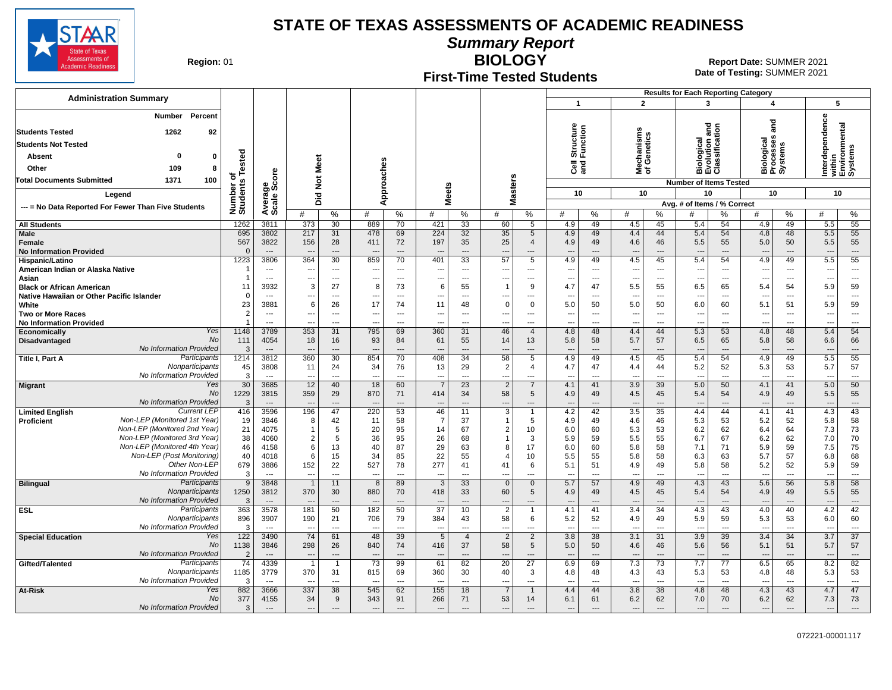

**Summary Report**

**Region: 01** 

## **First-Time Tested Students**

**BIOLOGY** 01 **Report Date:** SUMMER 2021 **Date of Testing:**  SUMMER 2021

|                                                                                                                                            |                                  |                                   |                                        |                                                      |                          |                                                      |                                            |                                |                                                  |                          |                                              |                                                      |                                                      |                            | <b>Results for Each Reporting Category</b> |                                                      |                                                      |                          |                       |                                                      |
|--------------------------------------------------------------------------------------------------------------------------------------------|----------------------------------|-----------------------------------|----------------------------------------|------------------------------------------------------|--------------------------|------------------------------------------------------|--------------------------------------------|--------------------------------|--------------------------------------------------|--------------------------|----------------------------------------------|------------------------------------------------------|------------------------------------------------------|----------------------------|--------------------------------------------|------------------------------------------------------|------------------------------------------------------|--------------------------|-----------------------|------------------------------------------------------|
| <b>Administration Summary</b>                                                                                                              |                                  |                                   |                                        |                                                      |                          |                                                      |                                            |                                |                                                  |                          | $\mathbf{1}$                                 |                                                      | $\overline{2}$                                       |                            | 3                                          |                                                      | 4                                                    |                          | 5                     |                                                      |
| Percent<br>Number<br>1262<br>92<br><b>Students Tested</b><br><b>Students Not Tested</b><br>Absent<br>0<br>$\mathbf 0$<br>109<br>8<br>Other | <b>Tested</b><br>৳               | ge<br>Score                       | Meet                                   |                                                      |                          | Approaches                                           |                                            |                                |                                                  |                          | g<br>Structure<br>Function<br><b>ខិ</b> ខ្លី |                                                      | Mechanisms<br>of Genetics                            |                            | മ <b>ய்</b> ပ                              | and<br>liological<br>:volution and<br>:lassification | าอี<br>ลิ<br>Biological<br>Processes<br>Systems      |                          | erdependence          | Interdependenc<br>within<br>Environmental<br>Systems |
| 100<br><b>Total Documents Submitted</b><br>1371                                                                                            |                                  |                                   | $\rm \breve{z}$                        |                                                      |                          |                                                      |                                            |                                |                                                  | Masters                  |                                              |                                                      |                                                      |                            | <b>Number of Items Tested</b>              |                                                      |                                                      |                          |                       |                                                      |
| Legend                                                                                                                                     |                                  |                                   | Did                                    |                                                      |                          |                                                      | <b>Meets</b>                               |                                |                                                  |                          | 10                                           |                                                      | 10                                                   |                            | 10                                         |                                                      | 10                                                   |                          | 10                    |                                                      |
| --- = No Data Reported For Fewer Than Five Students                                                                                        | Number of<br>Students            | Averag<br>Scale                   | #                                      | %                                                    | #                        | %                                                    | #                                          | %                              | #                                                | %                        | #                                            | %                                                    | #                                                    | ℅                          | Avg. # of Items / % Correct<br>#           | %                                                    | #                                                    | %                        | #                     | $\%$                                                 |
| <b>All Students</b>                                                                                                                        | 1262                             | 3811                              | 373                                    | 30                                                   | 889                      | 70                                                   | 421                                        | 33                             | 60                                               | 5                        | 4.9                                          | 49                                                   | 4.5                                                  | 45                         | 5.4                                        | 54                                                   | 4.9                                                  | 49                       | 5.5                   | 55                                                   |
| Male<br>Female<br><b>No Information Provided</b>                                                                                           | 695<br>567<br>$\mathbf{0}$       | 3802<br>3822<br>$---$             | 217<br>156<br>$\overline{\phantom{a}}$ | 31<br>28<br>---                                      | 478<br>411               | 69<br>72<br>$---$                                    | 224<br>197<br>---                          | 32<br>35                       | 35<br>25                                         | 5<br>$\overline{4}$      | 4.9<br>4.9<br>---                            | 49<br>49<br>$\overline{a}$                           | 4.4<br>4.6<br>$\overline{\phantom{a}}$               | 44<br>46                   | 5.4<br>5.5<br>$\overline{a}$               | 54<br>55<br>$\overline{a}$                           | 4.8<br>5.0<br>$\overline{\phantom{a}}$               | 48<br>50                 | 5.5<br>5.5            | 55<br>55<br>$\overline{\phantom{a}}$                 |
| Hispanic/Latino                                                                                                                            | 1223                             | 3806                              | 364                                    | 30                                                   | 859                      | 70                                                   | 401                                        | 33                             | 57                                               | 5                        | 4.9                                          | 49                                                   | 4.5                                                  | 45                         | 5.4                                        | 54                                                   | 4.9                                                  | 49                       | 5.5                   | 55                                                   |
| American Indian or Alaska Native                                                                                                           | 1<br>$\overline{1}$              | $\overline{\phantom{a}}$<br>$---$ | --<br>---                              | $\hspace{0.05cm} \ldots$<br>$\overline{\phantom{a}}$ |                          | $\hspace{0.05cm} \ldots$<br>$\overline{\phantom{a}}$ | ---<br>---                                 | $\sim$<br>$\sim$               | $\sim$                                           | $\overline{a}$<br>---    | ---<br>---                                   | $\overline{\phantom{a}}$<br>$\overline{\phantom{a}}$ | $\overline{\phantom{a}}$<br>$\overline{\phantom{a}}$ | $---$<br>---               | $\overline{\phantom{a}}$<br>$---$          | ---                                                  | $\overline{\phantom{a}}$<br>$\overline{\phantom{a}}$ | ---<br>$\overline{a}$    | ---<br>$---$          | ---<br>---                                           |
| Asian<br><b>Black or African American</b>                                                                                                  | 11                               | 3932                              | 3                                      | 27                                                   | ---<br>8                 | 73                                                   | 6                                          | 55                             | $\mathbf{1}$                                     | $\mathbf{q}$             | 4.7                                          | 47                                                   | 5.5                                                  | 55                         | 6.5                                        | $\overline{\phantom{a}}$<br>65                       | 5.4                                                  | 54                       | 5.9                   | 59                                                   |
| Native Hawaiian or Other Pacific Islander                                                                                                  | $\mathbf 0$                      | $\overline{a}$                    | $\overline{a}$                         | $---$                                                |                          | $\overline{a}$                                       | ---                                        | $\sim$                         |                                                  | $\sim$                   | $\overline{a}$                               | $---$                                                | $\sim$                                               | $-$                        | $\sim$                                     | ---                                                  | $\overline{\phantom{a}}$                             | $---$                    | $\overline{a}$        | $\overline{a}$                                       |
| White                                                                                                                                      | 23                               | 3881                              | 6                                      | 26                                                   | 17                       | 74                                                   | 11                                         | 48                             | $\Omega$                                         | $\mathbf 0$              | 5.0                                          | 50                                                   | 5.0                                                  | 50                         | 6.0                                        | 60                                                   | 5.1                                                  | 51                       | 5.9                   | 59                                                   |
| <b>Two or More Races</b><br><b>No Information Provided</b>                                                                                 | $\overline{2}$<br>$\overline{1}$ | $---$<br>$---$                    | ---<br>---                             | $---$<br>$- - -$                                     | $---$                    | $---$<br>$---$                                       | $\overline{\phantom{a}}$<br>$\overline{a}$ | $\sim$<br>$\sim$               | $\sim$                                           | $\overline{a}$<br>---    | $\sim$<br>$\overline{a}$                     | $---$<br>$---$                                       | $\sim$<br>$\sim$                                     | $---$<br>$---$             | $\overline{\phantom{a}}$<br>$---$          | $\overline{a}$<br>---                                | $\overline{\phantom{a}}$<br>$---$                    | $---$<br>$---$           | ---<br>$---$          | $\overline{\phantom{a}}$<br>$\sim$                   |
| Yes<br><b>Economically</b>                                                                                                                 | 1148                             | 3789                              | 353                                    | 31                                                   | 795                      | 69                                                   | 360                                        | 31                             | 46                                               | $\overline{4}$           | 4.8                                          | 48                                                   | 4.4                                                  | 44                         | 5.3                                        | 53                                                   | 4.8                                                  | 48                       | 5.4                   | 54                                                   |
| <b>No</b><br>Disadvantaged<br>No Information Provided                                                                                      | 111<br>3                         | 4054<br>$---$                     | 18                                     | 16                                                   | 93                       | 84<br>$\overline{a}$                                 | 61<br>$\overline{\phantom{a}}$             | 55<br>$\overline{\phantom{a}}$ | 14                                               | 13<br>$-$                | 5.8                                          | 58<br>$---$                                          | 5.7<br>$-$                                           | 57                         | 6.5<br>$\overline{\phantom{a}}$            | 65<br>$\overline{a}$                                 | 5.8<br>$\overline{\phantom{a}}$                      | 58<br>$-$ --             | 6.6                   | 66<br>$\overline{\phantom{a}}$                       |
| Participants<br>Title I, Part A                                                                                                            | 1214                             | 3812                              | 360                                    | 30                                                   | 854                      | 70                                                   | 408                                        | 34                             | 58                                               | 5                        | 4.9                                          | 49                                                   | 4.5                                                  | 45                         | 5.4                                        | 54                                                   | 4.9                                                  | 49                       | 5.5                   | 55                                                   |
| Nonparticipants                                                                                                                            | 45                               | 3808                              | 11                                     | 24                                                   | 34                       | 76                                                   | 13                                         | 29                             | $\overline{2}$                                   | $\overline{4}$           | 4.7                                          | 47                                                   | 4.4                                                  | 44                         | 5.2                                        | 52                                                   | 5.3                                                  | 53                       | 5.7                   | 57                                                   |
| No Information Provideo                                                                                                                    | 3                                | $\overline{\phantom{a}}$          | --                                     | $---$                                                |                          | ---                                                  | $\overline{\phantom{a}}$                   | $\sim$                         | $\overline{a}$                                   | ---                      | ---                                          | $\overline{\phantom{a}}$                             | $\overline{\phantom{a}}$                             | $---$                      | $\overline{a}$                             | ---                                                  | $\overline{\phantom{a}}$                             | $\cdots$                 | ---                   | $\cdots$                                             |
| Yes<br><b>Migrant</b><br><b>No</b><br>No Information Provided                                                                              | 30<br>1229<br>$\mathbf{3}$       | 3685<br>3815<br>$\overline{a}$    | 12<br>359                              | 40<br>29<br>$\overline{a}$                           | 18<br>870                | 60<br>71<br>$\sim$                                   | 414                                        | 23<br>34                       | $\overline{2}$<br>58<br>$\overline{\phantom{a}}$ | $5\phantom{1}$<br>$\sim$ | 4.1<br>4.9                                   | 41<br>49<br>$---$                                    | 3.9<br>4.5                                           | 39<br>45<br>$\overline{a}$ | 5.0<br>5.4                                 | 50<br>54<br>---                                      | 4.1<br>4.9                                           | 41<br>49<br>$---$        | 5.0<br>5.5            | 50<br>55<br>---                                      |
| <b>Current LEP</b><br><b>Limited English</b>                                                                                               | 416                              | 3596                              | 196                                    | 47                                                   | 220                      | 53                                                   | $\overline{\phantom{a}}$<br>46             | 11                             | $\overline{3}$                                   | $\overline{1}$           | 4.2                                          | 42                                                   | $\overline{\phantom{a}}$<br>3.5                      | 35                         | $\overline{\phantom{a}}$<br>4.4            | 44                                                   | 4.1                                                  | 41                       | 4.3                   | 43                                                   |
| Non-LEP (Monitored 1st Year)<br>Proficient                                                                                                 | 19                               | 3846                              | 8                                      | 42                                                   | 11                       | 58                                                   | $\overline{7}$                             | 37                             | $\mathbf{1}$                                     | 5                        | 4.9                                          | 49                                                   | 4.6                                                  | 46                         | 5.3                                        | 53                                                   | 5.2                                                  | 52                       | 5.8                   | 58                                                   |
| Non-LEP (Monitored 2nd Year)                                                                                                               | 21                               | 4075                              | 1                                      | 5                                                    | 20                       | 95                                                   | 14                                         | 67                             | $\overline{2}$                                   | 10                       | 6.0                                          | 60                                                   | 5.3                                                  | 53                         | 6.2                                        | 62                                                   | 6.4                                                  | 64                       | 7.3                   | 73                                                   |
| Non-LEP (Monitored 3rd Year)                                                                                                               | 38                               | 4060                              | $\overline{2}$                         | 5                                                    | 36                       | 95                                                   | 26                                         | 68                             | 1                                                | 3                        | 5.9                                          | 59                                                   | 5.5                                                  | 55                         | 6.7                                        | 67                                                   | 6.2                                                  | 62                       | 7.0                   | 70                                                   |
| Non-LEP (Monitored 4th Year)<br>Non-LEP (Post Monitoring)                                                                                  | 46                               | 4158                              | 6                                      | 13                                                   | 40                       | 87                                                   | 29                                         | 63                             | 8                                                | 17                       | 6.0                                          | 60                                                   | 5.8                                                  | 58                         | 7.1                                        | 71                                                   | 5.9                                                  | 59                       | 7.5                   | 75                                                   |
| Other Non-LEF                                                                                                                              | 40<br>679                        | 4018<br>3886                      | 6<br>152                               | 15<br>22                                             | 34<br>527                | 85<br>78                                             | 22<br>277                                  | 55<br>41                       | 4<br>41                                          | 10<br>6                  | 5.5<br>5.1                                   | 55<br>51                                             | 5.8<br>4.9                                           | 58<br>49                   | 6.3<br>5.8                                 | 63<br>58                                             | 5.7<br>5.2                                           | 57<br>52                 | 6.8<br>5.9            | 68<br>59                                             |
| No Information Provided                                                                                                                    | 3                                | $\overline{a}$                    | ---                                    | ---                                                  |                          | $\overline{a}$                                       | $\overline{a}$                             | $\overline{a}$                 | $\overline{a}$                                   | ---                      | ---                                          | $\overline{a}$                                       | $\overline{\phantom{a}}$                             | $\overline{a}$             | $\cdots$                                   | ---                                                  | $\overline{\phantom{a}}$                             | $\overline{a}$           | ---                   | ---                                                  |
| Participants<br><b>Bilingual</b>                                                                                                           | 9                                | 3848                              | $\overline{1}$                         | 11                                                   | 8                        | 89                                                   | $\overline{3}$                             | 33                             | $\overline{0}$                                   | $\mathbf 0$              | 5.7                                          | 57                                                   | 4.9                                                  | 49                         | 4.3                                        | 43                                                   | 5.6                                                  | 56                       | 5.8                   | 58                                                   |
| Nonparticipants<br>No Information Provided                                                                                                 | 1250<br>3                        | 3812<br>$\overline{a}$            | 370                                    | 30<br>$\overline{a}$                                 | 880                      | 70<br>$\overline{a}$                                 | 418<br>$\overline{a}$                      | 33                             | 60                                               | 5                        | 4.9                                          | 49<br>$\overline{a}$                                 | 4.5                                                  | 45<br>---                  | 5.4<br>$\overline{a}$                      | 54<br>$\overline{a}$                                 | 4.9                                                  | 49<br>$---$              | 5.5                   | 55<br>$\overline{a}$                                 |
| Participants<br><b>ESL</b>                                                                                                                 | 363                              | 3578                              | 181                                    | 50                                                   | 182                      | 50                                                   | 37                                         | 10                             | $\overline{2}$                                   |                          | 4.1                                          | 41                                                   | 3.4                                                  | $\overline{34}$            | 4.3                                        | 43                                                   | 4.0                                                  | 40                       | 4.2                   | 42                                                   |
| Nonparticipants                                                                                                                            | 896                              | 3907                              | 190                                    | 21                                                   | 706                      | 79                                                   | 384                                        | 43                             | 58                                               | 6                        | 5.2                                          | 52                                                   | 4.9                                                  | 49                         | 5.9                                        | 59                                                   | 5.3                                                  | 53                       | 6.0                   | 60                                                   |
| No Information Provided<br>Yes                                                                                                             | 3                                | $---$                             | ---                                    | $---$                                                | $\overline{\phantom{a}}$ | $---$                                                | $\overline{\phantom{a}}$                   | $\sim$                         | $\sim$                                           | ---                      | $\sim$                                       | $---$                                                | $\sim$                                               | $---$                      | $\sim$                                     | $\overline{\phantom{a}}$                             | $\overline{a}$                                       | $---$                    | $\overline{a}$        | ---                                                  |
| <b>Special Education</b><br><b>No</b>                                                                                                      | 122<br>1138                      | 3490<br>3846                      | 74<br>298                              | 61<br>26                                             | 48<br>840                | 39<br>74                                             | 5<br>416                                   | $\overline{4}$<br>37           | $\overline{2}$<br>58                             | $\overline{2}$<br>5      | 3.8<br>5.0                                   | 38<br>50                                             | 3.1<br>4.6                                           | 31<br>46                   | 3.9<br>5.6                                 | 39<br>56                                             | 3.4<br>5.1                                           | 34<br>51                 | 3.7<br>5.7            | 37<br>57                                             |
| No Information Provided                                                                                                                    | $\overline{2}$                   | $-$                               | $\overline{\phantom{a}}$               | $---$                                                |                          | $\overline{\phantom{a}}$                             | $\overline{\phantom{a}}$                   | $\overline{\phantom{a}}$       |                                                  | $\overline{a}$           | $\overline{\phantom{a}}$                     | $\overline{a}$                                       | $\overline{\phantom{a}}$                             | $\overline{\phantom{a}}$   | $\overline{a}$                             | $\overline{a}$                                       | $\overline{\phantom{a}}$                             | $\overline{a}$           | $\overline{a}$        | $---$                                                |
| Participants<br>Gifted/Talented                                                                                                            | 74                               | 4339                              | $\overline{1}$                         | -1                                                   | 73                       | 99                                                   | 61                                         | 82                             | 20                                               | 27                       | 6.9                                          | 69                                                   | 7.3                                                  | 73                         | 7.7                                        | 77                                                   | 6.5                                                  | 65                       | 8.2                   | 82                                                   |
| Nonparticipants<br>No Information Provideo                                                                                                 | 1185                             | 3779                              | 370                                    | 31                                                   | 815                      | 69                                                   | 360                                        | 30                             | 40                                               | 3                        | 4.8                                          | 48                                                   | 4.3                                                  | 43                         | 5.3                                        | 53                                                   | 4.8                                                  | 48                       | 5.3                   | 53                                                   |
| At-Risk<br>Yes                                                                                                                             | 3<br>882                         | $---$<br>3666                     | $\overline{a}$<br>337                  | $---$<br>38                                          | $---$<br>545             | $---$<br>62                                          | $\sim$<br>155                              | $\sim$<br>18                   | $\sim$<br>$\overline{7}$                         | $\sim$                   | $\sim$<br>4.4                                | $---$<br>44                                          | $\sim$<br>3.8                                        | $---$<br>38                | $\ddotsc$<br>4.8                           | $\sim$<br>48                                         | $-$<br>4.3                                           | $---$<br>43              | $\overline{a}$<br>4.7 | $\cdots$<br>47                                       |
| No                                                                                                                                         | 377                              | 4155                              | 34                                     | 9                                                    | 343                      | 91                                                   | 266                                        | 71                             | 53                                               | 14                       | 6.1                                          | 61                                                   | 6.2                                                  | 62                         | 7.0                                        | 70                                                   | 6.2                                                  | 62                       | 7.3                   | 73                                                   |
| No Information Provided                                                                                                                    | 3                                | $\cdots$                          | ---                                    | $\overline{a}$                                       | $\overline{\phantom{a}}$ | $\overline{\phantom{a}}$                             | $\overline{\phantom{a}}$                   | $\overline{\phantom{a}}$       | $\overline{\phantom{a}}$                         | $\overline{\phantom{a}}$ | $\overline{\phantom{a}}$                     | $\sim$                                               | $\overline{\phantom{a}}$                             | $\overline{\phantom{a}}$   | $\overline{a}$                             | ---                                                  | $\overline{\phantom{a}}$                             | $\overline{\phantom{a}}$ | ---                   | $\overline{\phantom{a}}$                             |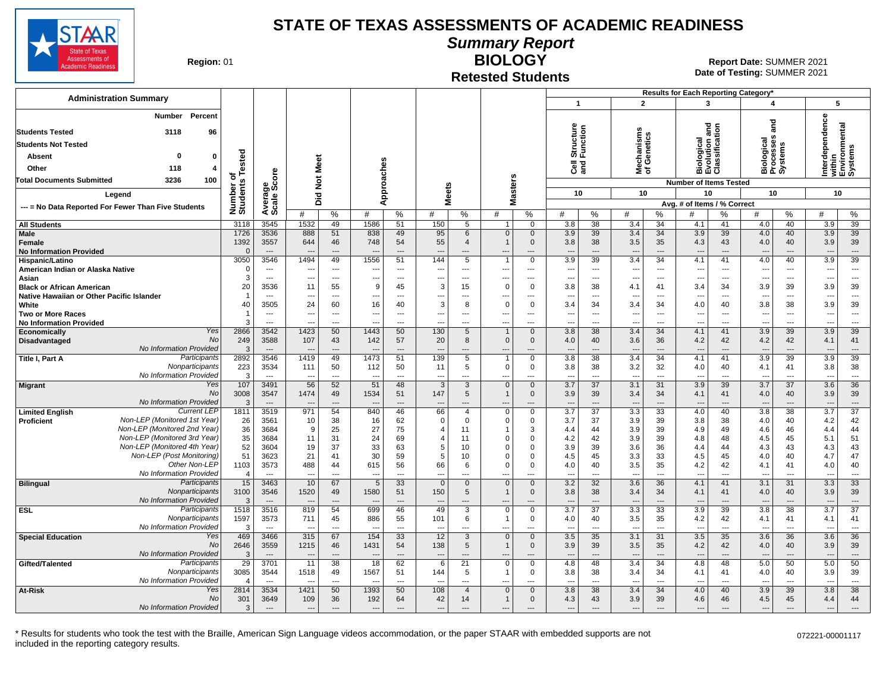

**Summary Report**

**Region: 01** 

#### **Retested Students BIOLOGY**

| <b>Administration Summary</b>                                              |                       |                                            |                        |                                |                                                      |                         |                                  |                               |                          |                     | $\overline{1}$                  |                          | $\overline{2}$                                       |                                | Results for Each Reporting Category*<br>3  |                          | 4                                  |                                  | 5                                     |                                 |
|----------------------------------------------------------------------------|-----------------------|--------------------------------------------|------------------------|--------------------------------|------------------------------------------------------|-------------------------|----------------------------------|-------------------------------|--------------------------|---------------------|---------------------------------|--------------------------|------------------------------------------------------|--------------------------------|--------------------------------------------|--------------------------|------------------------------------|----------------------------------|---------------------------------------|---------------------------------|
|                                                                            |                       |                                            |                        |                                |                                                      |                         |                                  |                               |                          |                     |                                 |                          |                                                      |                                |                                            |                          |                                    |                                  |                                       |                                 |
| Percent<br>Number                                                          |                       |                                            |                        |                                |                                                      |                         |                                  |                               |                          |                     |                                 |                          |                                                      |                                |                                            |                          |                                    |                                  |                                       |                                 |
| <b>Students Tested</b><br>3118<br>96                                       |                       |                                            |                        |                                |                                                      |                         |                                  |                               |                          |                     | Structure<br>Function           |                          |                                                      |                                | logical<br>Ilution and<br>ssification      |                          | and                                |                                  | erdependence<br>ithin<br>nvironmental |                                 |
| <b>Students Not Tested</b>                                                 |                       |                                            |                        |                                |                                                      |                         |                                  |                               |                          |                     |                                 |                          | Mechanisms<br>of Genetics                            |                                |                                            |                          | siological<br>'rocesses<br>'ystems |                                  |                                       |                                 |
|                                                                            |                       |                                            |                        |                                |                                                      |                         |                                  |                               |                          |                     |                                 |                          |                                                      |                                |                                            |                          |                                    |                                  |                                       | stems                           |
| 0<br><b>Absent</b><br>$\mathbf{0}$                                         |                       |                                            | Meet                   |                                |                                                      |                         |                                  |                               |                          |                     |                                 |                          |                                                      |                                | ō<br><u>ō</u>                              | $\bar{g}$ $\bar{g}$      |                                    |                                  |                                       |                                 |
| Other<br>118<br>$\boldsymbol{4}$                                           | Tested                |                                            |                        |                                |                                                      |                         |                                  |                               |                          |                     | ලි දි                           |                          |                                                      |                                | @ ش ق                                      |                          | ma w                               |                                  | 莫혼몇                                   |                                 |
| 3236<br>100<br>Total Documents Submitted                                   | ৳                     | ge<br>Score                                | $\frac{5}{2}$          |                                |                                                      |                         |                                  |                               |                          |                     |                                 |                          |                                                      |                                | <b>Number of Items Tested</b>              |                          |                                    |                                  |                                       |                                 |
| Legend                                                                     | Number of<br>Students |                                            |                        |                                |                                                      | Approaches              |                                  | <b>Meets</b>                  |                          | asters              | 10                              |                          | 10                                                   |                                | 10                                         |                          | 10                                 |                                  | 10                                    |                                 |
| --- = No Data Reported For Fewer Than Five Students                        |                       | Averag<br>Scale:                           | Did                    |                                |                                                      |                         |                                  |                               | ż                        |                     |                                 |                          |                                                      |                                | Avg. # of Items / % Correct                |                          |                                    |                                  |                                       |                                 |
|                                                                            |                       |                                            | #                      | %                              | #                                                    | $\frac{0}{0}$           | #                                | %                             | #                        | %                   | #                               | ℅                        | #                                                    | %                              |                                            | $\%$                     | #                                  | %                                | #                                     | %                               |
| <b>All Students</b>                                                        | 3118                  | 3545                                       | 1532                   | 49                             | 1586                                                 | 51                      | 150                              | 5                             | 1                        | $\Omega$            | 3.8                             | 38                       | 3.4                                                  | 34                             | 4.1                                        | 41                       | 4.0                                | 40                               | 3.9                                   | 39                              |
| <b>Male</b>                                                                | 1726                  | 3536                                       | 888                    | 51                             | 838                                                  | 49                      | 95                               | 6                             | $\mathbf{0}$             | $\mathbf{0}$        | 3.9                             | 39                       | 3.4                                                  | 34                             | 3.9                                        | 39                       | 4.0                                | 40                               | 3.9                                   | 39                              |
| Female                                                                     | 1392                  | 3557                                       | 644                    | 46                             | 748                                                  | 54                      | 55                               | $\boldsymbol{\Delta}$         | $\mathbf{1}$             | $\mathbf 0$         | 3.8                             | 38                       | 3.5                                                  | 35                             | 4.3                                        | 43                       | 4.0                                | 40                               | 3.9                                   | 39                              |
| <b>No Information Provided</b><br>Hispanic/Latino                          | $\Omega$<br>3050      | $\overline{a}$<br>3546                     | 1494                   | $\overline{\phantom{a}}$<br>49 | 1556                                                 | $\overline{a}$<br>51    | $---$<br>144                     | ---<br>$\overline{5}$         | ---<br>$\overline{1}$    | ---<br>$\mathbf 0$  | $\overline{a}$<br>3.9           | $\overline{a}$<br>39     | $\overline{a}$<br>3.4                                | $\overline{a}$<br>34           | $--$<br>4.1                                | $\overline{a}$<br>41     | 4.0                                | $\overline{a}$<br>40             | $\overline{\phantom{a}}$<br>3.9       | $\qquad \qquad \cdots$<br>39    |
| American Indian or Alaska Native                                           | $\mathbf 0$           | $\overline{a}$                             | ---                    | $---$                          | $\overline{\phantom{a}}$                             | $\overline{a}$          | ---                              | ---                           | ---                      | ---                 | $\overline{\phantom{a}}$        | $\overline{\phantom{a}}$ | $\overline{\phantom{a}}$                             | $\overline{\phantom{a}}$       | $\overline{\phantom{a}}$                   | $\overline{\phantom{a}}$ | $\ddotsc$                          | $\overline{\phantom{a}}$         | $\overline{\phantom{a}}$              | $\overline{\phantom{a}}$        |
| Asian                                                                      | 3                     | $\overline{a}$                             | ---                    | $\sim$                         | $\sim$                                               | $---$                   | $\overline{a}$                   | $\overline{a}$                | $\overline{\phantom{a}}$ | $\overline{a}$      | $---$                           | $---$                    | $\overline{\phantom{a}}$                             | ---                            | $\overline{a}$                             | $---$                    | $-$                                | $---$                            | $\sim$                                | $\sim$                          |
| <b>Black or African American</b>                                           | 20                    | 3536                                       | 11                     | 55                             | 9                                                    | 45                      | 3                                | 15                            | $\overline{0}$           | $\Omega$            | 3.8                             | 38                       | 4.1                                                  | 41                             | 3.4                                        | 34                       | 3.9                                | 39                               | 3.9                                   | 39                              |
| Native Hawaiian or Other Pacific Islander                                  | $\overline{1}$        | $\overline{\phantom{a}}$                   | ---                    | $-$                            |                                                      | $---$                   | ---                              | ---                           | ---                      |                     | $\overline{a}$                  | $---$                    | $\overline{\phantom{a}}$                             | ---                            | $\overline{\phantom{a}}$                   | ---                      | $\overline{a}$                     | $\overline{a}$                   | ---                                   | ---                             |
| White                                                                      | 40                    | 3505                                       | 24                     | 60                             | 16                                                   | 40                      | 3                                | 8                             | $\Omega$                 | $\mathbf 0$         | 3.4                             | 34                       | 3.4                                                  | 34                             | 4.0                                        | 40                       | 3.8                                | 38                               | 3.9                                   | 39                              |
| <b>Two or More Races</b><br><b>No Information Provided</b>                 | $\overline{1}$<br>3   | $\overline{\phantom{a}}$<br>$\overline{a}$ | ---<br>Ξ.              | $-$<br>$\overline{a}$          | $\overline{\phantom{a}}$<br>$\overline{\phantom{a}}$ | $---$<br>$\overline{a}$ | ---<br>$\overline{\phantom{a}}$  | ---<br>---                    | ---<br>---               | $---$<br>$\sim$     | $\overline{\phantom{a}}$<br>-−  | $---$<br>$\overline{a}$  | $\overline{\phantom{a}}$<br>$\overline{\phantom{a}}$ | ---<br>---                     | $\overline{\phantom{a}}$<br>$\overline{a}$ | ---<br>$\overline{a}$    | $\overline{a}$<br>---              | $\overline{a}$<br>$\overline{a}$ | $\overline{\phantom{a}}$<br>---       | ---<br>$\hspace{0.05cm} \ldots$ |
| Yes<br>Economically                                                        | 2866                  | 3542                                       | 1423                   | 50                             | 1443                                                 | 50                      | 130                              | 5                             | $\mathbf{1}$             | $\mathbf{0}$        | 3.8                             | 38                       | 3.4                                                  | 34                             | 4.1                                        | 41                       | 3.9                                | 39                               | 3.9                                   | 39                              |
| <b>No</b><br><b>Disadvantaged</b>                                          | 249                   | 3588                                       | 107                    | 43                             | 142                                                  | 57                      | 20                               | 8                             | $\overline{0}$           | $\mathbf 0$         | 4.0                             | 40                       | 3.6                                                  | 36                             | 4.2                                        | 42                       | 4.2                                | 42                               | 4.1                                   | 41                              |
| No Information Provided                                                    | 3                     | $\overline{a}$                             | $\sim$                 | $---$                          | --                                                   | $\overline{a}$          | $\overline{a}$                   | ---                           | ---                      | ---                 | $\sim$                          | $\overline{a}$           | $\overline{a}$                                       | $\overline{a}$                 | $\overline{a}$                             | ---                      | $\sim$                             | $\overline{a}$                   | ---                                   | $\hspace{1.5cm} \cdots$         |
| Participants<br>Title I. Part A                                            | 2892                  | 3546                                       | 1419                   | 49                             | 1473                                                 | 51                      | 139                              | $\overline{5}$                | $\overline{1}$           | $\overline{0}$      | $\overline{3.8}$                | $\overline{38}$          | 3.4                                                  | $\overline{34}$                | 4.1                                        | 41                       | 3.9                                | 39                               | 3.9                                   | 39                              |
| Nonparticipants<br>No Information Provided                                 | 223<br>3              | 3534<br>$\overline{a}$                     | 111                    | 50<br>$-$                      | 112                                                  | 50<br>$---$             | 11                               | 5                             | $\mathbf 0$              | 0                   | 3.8                             | 38<br>$\overline{a}$     | 3.2                                                  | 32                             | 4.0                                        | 40<br>---                | 4.1<br>---                         | 41<br>$---$                      | 3.8                                   | 38                              |
| Yes<br><b>Migrant</b>                                                      | 107                   | 3491                                       | ---<br>56              | 52                             | $\overline{\phantom{a}}$<br>51                       | 48                      | ---<br>3                         | ---<br>3                      | ---<br>$\Omega$          | ---<br>$\mathbf{0}$ | ---<br>3.7                      | 37                       | ---<br>3.1                                           | ---<br>31                      | $\overline{a}$<br>3.9                      | 39                       | 3.7                                | 37                               | ---<br>3.6                            | $\overline{\phantom{a}}$<br>36  |
| No                                                                         | 3008                  | 3547                                       | 1474                   | 49                             | 1534                                                 | 51                      | 147                              | 5                             | $\overline{1}$           | $\mathbf 0$         | 3.9                             | 39                       | 3.4                                                  | 34                             | 4.1                                        | 41                       | 4.0                                | 40                               | 3.9                                   | 39                              |
| No Information Provided                                                    | 3                     | $-$                                        |                        | $\overline{a}$                 |                                                      | $---$                   | $\overline{\phantom{a}}$         | ---                           | ---                      | ---                 | $\overline{\phantom{a}}$        | $---$                    | $\overline{\phantom{a}}$                             | $\overline{\phantom{a}}$       | $\overline{a}$                             | $\overline{a}$           | $\overline{\phantom{a}}$           | $\overline{a}$                   | $\overline{\phantom{a}}$              | $\overline{\phantom{a}}$        |
| <b>Current LEP</b><br><b>Limited English</b>                               | 1811                  | 3519                                       | 971                    | 54                             | 840                                                  | 46                      | 66                               | $\overline{4}$                | $\Omega$                 | $\Omega$            | 3.7                             | $\overline{37}$          | 3.3                                                  | 33                             | 4.0                                        | 40                       | 3.8                                | $\overline{38}$                  | 3.7                                   | $\overline{37}$                 |
| Non-LEP (Monitored 1st Year)<br>Proficient<br>Non-LEP (Monitored 2nd Year) | 26                    | 3561                                       | 10                     | 38                             | 16                                                   | 62                      | $\mathbf 0$                      | $\Omega$                      | $\mathbf 0$              | 0                   | 3.7                             | 37                       | 3.9                                                  | 39                             | 3.8                                        | 38                       | 4.0                                | 40                               | 4.2                                   | 42                              |
| Non-LEP (Monitored 3rd Year)                                               | 36<br>35              | 3684<br>3684                               | -9<br>11               | 25<br>31                       | 27<br>24                                             | 75<br>69                | $\overline{4}$<br>$\overline{4}$ | 11<br>11                      | $\mathbf 1$<br>$\Omega$  | 3<br>$\Omega$       | 4.4<br>4.2                      | 44<br>42                 | 3.9<br>3.9                                           | 39<br>39                       | 4.9<br>4.8                                 | 49<br>48                 | 4.6<br>4.5                         | 46<br>45                         | 4.4<br>5.1                            | 44<br>51                        |
| Non-LEP (Monitored 4th Year)                                               | 52                    | 3604                                       | 19                     | 37                             | 33                                                   | 63                      | 5                                | 10                            | $\Omega$                 | $\Omega$            | 3.9                             | 39                       | 3.6                                                  | 36                             | 4.4                                        | 44                       | 4.3                                | 43                               | 4.3                                   | 43                              |
| Non-LEP (Post Monitoring)                                                  | 51                    | 3623                                       | 21                     | 41                             | 30                                                   | 59                      | 5                                | 10                            | $\Omega$                 | $\mathbf 0$         | 4.5                             | 45                       | 3.3                                                  | 33                             | 4.5                                        | 45                       | 4.0                                | 40                               | 4.7                                   | 47                              |
| Other Non-LEP                                                              | 1103                  | 3573                                       | 488                    | 44                             | 615                                                  | 56                      | 66                               | 6                             | $\mathbf 0$              | $\mathbf 0$         | 4.0                             | 40                       | 3.5                                                  | 35                             | 4.2                                        | 42                       | 4.1                                | 41                               | 4.0                                   | 40                              |
| No Information Provided                                                    | $\overline{4}$        | $\overline{a}$                             | ---                    | $\overline{\phantom{a}}$       | $\overline{\phantom{a}}$                             | $\overline{a}$          | ---                              | ---                           | ---                      | ---                 | $\overline{a}$                  | $\overline{a}$           | $\overline{\phantom{a}}$                             | $\overline{\phantom{a}}$       | $\overline{a}$                             | ---                      | $\overline{a}$                     | $\overline{a}$                   | $\overline{\phantom{a}}$              | $\overline{\phantom{a}}$        |
| Participants<br><b>Bilingual</b><br>Nonparticipants                        | 15                    | 3463                                       | 10                     | 67                             | 5                                                    | $\overline{33}$         | $\mathbf{0}$                     | $\Omega$                      | $\Omega$                 | $\mathbf{0}$        | 3.2                             | $\overline{32}$          | 3.6                                                  | $\overline{36}$                | 4.1                                        | 41                       | 3.1                                | 31                               | 3.3                                   | 33                              |
| No Information Provided                                                    | 3100<br>3             | 3546<br>$\overline{\phantom{a}}$           | 1520                   | 49<br>$\overline{\phantom{a}}$ | 1580                                                 | 51<br>$---$             | 150                              | 5<br>---                      | $\mathbf{1}$<br>---      | $\Omega$<br>---     | 3.8                             | 38<br>$\overline{a}$     | 3.4<br>$\overline{\phantom{a}}$                      | 34<br>---                      | 4.1                                        | 41<br>---                | 4.0                                | 40<br>$\overline{a}$             | 3.9<br>$\overline{\phantom{a}}$       | 39<br>$\hspace{1.5cm} \cdots$   |
| Participants<br><b>ESL</b>                                                 | 1518                  | 3516                                       | 819                    | 54                             | 699                                                  | 46                      | 49                               | 3                             | $\Omega$                 | $\mathbf 0$         | $\overline{3.7}$                | $\overline{37}$          | 3.3                                                  | 33                             | 3.9                                        | 39                       | 3.8                                | $\overline{38}$                  | 3.7                                   | $\overline{37}$                 |
| Nonparticipants                                                            | 1597                  | 3573                                       | 711                    | 45                             | 886                                                  | 55                      | 101                              | 6                             | $\overline{1}$           | $\mathbf 0$         | 4.0                             | 40                       | 3.5                                                  | 35                             | 4.2                                        | 42                       | 4.1                                | 41                               | 4.1                                   | 41                              |
| No Information Provideo                                                    | 3                     | $\overline{a}$                             | ---                    | $\overline{\phantom{a}}$       | $\overline{\phantom{a}}$                             | $\overline{a}$          | ---                              | $\overline{a}$                | ---                      | ---                 | $\overline{\phantom{a}}$        | $\overline{a}$           | $\overline{a}$                                       | $\overline{\phantom{a}}$       | $\overline{\phantom{a}}$                   | $\overline{a}$           | $\overline{\phantom{a}}$           | $\overline{a}$                   | $\overline{\phantom{a}}$              | $\overline{\phantom{a}}$        |
| Yes<br><b>Special Education</b>                                            | 469                   | 3466                                       | 315                    | 67                             | 154                                                  | 33                      | 12                               | $\mathbf{3}$                  | $\Omega$                 | $\mathbf 0$         | 3.5                             | 35                       | 3.1                                                  | 31                             | 3.5                                        | 35                       | 3.6                                | 36                               | 3.6                                   | 36                              |
| <b>No</b><br>No Information Provided                                       | 2646                  | 3559<br>$\overline{a}$                     | 1215<br>$\overline{a}$ | 46<br>$\overline{\phantom{a}}$ | 1431<br>$\overline{\phantom{a}}$                     | 54<br>$\overline{a}$    | 138<br>$\overline{a}$            | 5<br>$\overline{\phantom{a}}$ | $\mathbf{1}$             | $\mathbf{0}$<br>--- | 3.9                             | 39<br>$\overline{a}$     | 3.5                                                  | 35<br>$\overline{\phantom{a}}$ | 4.2                                        | 42<br>$\overline{a}$     | 4.0<br>$\overline{\phantom{a}}$    | 40<br>$\overline{a}$             | 3.9<br>$\overline{a}$                 | 39<br>$---$                     |
| Participants<br>Gifted/Talented                                            | 3<br>29               | 3701                                       | 11                     | 38                             | 18                                                   | 62                      | 6                                | $\overline{21}$               | ---<br>$\Omega$          | $\mathbf 0$         | $\overline{\phantom{a}}$<br>4.8 | 48                       | $\overline{\phantom{a}}$<br>3.4                      | $\overline{34}$                | $\overline{a}$<br>4.8                      | 48                       | 5.0                                | 50                               | 5.0                                   | 50                              |
| Nonparticipants                                                            | 3085                  | 3544                                       | 1518                   | 49                             | 1567                                                 | 51                      | 144                              | 5                             | $\overline{1}$           | $\mathbf 0$         | 3.8                             | 38                       | 3.4                                                  | 34                             | 4.1                                        | 41                       | 4.0                                | 40                               | 3.9                                   | 39                              |
| No Information Provided                                                    | $\overline{4}$        | $---$                                      | $\sim$                 | $-$                            | $\sim$                                               | $---$                   | $\overline{a}$                   | $\overline{a}$                | ---                      | ---                 | $\overline{\phantom{a}}$        | $\overline{a}$           | $\overline{\phantom{a}}$                             | $\overline{\phantom{a}}$       | $\overline{a}$                             | ---                      | $\overline{\phantom{a}}$           | $\overline{a}$                   | $\sim$                                | $\sim$                          |
| At-Risk<br>Yes                                                             | 2814                  | 3534                                       | 1421                   | 50                             | 1393                                                 | 50                      | 108                              | $\overline{4}$                | $\Omega$                 | $\mathbf{0}$        | 3.8                             | 38                       | 3.4                                                  | 34                             | 4.0                                        | 40                       | 3.9                                | 39                               | 3.8                                   | 38                              |
| <b>No</b>                                                                  | 301                   | 3649                                       | 109                    | 36                             | 192                                                  | 64                      | 42                               | 14                            | $\mathbf{1}$             | $\mathbf{0}$        | 4.3                             | 43                       | 3.9                                                  | 39                             | 4.6                                        | 46                       | 4.5                                | 45                               | 4.4                                   | 44                              |
| No Information Provided                                                    | 3                     | $---$                                      | ---                    | $---$                          | $\overline{\phantom{a}}$                             | $\overline{a}$          | $\cdots$                         | $\overline{a}$                | ---                      | $\sim$              | $\overline{a}$                  | $---$                    | $\overline{\phantom{a}}$                             | $\overline{a}$                 | $\overline{a}$                             | $\overline{a}$           | ---                                | $\sim$                           | $\overline{\phantom{a}}$              | ---                             |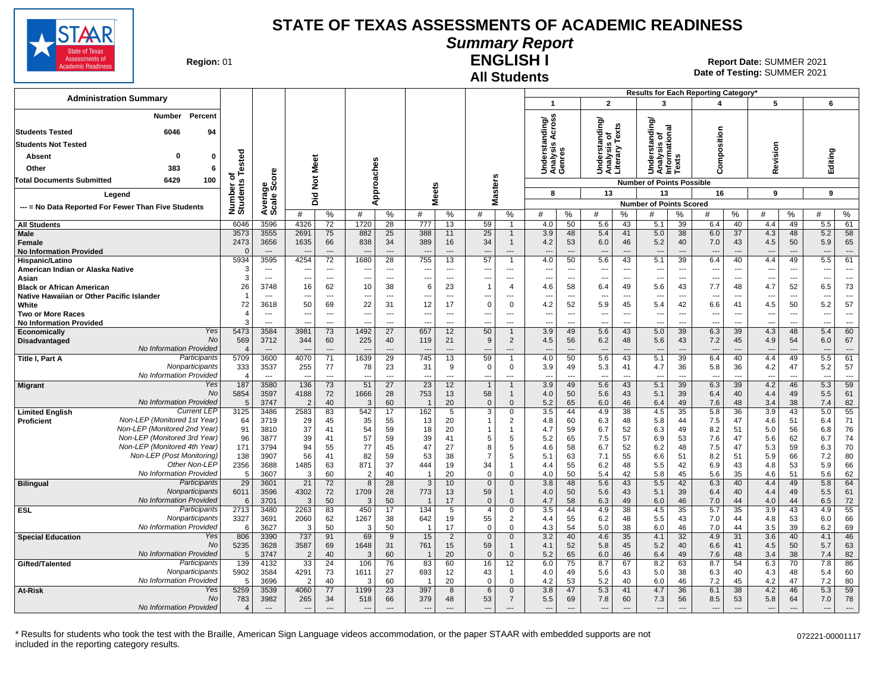

# **Summary Report**

**Region: 01** 

#### **All Students ENGLISH I**

| <b>Administration Summary</b>                                               |                         |                                            |                                |                        |                                |                                            |                          |                                            |                       |                                            |                                 |                                 |                                                 |                       |                                               |                                    | <b>Results for Each Reporting Category</b>           |                                |                                                      |                                |               |                                 |
|-----------------------------------------------------------------------------|-------------------------|--------------------------------------------|--------------------------------|------------------------|--------------------------------|--------------------------------------------|--------------------------|--------------------------------------------|-----------------------|--------------------------------------------|---------------------------------|---------------------------------|-------------------------------------------------|-----------------------|-----------------------------------------------|------------------------------------|------------------------------------------------------|--------------------------------|------------------------------------------------------|--------------------------------|---------------|---------------------------------|
|                                                                             |                         |                                            |                                |                        |                                |                                            |                          |                                            |                       |                                            | -1                              |                                 | $\mathbf{2}$                                    |                       | 3                                             |                                    | 4                                                    |                                | 5                                                    |                                | 6             |                                 |
| Percent<br>Number                                                           |                         |                                            |                                |                        |                                |                                            |                          |                                            |                       |                                            |                                 |                                 |                                                 |                       | ৯                                             |                                    |                                                      |                                |                                                      |                                |               |                                 |
| <b>Students Tested</b><br>6046<br>94                                        |                         |                                            |                                |                        |                                |                                            |                          |                                            |                       |                                            | ding/<br>들                      |                                 |                                                 |                       | tanding                                       |                                    |                                                      |                                |                                                      |                                |               |                                 |
| <b>Students Not Tested</b>                                                  |                         |                                            |                                |                        |                                |                                            |                          |                                            |                       |                                            | ₹.<br>쬬<br>s                    |                                 |                                                 |                       |                                               |                                    |                                                      |                                |                                                      |                                |               |                                 |
| $\mathbf 0$<br>Absent<br>0                                                  |                         |                                            |                                |                        |                                |                                            |                          |                                            |                       |                                            |                                 |                                 |                                                 |                       |                                               | n                                  |                                                      |                                |                                                      |                                |               |                                 |
| 383<br>Other<br>6                                                           | ested                   |                                            | Meet                           |                        |                                |                                            |                          |                                            |                       |                                            | Underst<br>Analysis<br>Genres   |                                 | Understanding/<br>Analysis of<br>Literary Texts |                       | Understanding<br>Analysis of<br>Informational | š                                  | Composition                                          |                                | Revision                                             |                                | Editing       |                                 |
| 6429<br>100<br>Total Documents Submitted                                    | ۴<br>৳                  | ge<br>Score                                | $\frac{5}{2}$                  |                        |                                | pproaches                                  |                          |                                            |                       |                                            |                                 |                                 |                                                 |                       | <b>Number of Points Possible</b>              |                                    |                                                      |                                |                                                      |                                |               |                                 |
| Legend                                                                      | Number of<br>Students   |                                            | 흐                              |                        |                                |                                            | <b>Meets</b>             |                                            |                       | asters                                     | 8                               |                                 | 13                                              |                       | 13                                            |                                    | 16                                                   |                                | $\mathbf{Q}$                                         |                                | 9             |                                 |
| --- = No Data Reported For Fewer Than Five Students                         |                         | Avera<br>Scale                             | ۵                              |                        | ৰ                              |                                            |                          |                                            |                       | Σ                                          |                                 |                                 |                                                 |                       | <b>Number of Points Scored</b>                |                                    |                                                      |                                |                                                      |                                |               |                                 |
|                                                                             |                         |                                            | #                              | %                      | #                              | %                                          | #                        | %                                          | #                     | %                                          | #                               | %                               | #                                               | %                     | #                                             | %                                  | #                                                    | %                              | #                                                    | ℅                              | #             | $\%$                            |
| <b>All Students</b>                                                         | 6046                    | 3596                                       | 4326                           | 72                     | 1720                           | 28                                         | 777                      | 13                                         | 59                    | $\overline{1}$                             | 4.0                             | 50                              | 5.6                                             | 43                    | 5.1                                           | 39                                 | 6.4                                                  | 40                             | 4.4                                                  | 49                             | 5.5           | 61                              |
| Male<br><b>Female</b>                                                       | 3573<br>2473            | 3555<br>3656                               | 2691<br>1635                   | 75<br>66               | 882<br>838                     | 25<br>34                                   | 388<br>389               | 11<br>16                                   | 25<br>34              | $\overline{1}$<br>$\overline{1}$           | 3.9<br>4.2                      | 48<br>53                        | 5.4<br>6.0                                      | 41<br>46              | 5.0<br>5.2                                    | 38<br>40                           | 6.0<br>7.0                                           | 37<br>43                       | 4.3<br>4.5                                           | 48<br>50                       | 5.2<br>5.9    | 58<br>65                        |
| <b>No Information Provided</b>                                              | $\Omega$                | $\overline{\phantom{a}}$                   |                                | $---$                  |                                | $\overline{a}$                             |                          | $\overline{\phantom{a}}$                   |                       | ---                                        |                                 | ---                             | $\overline{\phantom{a}}$                        | $\overline{a}$        | $\overline{\phantom{a}}$                      |                                    |                                                      | $\overline{\phantom{a}}$       |                                                      | ---                            | ---           | $\overline{a}$                  |
| Hispanic/Latino                                                             | 5934                    | 3595                                       | 4254                           | 72                     | 1680                           | 28                                         | 755                      | 13                                         | 57                    | $\overline{1}$                             | 4.0                             | 50                              | 5.6                                             | 43                    | 5.1                                           | 39                                 | 6.4                                                  | 40                             | 4.4                                                  | 49                             | 5.5           | 61                              |
| American Indian or Alaska Native<br>Asian                                   | 3<br>3                  | $\overline{a}$<br>$\overline{\phantom{a}}$ | $\overline{\phantom{a}}$       | ---<br>---             | ---                            | $\overline{a}$<br>$\overline{\phantom{a}}$ |                          | $\overline{a}$<br>$\overline{\phantom{a}}$ | ---<br>---            | $\overline{a}$<br>$\overline{\phantom{a}}$ | ---                             | ---<br>$\overline{\phantom{a}}$ | ---<br>---                                      | ---<br>---            | ---                                           | $\sim$<br>$\overline{\phantom{a}}$ | $\overline{\phantom{a}}$<br>$\overline{\phantom{a}}$ | ---<br>---                     | $\overline{\phantom{a}}$<br>$\overline{\phantom{a}}$ | ---<br>---                     | ---<br>---    | $\overline{\phantom{a}}$<br>--- |
| <b>Black or African American</b>                                            | 26                      | 3748                                       | 16                             | 62                     | 10                             | 38                                         | 6                        | 23                                         | $\overline{1}$        | $\overline{4}$                             | 4.6                             | 58                              | 6.4                                             | 49                    | 5.6                                           | 43                                 | 7.7                                                  | 48                             | 4.7                                                  | 52                             | 6.5           | 73                              |
| Native Hawaiian or Other Pacific Islander                                   | -1                      | $- - -$                                    | $\overline{\phantom{a}}$       | ---                    | ---                            | $---$                                      |                          | $---$                                      | ---                   | ---                                        | $\overline{\phantom{a}}$        | $\overline{a}$                  | ---                                             | ---                   | ---                                           | $- - -$                            | $---$                                                | $---$                          | $\overline{\phantom{a}}$                             | ---                            | ---           | $\overline{\phantom{a}}$        |
| White<br><b>Two or More Races</b>                                           | 72<br>$\overline{4}$    | 3618<br>$\overline{\phantom{a}}$           | 50<br>$\overline{\phantom{a}}$ | 69<br>---              | 22<br>$\overline{\phantom{a}}$ | 31<br>$\overline{\phantom{a}}$             | 12<br>---                | 17<br>$---$                                | $\Omega$<br>---       | $\mathbf 0$<br>---                         | 4.2<br>$\overline{\phantom{a}}$ | 52<br>$\overline{\phantom{a}}$  | 5.9<br>---                                      | 45<br>---             | 5.4<br>---                                    | 42<br>$\overline{\phantom{a}}$     | 6.6<br>---                                           | 41<br>$\overline{\phantom{a}}$ | 4.5<br>---                                           | 50<br>$\overline{\phantom{a}}$ | 5.2<br>---    | 57<br>$---$                     |
| <b>No Information Provided</b>                                              |                         | $\sim$                                     | $\sim$                         | $\overline{a}$         | $\overline{a}$                 | $\overline{a}$                             | $\overline{\phantom{a}}$ | $\overline{a}$                             | ---                   | ---                                        | $\overline{\phantom{a}}$        | $\overline{a}$                  | ---                                             | $\overline{a}$        | ---                                           | $\overline{a}$                     | ---                                                  | $\overline{\phantom{a}}$       | ---                                                  | ---                            | ---           | $\overline{\phantom{a}}$        |
| Yes<br>Economically<br>No                                                   | 5473                    | 3584                                       | 3981                           | 73                     | 1492                           | 27                                         | 657                      | 12                                         | 50                    | $\overline{1}$                             | 3.9                             | 49                              | 5.6                                             | 43                    | 5.0                                           | 39                                 | 6.3                                                  | 39                             | 4.3                                                  | 48                             | 5.4           | 60                              |
| Disadvantaged<br>No Information Provided                                    | 569<br>$\overline{4}$   | 3712<br>$---$                              | 344                            | 60<br>$---$            | 225                            | 40<br>$\overline{a}$                       | 119                      | 21<br>$---$                                | 9<br>---              | $\overline{2}$<br>$\overline{a}$           | 4.5<br>$\overline{a}$           | 56<br>$\overline{\phantom{a}}$  | 6.2<br>$\overline{\phantom{a}}$                 | 48<br>$\overline{a}$  | 5.6<br>$\overline{\phantom{a}}$               | 43<br>$---$                        | 7.2<br>$\overline{\phantom{a}}$                      | 45<br>$\overline{\phantom{a}}$ | 4.9<br>$\overline{\phantom{a}}$                      | 54<br>$\overline{a}$           | 6.0<br>---    | 67<br>$\overline{a}$            |
| Participants<br>Title I, Part A                                             | 5709                    | 3600                                       | 4070                           | 71                     | 1639                           | 29                                         | 745                      | 13                                         | 59                    | 1                                          | 4.0                             | 50                              | 5.6                                             | 43                    | 5.1                                           | 39                                 | 6.4                                                  | 40                             | 4.4                                                  | 49                             | 5.5           | 61                              |
| Nonparticipants                                                             | 333                     | 3537                                       | 255                            | 77                     | 78                             | 23                                         | 31                       | 9                                          | $\Omega$              | $\mathbf 0$                                | 3.9                             | 49                              | 5.3                                             | 41                    | 4.7                                           | 36                                 | 5.8                                                  | 36                             | 4.2                                                  | 47                             | 5.2           | 57                              |
| No Information Provided<br>Yes<br><b>Migrant</b>                            | $\sqrt{2}$<br>187       | $\sim$<br>3580                             | $\overline{a}$<br>136          | $\overline{a}$<br>73   | $\overline{a}$<br>51           | $---$<br>27                                | $\sim$<br>23             | $---$<br>12                                | ---<br>$\overline{1}$ | ---<br>$\overline{1}$                      | $\overline{\phantom{a}}$<br>3.9 | $\overline{\phantom{a}}$<br>49  | ---<br>5.6                                      | $\overline{a}$<br>43  | $\overline{a}$<br>5.1                         | $\sim$<br>39                       | $\overline{\phantom{a}}$<br>6.3                      | $---$<br>39                    | $\overline{a}$<br>4.2                                | ---<br>46                      | $\sim$<br>5.3 | $---$<br>59                     |
| <b>No</b>                                                                   | 5854                    | 3597                                       | 4188                           | 72                     | 1666                           | 28                                         | 753                      | 13                                         | 58                    | $\overline{1}$                             | 4.0                             | 50                              | 5.6                                             | 43                    | 5.1                                           | 39                                 | 6.4                                                  | 40                             | 4.4                                                  | 49                             | 5.5           | 61                              |
| No Information Provided<br><b>Current LEP</b>                               | 5                       | 3747                                       | $\overline{2}$                 | 40                     | 3                              | 60                                         |                          | 20                                         | $\mathbf{0}$          | $\overline{0}$                             | 5.2                             | 65                              | 6.0                                             | 46                    | 6.4                                           | 49                                 | 7.6                                                  | 48                             | 3.4                                                  | 38                             | 7.4           | 82                              |
| <b>Limited English</b><br>Non-LEP (Monitored 1st Year)<br><b>Proficient</b> | 3125<br>64              | 3486<br>3719                               | 2583<br>29                     | 83<br>45               | 542<br>35                      | 17<br>55                                   | 162<br>13                | $\overline{5}$<br>20                       | $\overline{3}$        | $\overline{0}$<br>$\overline{2}$           | 3.5<br>4.8                      | 44<br>60                        | 4.9<br>6.3                                      | $\overline{38}$<br>48 | 4.5<br>5.8                                    | 35<br>44                           | 5.8<br>7.5                                           | $\overline{36}$<br>47          | $\overline{3.9}$<br>4.6                              | 43<br>51                       | 5.0<br>6.4    | 55<br>71                        |
| Non-LEP (Monitored 2nd Year)                                                | 91                      | 3810                                       | 37                             | 41                     | 54                             | 59                                         | 18                       | 20                                         |                       | $\overline{1}$                             | 4.7                             | 59                              | 6.7                                             | 52                    | 6.3                                           | 49                                 | 8.2                                                  | 51                             | 5.0                                                  | 56                             | 6.8           | 76                              |
| Non-LEP (Monitored 3rd Year)                                                | 96                      | 3877                                       | 39                             | 41                     | 57                             | 59                                         | 39                       | 41                                         | 5                     | 5                                          | 5.2                             | 65                              | 7.5                                             | 57                    | 6.9                                           | 53                                 | 7.6                                                  | 47                             | 5.6                                                  | 62                             | 6.7           | 74                              |
| Non-LEP (Monitored 4th Year)<br>Non-LEP (Post Monitoring)                   | 171<br>138              | 3794<br>3907                               | 94<br>56                       | 55<br>41               | 77<br>82                       | 45<br>59                                   | 47<br>53                 | 27<br>38                                   | 8<br>$\overline{7}$   | 5<br>5                                     | 4.6<br>5.1                      | 58<br>63                        | 6.7<br>7.1                                      | 52<br>55              | 6.2<br>6.6                                    | 48<br>51                           | 7.5<br>8.2                                           | 47<br>51                       | 5.3<br>5.9                                           | 59<br>66                       | 6.3<br>7.2    | 70<br>80                        |
| Other Non-LEP                                                               | 2356                    | 3688                                       | 1485                           | 63                     | 871                            | 37                                         | 444                      | 19                                         | 34                    | $\overline{1}$                             | 4.4                             | 55                              | 6.2                                             | 48                    | 5.5                                           | 42                                 | 6.9                                                  | 43                             | 4.8                                                  | 53                             | 5.9           | 66                              |
| No Information Provided                                                     | -5                      | 3607                                       | 3                              | 60                     | $\overline{2}$                 | 40                                         |                          | 20                                         | $\Omega$              | $\Omega$                                   | 4.0                             | 50                              | 5.4                                             | 42                    | 5.8                                           | 45                                 | 5.6                                                  | 35                             | 4.6                                                  | 51                             | 5.6           | 62                              |
| Participants<br><b>Bilingual</b><br>Nonparticipants                         | 29<br>6011              | 3601<br>3596                               | 21<br>4302                     | 72<br>72               | -8<br>1709                     | 28<br>28                                   | 3<br>773                 | 10<br>13                                   | $\mathbf{0}$<br>59    | $\mathbf 0$<br>$\overline{1}$              | 3.8<br>4.0                      | 48<br>50                        | 5.6<br>5.6                                      | 43<br>43              | 5.5<br>5.1                                    | 42<br>39                           | 6.3<br>6.4                                           | 40<br>40                       | 4.4<br>4.4                                           | 49<br>49                       | 5.8<br>5.5    | 64<br>61                        |
| No Information Provided                                                     | 6                       | 3701                                       | 3                              | 50                     | 3                              | 50                                         |                          | 17                                         | $\overline{0}$        | $\mathbf{0}$                               | 4.7                             | 58                              | 6.3                                             | 49                    | 6.0                                           | 46                                 | 7.0                                                  | 44                             | 4.0                                                  | 44                             | 6.5           | 72                              |
| Participants<br><b>ESL</b>                                                  | 2713                    | 3480                                       | 2263                           | 83                     | 450                            | 17                                         | 134                      | 5                                          | $\overline{4}$        | $\mathbf 0$                                | 3.5                             | 44                              | 4.9                                             | 38                    | 4.5                                           | 35                                 | 5.7                                                  | $\overline{35}$                | 3.9                                                  | 43                             | 4.9           | 55                              |
| Nonparticipants<br>No Information Provided                                  | 3327<br>6               | 3691<br>3627                               | 2060<br>3                      | 62<br>50               | 1267<br>3                      | 38<br>50                                   | 642                      | 19<br>17                                   | 55<br>$\Omega$        | 2<br>$\mathbf 0$                           | 4.4<br>4.3                      | 55<br>54                        | 6.2<br>5.0                                      | 48<br>38              | 5.5<br>6.0                                    | 43<br>46                           | 7.0<br>7.0                                           | 44<br>44                       | 4.8<br>3.5                                           | 53<br>39                       | 6.0<br>6.2    | 66<br>69                        |
| Yes<br><b>Special Education</b>                                             | 806                     | 3390                                       | 737                            | 91                     | 69                             | 9                                          | 15                       | 2                                          | $\mathbf 0$           | $\mathbf{0}$                               | 3.2                             | 40                              | 4.6                                             | 35                    | 4.1                                           | 32                                 | 4.9                                                  | 31                             | 3.6                                                  | 40                             | 4.1           | 46                              |
| No                                                                          | 5235                    | 3628                                       | 3587                           | 69                     | 1648                           | 31                                         | 761                      | 15                                         | 59                    | $\overline{1}$                             | 4.1                             | 52                              | 5.8                                             | 45                    | 5.2                                           | 40                                 | 6.6                                                  | 41                             | 4.5                                                  | 50                             | 5.7           | 63                              |
| No Information Provided<br>Participants                                     | 5<br>139                | 3747<br>4132                               | $\overline{2}$<br>33           | 40<br>24               | 3<br>106                       | 60<br>76                                   | 83                       | 20<br>60                                   | $\overline{0}$        | $\mathbf 0$                                | 5.2                             | 65<br>75                        | 6.0<br>8.7                                      | 46<br>67              | 6.4<br>8.2                                    | 49<br>63                           | 7.6<br>8.7                                           | 48<br>54                       | 3.4<br>6.3                                           | 38<br>70                       | 7.4           | 82                              |
| Gifted/Talented<br>Nonparticipants                                          | 5902                    | 3584                                       | 4291                           | 73                     | 1611                           | 27                                         | 693                      | 12                                         | 16<br>43              | 12<br>$\overline{1}$                       | 6.0<br>4.0                      | 49                              | 5.6                                             | 43                    | 5.0                                           | 38                                 | 6.3                                                  | 40                             | 4.3                                                  | 48                             | 7.8<br>5.4    | 86<br>60                        |
| No Information Provided                                                     | 5                       | 3696                                       | 2                              | 40                     | 3                              | 60                                         |                          | 20                                         | $\Omega$              | $\mathbf 0$                                | 4.2                             | 53                              | 5.2                                             | 40                    | 6.0                                           | 46                                 | 7.2                                                  | 45                             | 4.2                                                  | 47                             | 7.2           | 80                              |
| Yes<br><b>At-Risk</b>                                                       | 5259                    | 3539                                       | 4060                           | 77                     | 1199                           | 23                                         | 397                      | 8                                          | 6                     | $\Omega$                                   | 3.8                             | 47                              | 5.3                                             | 41                    | 4.7                                           | 36                                 | 6.1                                                  | 38                             | 4.2                                                  | 46                             | 5.3           | 59                              |
| No Information Provided                                                     | $\overline{\mathbf{4}}$ | $---$                                      | $\overline{\phantom{a}}$       | $\qquad \qquad \cdots$ | $\overline{\phantom{a}}$       | $\qquad \qquad \cdots$                     |                          |                                            | ---                   | $\overline{a}$                             | $\overline{\phantom{a}}$        | $\overline{a}$                  | $\overline{\phantom{a}}$                        | ---                   | $\overline{\phantom{a}}$                      |                                    | $\overline{\phantom{a}}$                             | $\overline{\phantom{a}}$       | $\overline{\phantom{a}}$                             |                                |               | $\overline{\phantom{a}}$        |
| No                                                                          | 783                     | 3982                                       | 265                            | 34                     | 518                            | 66                                         | 379                      | 48                                         | 53                    | $\overline{7}$                             | 5.5                             | 69                              | 7.8                                             | 60                    | 7.3                                           | 56                                 | 8.5                                                  | 53                             | 5.8                                                  | 64                             | 7.0           | 78                              |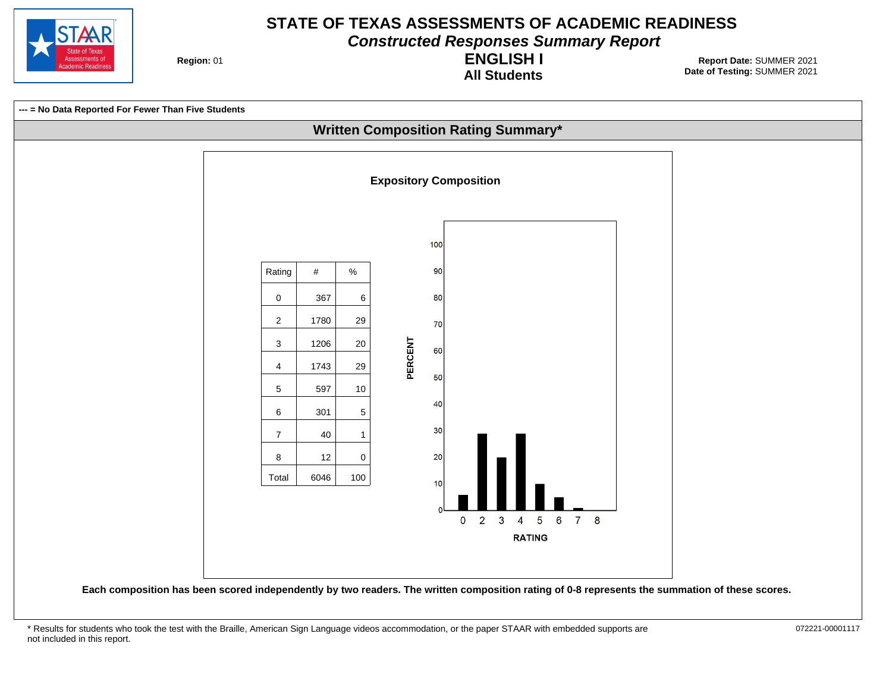

**Constructed Responses Summary Report**

**Region: 01** 

**All Students ENGLISH I**

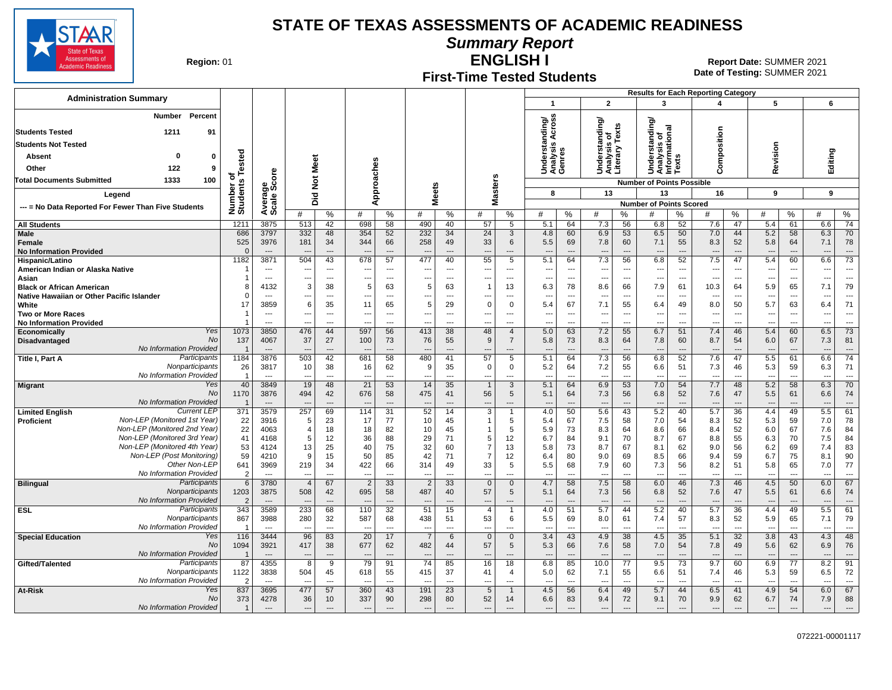**Summary Report**



**Region: 01** 

## **First-Time Tested Students**

**ENGLISH I** 01 **Report Date:** SUMMER 2021 **Date of Testing:**  SUMMER 2021

| <b>Administration Summary</b>                                              |                                 |                                  |                          |                          |                                 |                                |                                 |                                |                                            |                       | $\mathbf{1}$                                         |                                 | $\overline{2}$                                       |                       | <b>Results for Each Reporting Category</b><br>$\overline{\mathbf{3}}$ |                          | $\overline{\mathbf{A}}$         |                                | 5                               |                                 | 6                                                    |                                |
|----------------------------------------------------------------------------|---------------------------------|----------------------------------|--------------------------|--------------------------|---------------------------------|--------------------------------|---------------------------------|--------------------------------|--------------------------------------------|-----------------------|------------------------------------------------------|---------------------------------|------------------------------------------------------|-----------------------|-----------------------------------------------------------------------|--------------------------|---------------------------------|--------------------------------|---------------------------------|---------------------------------|------------------------------------------------------|--------------------------------|
| Percent<br>Number                                                          |                                 |                                  |                          |                          |                                 |                                |                                 |                                |                                            |                       |                                                      |                                 |                                                      |                       |                                                                       |                          |                                 |                                |                                 |                                 |                                                      |                                |
| 1211<br><b>Students Tested</b><br>91                                       |                                 |                                  |                          |                          |                                 |                                |                                 |                                |                                            |                       | ding/<br>cross<br>들                                  |                                 | Understanding/<br>Analysis of<br>Literary Texts      |                       | nding/                                                                |                          |                                 |                                |                                 |                                 |                                                      |                                |
| <b>Students Not Tested</b>                                                 |                                 |                                  |                          |                          |                                 |                                |                                 |                                |                                            |                       | ≺<br>es.<br>S                                        |                                 |                                                      |                       | Understanding<br>Analysis of<br>Informational<br>Texts                |                          | Composition                     |                                |                                 |                                 |                                                      |                                |
| 0<br>0<br>Absent                                                           |                                 |                                  |                          |                          |                                 |                                |                                 |                                |                                            |                       | ērsi                                                 |                                 |                                                      |                       |                                                                       |                          |                                 |                                | evision                         |                                 |                                                      |                                |
| 122<br>9<br>Other                                                          | Tested                          |                                  |                          | Meet                     |                                 | es                             |                                 |                                |                                            |                       | Underst<br>Analysis<br>Genres                        |                                 |                                                      |                       |                                                                       |                          |                                 |                                |                                 |                                 | Editing                                              |                                |
| <b>Total Documents Submitted</b><br>1333<br>100                            | ৳                               | ၑ<br>ō                           |                          |                          |                                 | oach                           |                                 |                                |                                            |                       |                                                      |                                 |                                                      |                       |                                                                       |                          |                                 |                                | ≃                               |                                 |                                                      |                                |
|                                                                            | Number of<br>Students           | క్టిట్                           |                          | $\breve{\mathbf{z}}$     |                                 |                                |                                 |                                |                                            | <b>Masters</b>        | 8                                                    |                                 | 13                                                   |                       | <b>Number of Points Possible</b><br>13                                |                          |                                 |                                | 9                               |                                 | 9                                                    |                                |
| Legend                                                                     |                                 | Avera                            |                          | Did                      |                                 | ppr<br>⋖                       | <b>Meets</b>                    |                                |                                            |                       |                                                      |                                 |                                                      |                       | <b>Number of Points Scored</b>                                        |                          | 16                              |                                |                                 |                                 |                                                      |                                |
| --- = No Data Reported For Fewer Than Five Students                        |                                 |                                  | #                        | $\%$                     | #                               | %                              | #                               | $\%$                           | #                                          | %                     | #                                                    | %                               | #                                                    | $\%$                  | #                                                                     | ℅                        | #                               | %                              | #                               | %                               | #                                                    | %                              |
| <b>All Students</b>                                                        | 1211                            | 3875                             | 513                      | 42                       | 698                             | 58                             | 490                             | 40                             | 57                                         | 5                     | 5.1                                                  | 64                              | 7.3                                                  | 56                    | 6.8                                                                   | 52                       | 7.6                             | 47                             | 5.4                             | 61                              | 6.6                                                  | 74                             |
| Male                                                                       | 686                             | 3797                             | 332                      | 48                       | 354                             | 52                             | 232                             | 34                             | 24                                         | 3                     | 4.8                                                  | 60                              | 6.9                                                  | 53                    | 6.5                                                                   | 50                       | 7.0                             | 44                             | 5.2                             | 58                              | 6.3                                                  | 70                             |
| Female<br><b>No Information Provided</b>                                   | 525                             | 3976<br>$---$                    | 181<br>$\overline{a}$    | 34<br>$---$              | 344<br>$\overline{\phantom{a}}$ | 66<br>$\overline{a}$           | 258<br>$\overline{\phantom{a}}$ | 49<br>$---$                    | 33<br>$\overline{\phantom{a}}$             | 6<br>$---$            | 5.5<br>$-$                                           | 69<br>$---$                     | 7.8<br>$\overline{\phantom{a}}$                      | 60<br>$---$           | 7.1<br>---                                                            | 55<br>$---$              | 8.3<br>$\overline{a}$           | 52<br>$\overline{\phantom{a}}$ | 5.8<br>---                      | 64<br>$\overline{\phantom{a}}$  | 7.1<br>$\overline{\phantom{a}}$                      | 78<br>$\overline{\phantom{a}}$ |
| Hispanic/Latino                                                            | 1182                            | 3871                             | 504                      | 43                       | 678                             | 57                             | 477                             | 40                             | 55                                         | $5\overline{5}$       | 5.1                                                  | 64                              | 7.3                                                  | 56                    | 6.8                                                                   | 52                       | 7.5                             | 47                             | 5.4                             | 60                              | 6.6                                                  | $\overline{73}$                |
| American Indian or Alaska Native                                           |                                 | $---$                            | $\overline{\phantom{a}}$ | $---$                    | ---                             | $\overline{a}$                 | ---                             | $---$                          | $\sim$                                     | $---$                 | $\sim$                                               | $\sim$                          | $\overline{\phantom{a}}$                             | $---$                 | ---                                                                   | ---                      | ---                             | $\overline{\phantom{a}}$       | $\overline{\phantom{a}}$        | $\overline{\phantom{a}}$        | $\overline{\phantom{a}}$                             | $\overline{a}$                 |
| Asian<br><b>Black or African American</b>                                  | 8                               | $\sim$<br>4132                   | ---<br>3                 | $---$<br>38              | ---<br>5                        | $\overline{a}$<br>63           | ---<br>5                        | $\overline{\phantom{a}}$<br>63 | ---<br>1                                   | $---$<br>13           | $\sim$<br>6.3                                        | $\overline{\phantom{a}}$<br>78  | $\overline{\phantom{a}}$<br>8.6                      | $\overline{a}$<br>66  | ---<br>7.9                                                            | ---<br>61                | $\overline{a}$<br>10.3          | $\overline{\phantom{a}}$<br>64 | $\overline{\phantom{a}}$<br>5.9 | $\overline{a}$<br>65            | $\overline{\phantom{a}}$<br>7.1                      | $\overline{a}$<br>79           |
| Native Hawaiian or Other Pacific Islander                                  | $\Omega$                        | ---                              | ---                      | $\overline{\phantom{a}}$ | ---                             | ---                            | ---                             | $\ldots$                       | ---                                        | ---                   | $\overline{\phantom{a}}$                             | ---                             | $\overline{\phantom{a}}$                             | ---                   | $\overline{\phantom{a}}$                                              | ---                      | $\overline{\phantom{a}}$        | ---                            | ---                             | $\overline{\phantom{a}}$        | $\overline{\phantom{a}}$                             | ---                            |
| White                                                                      | 17                              | 3859                             | 6                        | 35                       | 11                              | 65                             | 5                               | 29                             | $\mathbf 0$                                | $\mathbf 0$           | 5.4                                                  | 67                              | 7.1                                                  | 55                    | 6.4                                                                   | 49                       | 8.0                             | 50                             | 5.7                             | 63                              | 6.4                                                  | 71                             |
| <b>Two or More Races</b><br><b>No Information Provided</b>                 |                                 | $\overline{a}$<br>---            | $\overline{a}$           | $---$<br>$\overline{a}$  | ---<br>Ξ.                       | ---<br>---                     | ---<br>---                      | $\ldots$<br>$\overline{a}$     | ---                                        | $\overline{a}$<br>--- | $\overline{\phantom{a}}$<br>$\overline{\phantom{a}}$ | $\overline{\phantom{a}}$<br>--- | $\overline{\phantom{a}}$<br>$\overline{\phantom{a}}$ | ---<br>$\overline{a}$ | $\overline{\phantom{a}}$<br>$\ddotsc$                                 | ---<br>---               | ---<br>--                       | ---<br>---                     | ---<br>---                      | $\overline{\phantom{a}}$<br>--- | $\overline{\phantom{a}}$<br>$\overline{\phantom{a}}$ | ---<br>---                     |
| Yes<br><b>Economically</b>                                                 | 1073                            | 3850                             | 476                      | 44                       | 597                             | 56                             | 413                             | 38                             | 48                                         | $\overline{4}$        | 5.0                                                  | 63                              | 7.2                                                  | 55                    | 6.7                                                                   | 51                       | 7.4                             | 46                             | 5.4                             | 60                              | 6.5                                                  | 73                             |
| <b>No</b><br>Disadvantaged                                                 | 137                             | 4067                             | 37                       | 27                       | 100                             | 73                             | 76                              | 55                             | 9                                          | $\overline{7}$        | 5.8                                                  | 73                              | 8.3                                                  | 64                    | 7.8                                                                   | 60                       | 8.7                             | 54                             | 6.0                             | 67                              | 7.3                                                  | 81                             |
| No Information Provided<br>Participants<br>Title I, Part A                 | $\overline{\mathbf{1}}$<br>1184 | $---$<br>3876                    | 503                      | $\overline{a}$<br>42     | ---<br>681                      | $\overline{\phantom{a}}$<br>58 | ---<br>480                      | $\overline{a}$<br>41           | ---<br>57                                  | 5                     | 5.1                                                  | 64                              | $\overline{\phantom{a}}$<br>7.3                      | $\overline{a}$<br>56  | $\overline{\phantom{a}}$<br>6.8                                       | ---<br>52                | $\overline{\phantom{a}}$<br>7.6 | $\overline{\phantom{a}}$<br>47 | ---<br>5.5                      | $\overline{\phantom{a}}$<br>61  | $\overline{\phantom{a}}$<br>6.6                      | 74                             |
| Nonparticipants                                                            | 26                              | 3817                             | 10                       | 38                       | 16                              | 62                             | 9                               | 35                             | 0                                          | 0                     | 5.2                                                  | 64                              | 7.2                                                  | 55                    | 6.6                                                                   | 51                       | 7.3                             | 46                             | 5.3                             | 59                              | 6.3                                                  | 71                             |
| No Information Provided                                                    | - 1                             | $\overline{\phantom{a}}$         |                          | $\overline{a}$           | ---                             | $\overline{a}$                 | ---                             | $\overline{a}$                 |                                            | ---                   |                                                      | $\overline{a}$                  | $\overline{\phantom{a}}$                             | $\overline{a}$        | $\overline{\phantom{a}}$                                              | ---                      | $\overline{a}$                  | ---                            | ---                             | $\overline{a}$                  |                                                      |                                |
| Yes<br><b>Migrant</b><br>No                                                | 40<br>1170                      | 3849<br>3876                     | 19<br>494                | 48<br>42                 | 21<br>676                       | 53<br>58                       | 14<br>475                       | 35<br>41                       | $\overline{1}$<br>56                       | 3<br>5                | 5.1<br>5.1                                           | 64<br>64                        | 6.9<br>7.3                                           | 53<br>56              | $7.0$<br>6.8                                                          | 54<br>52                 | 7.7<br>7.6                      | 48<br>47                       | 5.2<br>5.5                      | 58<br>61                        | 6.3<br>6.6                                           | 70<br>74                       |
| No Information Provided                                                    |                                 | $---$                            |                          | $\overline{a}$           | --                              | $\overline{a}$                 | ---                             | $\overline{a}$                 | $\overline{\phantom{a}}$                   | ---                   | $\overline{\phantom{a}}$                             |                                 | $\overline{\phantom{a}}$                             | $\overline{a}$        | $\overline{\phantom{a}}$                                              | ---                      | $\overline{a}$                  | ---                            | $\overline{\phantom{a}}$        | $\overline{a}$                  | $\overline{\phantom{a}}$                             | $\overline{\phantom{a}}$       |
| <b>Current LEF</b><br><b>Limited English</b>                               | 371                             | 3579                             | 257                      | 69                       | 114                             | 31                             | 52                              | 14                             | $\overline{3}$                             | $\mathbf{1}$          | 4.0                                                  | 50                              | 5.6                                                  | 43                    | 5.2                                                                   | 40                       | 5.7                             | 36                             | 4.4                             | 49                              | 5.5                                                  | 61                             |
| Non-LEP (Monitored 1st Year)<br>Proficient<br>Non-LEP (Monitored 2nd Year) | 22<br>22                        | 3916<br>4063                     | 5<br>4                   | 23<br>18                 | 17<br>18                        | 77<br>82                       | 10<br>10                        | 45<br>45                       | $\mathbf{1}$<br>1                          | 5<br>5                | 5.4<br>5.9                                           | 67<br>73                        | 7.5<br>8.3                                           | 58<br>64              | 7.0<br>8.6                                                            | 54<br>66                 | 8.3<br>8.4                      | 52<br>52                       | 5.3<br>6.0                      | 59<br>67                        | 7.0<br>7.6                                           | 78<br>84                       |
| Non-LEP (Monitored 3rd Year)                                               | 41                              | 4168                             | 5                        | 12                       | 36                              | 88                             | 29                              | 71                             | 5                                          | 12                    | 6.7                                                  | 84                              | 9.1                                                  | 70                    | 8.7                                                                   | 67                       | 8.8                             | 55                             | 6.3                             | 70                              | 7.5                                                  | 84                             |
| Non-LEP (Monitored 4th Year)                                               | 53                              | 4124                             | 13                       | 25                       | 40                              | 75                             | 32                              | 60                             | $\overline{7}$                             | 13                    | 5.8                                                  | 73                              | 8.7                                                  | 67                    | 8.1                                                                   | 62                       | 9.0                             | 56                             | 6.2                             | 69                              | 7.4                                                  | 83                             |
| Non-LEP (Post Monitoring)                                                  | 59                              | 4210                             | 9                        | 15                       | 50                              | 85                             | 42                              | 71                             | $\overline{7}$                             | 12                    | 6.4                                                  | 80                              | 9.0                                                  | 69                    | 8.5                                                                   | 66                       | 9.4                             | 59                             | 6.7                             | 75                              | 8.1                                                  | 90                             |
| Other Non-LEP<br>No Information Provided                                   | 641                             | 3969<br>$---$                    | 219                      | 34<br>$\overline{a}$     | 422<br>---                      | 66<br>$\overline{a}$           | 314<br>---                      | 49<br>$---$                    | 33<br>$\overline{\phantom{a}}$             | 5<br>---              | 5.5<br>$\sim$                                        | 68<br>$\sim$                    | 7.9<br>$\sim$                                        | 60<br>$\overline{a}$  | 7.3<br>$\overline{\phantom{a}}$                                       | 56<br>---                | 8.2<br>$\overline{\phantom{a}}$ | 51<br>---                      | 5.8<br>---                      | 65<br>$\overline{a}$            | 7.0<br>$\overline{\phantom{a}}$                      | 77<br>$\overline{a}$           |
| Participants<br><b>Bilingual</b>                                           | 6                               | 3780                             | $\overline{4}$           | 67                       | 2                               | 33                             | $\overline{2}$                  | 33                             | $\overline{0}$                             | $\mathbf 0$           | 4.7                                                  | 58                              | 7.5                                                  | 58                    | 6.0                                                                   | 46                       | 7.3                             | 46                             | 4.5                             | 50                              | 6.0                                                  | 67                             |
| Nonparticipants                                                            | 1203                            | 3875                             | 508                      | 42                       | 695                             | 58                             | 487                             | 40                             | 57                                         | 5                     | 5.1                                                  | 64                              | 7.3                                                  | 56                    | 6.8                                                                   | 52                       | 7.6                             | 47                             | 5.5                             | 61                              | 6.6                                                  | 74                             |
| No Information Provided<br>Participants<br><b>ESL</b>                      | 343                             | $\overline{\phantom{a}}$<br>3589 | 233                      | $---$<br>68              | 110                             | $\overline{a}$<br>32           | 51                              | $\overline{a}$<br>15           | $\overline{\phantom{a}}$<br>$\overline{4}$ | ---<br>$\mathbf{1}$   | 4.0                                                  | 51                              | $\sim$<br>5.7                                        | 44                    | $\overline{\phantom{a}}$<br>5.2                                       | ---<br>40                | $\qquad \qquad \cdots$<br>5.7   | ---<br>36                      | $\overline{\phantom{a}}$<br>4.4 | $\overline{a}$<br>49            | $\overline{\phantom{a}}$<br>5.5                      | $\overline{\phantom{a}}$<br>61 |
| Nonparticipants                                                            | 867                             | 3988                             | 280                      | 32                       | 587                             | 68                             | 438                             | 51                             | 53                                         | 6                     | 5.5                                                  | 69                              | 8.0                                                  | 61                    | 7.4                                                                   | 57                       | 8.3                             | 52                             | 5.9                             | 65                              | 7.1                                                  | 79                             |
| No Information Provided                                                    | -1                              | $\overline{a}$                   |                          | $\overline{a}$           | $\ddotsc$                       | ---                            | ---                             | $\overline{a}$                 | ---                                        | ---                   | $\overline{\phantom{a}}$                             | $\overline{a}$                  | $\overline{\phantom{a}}$                             | ---                   | $\ddotsc$                                                             | ---                      | $\overline{a}$                  | ---                            | ---                             | ---                             | $\overline{\phantom{a}}$                             |                                |
| Yes<br><b>Special Education</b><br>No                                      | 116<br>1094                     | 3444<br>3921                     | 96<br>417                | 83<br>38                 | 20<br>677                       | 17<br>62                       | $\overline{7}$<br>482           | 6<br>44                        | $\overline{0}$<br>57                       | $\overline{0}$        | 3.4                                                  | 43                              | 4.9                                                  | 38<br>58              | 4.5                                                                   | 35                       | 5.1<br>7.8                      | 32                             | 3.8                             | 43<br>62                        | 4.3<br>6.9                                           | $\overline{48}$                |
| No Information Provided                                                    |                                 | $\overline{\phantom{a}}$         | $\overline{\phantom{a}}$ | $\sim$                   | $\overline{a}$                  |                                | $\overline{\phantom{a}}$        | $\overline{a}$                 | $\overline{\phantom{a}}$                   | 5                     | 5.3                                                  | 66                              | 7.6<br>$\sim$                                        | $\overline{a}$        | 7.0<br>$\overline{\phantom{a}}$                                       | 54<br>---                | $\overline{a}$                  | 49<br>---                      | 5.6<br>---                      | $\overline{a}$                  | $\overline{a}$                                       | 76<br>$\overline{\phantom{a}}$ |
| Participants<br>Gifted/Talented                                            | 87                              | 4355                             | $\overline{8}$           | 9                        | 79                              | 91                             | 74                              | 85                             | 16                                         | 18                    | 6.8                                                  | 85                              | 10.0                                                 | 77                    | 9.5                                                                   | 73                       | 9.7                             | 60                             | 6.9                             | 77                              | 8.2                                                  | 91                             |
| Nonparticipants                                                            | 1122                            | 3838                             | 504                      | 45                       | 618                             | 55                             | 415                             | 37                             | 41                                         | $\overline{4}$        | 5.0                                                  | 62                              | 7.1                                                  | 55                    | 6.6                                                                   | 51                       | 7.4                             | 46                             | 5.3                             | 59                              | 6.5                                                  | 72                             |
| No Information Provided<br>Yes<br>At-Risk                                  | $\overline{2}$<br>837           | $\overline{a}$<br>3695           | 477                      | $\overline{a}$<br>57     | 360                             | $\overline{a}$<br>43           | ---<br>191                      | $\overline{a}$<br>23           | ---<br>5                                   | ---<br>$\overline{1}$ | 4.5                                                  | $\sim$<br>56                    | $\overline{\phantom{a}}$<br>6.4                      | $\overline{a}$<br>49  | $\overline{\phantom{a}}$<br>5.7                                       | ---<br>44                | $\overline{a}$<br>6.5           | ---<br>41                      | ---<br>4.9                      | $\overline{a}$<br>54            | 6.0                                                  | $\overline{a}$<br>67           |
| No                                                                         | 373                             | 4278                             | 36                       | 10                       | 337                             | 90                             | 298                             | 80                             | 52                                         | 14                    | 6.6                                                  | 83                              | 9.4                                                  | 72                    | 9.1                                                                   | 70                       | 9.9                             | 62                             | 6.7                             | 74                              | 7.9                                                  | 88                             |
| No Information Provided                                                    |                                 | $---$                            | $\overline{\phantom{a}}$ | $---$                    | $\overline{\phantom{a}}$        | $\overline{\phantom{a}}$       | $\overline{\phantom{a}}$        | $---$                          | $\overline{\phantom{a}}$                   | $---$                 | $\overline{\phantom{a}}$                             | $---$                           | $\overline{\phantom{a}}$                             | $\overline{a}$        | $\overline{\phantom{a}}$                                              | $\overline{\phantom{a}}$ | $\overline{a}$                  | $\overline{a}$                 | $\overline{\phantom{a}}$        | $\overline{a}$                  | ---                                                  | $\overline{\phantom{a}}$       |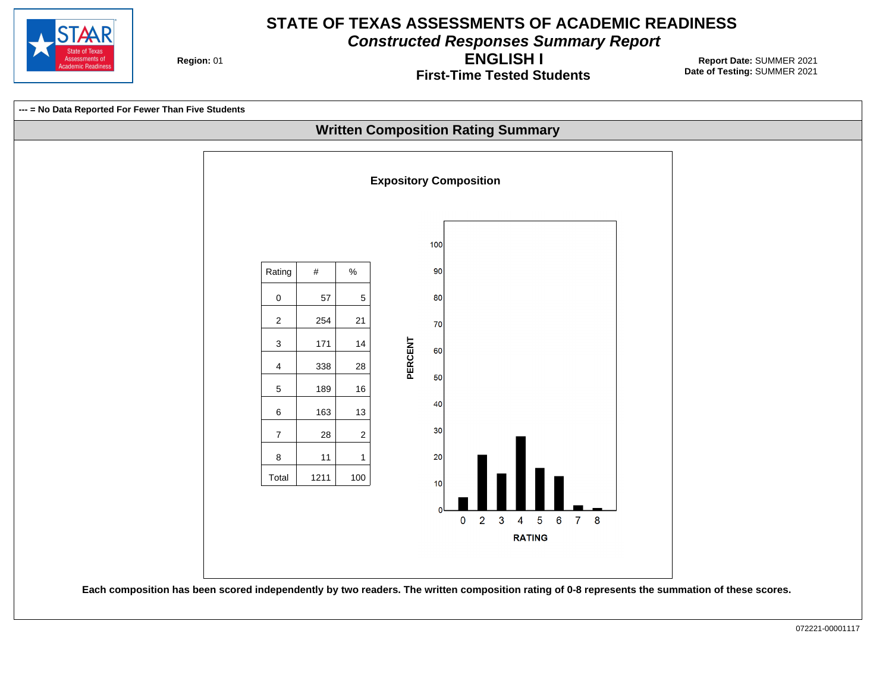

**Constructed Responses Summary Report**

**Region: 01** 

**First-Time Tested Students ENGLISH I**

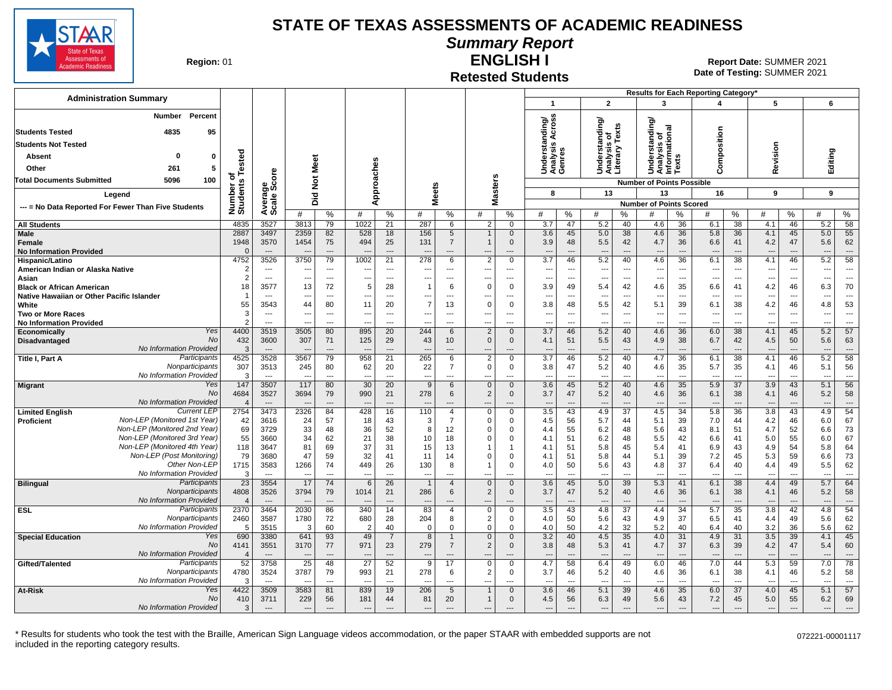

#### **Summary Report**

**Region: 01** 

#### **Retested Students ENGLISH I**

**Date of Testing:**  SUMMER 2021 01 **Report Date:** SUMMER 2021

|                                                                             |                               |                                  |                                          |                                |                               |                            |                                |                                  |                                |                                               |                                 |                                      |                                        |                                | Results for Each Reporting Category*                   |                                      |                                        |                                |                                        |                                |                                        |                                |
|-----------------------------------------------------------------------------|-------------------------------|----------------------------------|------------------------------------------|--------------------------------|-------------------------------|----------------------------|--------------------------------|----------------------------------|--------------------------------|-----------------------------------------------|---------------------------------|--------------------------------------|----------------------------------------|--------------------------------|--------------------------------------------------------|--------------------------------------|----------------------------------------|--------------------------------|----------------------------------------|--------------------------------|----------------------------------------|--------------------------------|
| <b>Administration Summary</b>                                               |                               |                                  |                                          |                                |                               |                            |                                |                                  |                                |                                               | $\mathbf{1}$                    |                                      | $\overline{2}$                         |                                | 3                                                      |                                      | $\boldsymbol{\Lambda}$                 |                                | 5                                      |                                | 6                                      |                                |
| Percent<br>Number                                                           |                               |                                  |                                          |                                |                               |                            |                                |                                  |                                |                                               | tanding/<br>is Across           |                                      | erstanding/                            |                                | erstanding                                             |                                      |                                        |                                |                                        |                                |                                        |                                |
| 4835<br>95<br><b>Students Tested</b>                                        |                               |                                  |                                          |                                |                               |                            |                                |                                  |                                |                                               |                                 |                                      | s of<br>Texts                          |                                |                                                        |                                      |                                        |                                |                                        |                                |                                        |                                |
| <b>Students Not Tested</b>                                                  |                               |                                  |                                          |                                |                               |                            |                                |                                  |                                |                                               | ဖာ                              |                                      |                                        |                                |                                                        |                                      |                                        |                                |                                        |                                |                                        |                                |
| $\mathbf 0$<br>Absent<br>0                                                  | ested                         |                                  |                                          |                                |                               |                            |                                |                                  |                                |                                               | Underst<br>Analysis<br>Genres   |                                      | Understa<br>Analysis<br>Literary       |                                | Understanding<br>Analysis of<br>Informational<br>Texts |                                      | Composition                            |                                | Revision                               |                                | Editing                                |                                |
| Other<br>261<br>5                                                           |                               |                                  |                                          | Meet                           |                               |                            |                                |                                  |                                |                                               |                                 |                                      |                                        |                                |                                                        |                                      |                                        |                                |                                        |                                |                                        |                                |
| <b>Total Documents Submitted</b><br>5096<br>100                             |                               | ere                              |                                          | $\breve{\mathbf{z}}$           |                               |                            |                                |                                  |                                |                                               |                                 |                                      |                                        |                                | <b>Number of Points Possible</b>                       |                                      |                                        |                                |                                        |                                |                                        |                                |
| Legend                                                                      | Number of<br>Students Te      | Average<br>Scale Scc             |                                          |                                | pproaches                     |                            | <b>Meets</b>                   |                                  |                                | <b>Masters</b>                                | 8                               |                                      | 13                                     |                                | 13                                                     |                                      | 16                                     |                                | 9                                      |                                | 9                                      |                                |
|                                                                             |                               |                                  |                                          | Did                            | ⋖                             |                            |                                |                                  |                                |                                               |                                 |                                      |                                        |                                | <b>Number of Points Scored</b>                         |                                      |                                        |                                |                                        |                                |                                        |                                |
| --- = No Data Reported For Fewer Than Five Students                         |                               |                                  | #                                        | %                              | #                             | $\%$                       | #                              | $\%$                             | #                              | %                                             | #                               | %                                    | #                                      | $\%$                           | #                                                      | ℅                                    | #                                      | %                              | #                                      | %                              | #                                      | %                              |
| <b>All Students</b>                                                         | 4835                          | 3527                             | 3813                                     | 79                             | 1022                          | 21                         | 287                            | 6                                | 2                              | $\mathbf 0$                                   | 3.7                             | 47                                   | 5.2                                    | 40                             | 4.6                                                    | 36                                   | 6.1                                    | 38                             | 4.1                                    | 46                             | 5.2                                    | 58                             |
| Male<br>Female<br><b>No Information Provided</b>                            | 2887<br>1948<br>$\Omega$      | 3497<br>3570<br>$---$            | 2359<br>1454<br>$\overline{\phantom{a}}$ | 82<br>75<br>$\overline{a}$     | 528<br>494<br>$---$           | 18<br>25<br>$\overline{a}$ | 156<br>131<br>---              | 5<br>$\overline{7}$<br>$---$     | ---                            | $\mathbf{0}$<br>$\mathbf 0$<br>$\overline{a}$ | 3.6<br>3.9<br>$\sim$            | 45<br>48<br>$\overline{\phantom{a}}$ | 5.0<br>5.5<br>$\overline{\phantom{a}}$ | 38<br>42<br>$\overline{a}$     | 4.6<br>4.7<br>$\overline{a}$                           | 36<br>36<br>$\overline{\phantom{a}}$ | 5.8<br>6.6<br>$\overline{\phantom{a}}$ | 36<br>41<br>$---$              | 4.1<br>4.2<br>$\overline{\phantom{a}}$ | 45<br>47<br>$\overline{a}$     | 5.0<br>5.6<br>$\overline{\phantom{a}}$ | 55<br>62<br>$---$              |
| Hispanic/Latino                                                             | 4752                          | 3526                             | 3750                                     | 79                             | 1002                          | 21                         | 278                            | 6                                | $\overline{2}$                 | $\mathbf 0$                                   | 3.7                             | 46                                   | 5.2                                    | 40                             | 4.6                                                    | 36                                   | 6.1                                    | 38                             | 4.1                                    | 46                             | 5.2                                    | 58                             |
| American Indian or Alaska Native                                            | $\overline{2}$                | $\overline{\phantom{a}}$         | $\sim$                                   | $---$                          | $\overline{a}$                | $\overline{a}$             | --                             | $\overline{a}$                   | ---                            | $\overline{a}$                                | $\overline{\phantom{a}}$        | $\sim$                               | $\overline{\phantom{a}}$               | $---$                          | $\overline{a}$                                         | $\overline{a}$                       | $\overline{a}$                         | $\overline{\phantom{a}}$       | $\overline{\phantom{a}}$               | $\overline{a}$                 | ---                                    | $---$                          |
| Asian<br><b>Black or African American</b>                                   | $\mathcal{P}$<br>18           | $---$<br>3577                    | $\overline{\phantom{a}}$<br>13           | $\hspace{0.05cm} \ldots$<br>72 | $\overline{\phantom{a}}$<br>5 | ---<br>28                  | ---<br>$\mathbf 1$             | $---$<br>6                       | ---<br>$\mathbf 0$             | ---<br>$\mathbf 0$                            | $\overline{\phantom{a}}$<br>3.9 | $\overline{\phantom{a}}$<br>49       | ---<br>5.4                             | $\overline{\phantom{a}}$<br>42 | ---<br>4.6                                             | ---<br>35                            | $\overline{\phantom{a}}$<br>6.6        | $\overline{\phantom{a}}$<br>41 | $\overline{\phantom{a}}$<br>4.2        | $\overline{\phantom{a}}$<br>46 | ---<br>6.3                             | $\overline{\phantom{a}}$<br>70 |
| Native Hawaiian or Other Pacific Islander                                   |                               |                                  | $\overline{\phantom{a}}$                 | ---                            | ---                           | $\overline{a}$             | ---                            | $\overline{\phantom{a}}$         | ---                            | ---                                           | $\overline{a}$                  | $\overline{\phantom{a}}$             | $\overline{\phantom{a}}$               | ---                            | $\overline{\phantom{a}}$                               | ---                                  | $\overline{\phantom{a}}$               | $\overline{\phantom{a}}$       | $\overline{\phantom{a}}$               | ---                            | ---                                    | $\overline{\phantom{a}}$       |
| White                                                                       | 55                            | 3543                             | 44                                       | 80                             | 11                            | 20                         | $\overline{7}$                 | 13                               | $\Omega$                       | $\mathbf 0$                                   | 3.8                             | 48                                   | 5.5                                    | 42                             | 5.1                                                    | 39                                   | 6.1                                    | 38                             | 4.2                                    | 46                             | 4.8                                    | 53                             |
| <b>Two or More Races</b>                                                    | 3                             | $\overline{\phantom{a}}$         | ---                                      | ---                            | $\overline{\phantom{a}}$      | $\overline{a}$             | ---                            | $\overline{a}$                   | ---                            | ---                                           | $\overline{\phantom{a}}$        | $\overline{\phantom{a}}$             | $\cdots$                               | ---                            | ---                                                    | $\overline{a}$                       | $\overline{a}$                         | $\overline{\phantom{a}}$       | $\ddotsc$                              | $\overline{\phantom{a}}$       | ---                                    | $\hspace{0.05cm} \ldots$       |
| <b>No Information Provided</b>                                              | $\mathcal{P}$                 | ---                              |                                          | ---                            |                               | ---                        |                                |                                  | ---                            | ---                                           | Ξ.                              | $\overline{a}$                       | ---                                    | ---                            |                                                        | ---                                  | ---                                    | $\overline{\phantom{a}}$       | $\overline{\phantom{a}}$               | $\overline{a}$                 | $\overline{\phantom{a}}$               | ---                            |
| Yes<br>Economically<br><b>No</b>                                            | 4400                          | 3519                             | 3505                                     | 80                             | 895                           | 20                         | 244                            | 6                                | $\overline{2}$                 | $\overline{0}$                                | 3.7                             | 46                                   | 5.2                                    | 40                             | 4.6                                                    | 36                                   | 6.0                                    | 38                             | 4.1                                    | 45                             | 5.2                                    | 57                             |
| Disadvantaged<br>No Information Provided                                    | 432<br>3                      | 3600<br>$---$                    | 307                                      | 71<br>$\overline{\phantom{a}}$ | 125<br>$---$                  | 29<br>$\overline{a}$       | 43<br>$\overline{\phantom{a}}$ | 10<br>$---$                      | $\mathbf{0}$<br>---            | $\mathbf{0}$<br>---                           | 4.1<br>---                      | 51<br>$---$                          | 5.5<br>$\overline{\phantom{a}}$        | 43<br>$---$                    | 4.9<br>$\overline{\phantom{a}}$                        | 38<br>$\overline{a}$                 | 6.7<br>$---$                           | 42<br>$---$                    | 4.5<br>$--$                            | 50<br>$\overline{\phantom{a}}$ | 5.6<br>---                             | 63<br>$---$                    |
| Participants<br>Title I, Part A                                             | 4525                          | 3528                             | 3567                                     | 79                             | 958                           | 21                         | 265                            | 6                                | $\overline{2}$                 | $\Omega$                                      | 3.7                             | 46                                   | 5.2                                    | 40                             | 4.7                                                    | 36                                   | 6.1                                    | 38                             | 4.1                                    | 46                             | 5.2                                    | 58                             |
| Nonparticipants<br>No Information Provided                                  | 307<br>3                      | 3513<br>$\overline{\phantom{a}}$ | 245                                      | 80<br>$\overline{a}$           | 62<br>$\overline{a}$          | 20<br>$\overline{a}$       | 22<br>$\overline{\phantom{a}}$ | $\overline{7}$<br>$\overline{a}$ | $\mathbf 0$<br>---             | $\mathbf 0$<br>---                            | 3.8<br>$\overline{a}$           | 47<br>$\overline{\phantom{a}}$       | 5.2<br>$\overline{\phantom{a}}$        | 40<br>$\overline{a}$           | 4.6<br>---                                             | 35<br>$\overline{a}$                 | 5.7<br>$\overline{a}$                  | 35<br>$\overline{\phantom{a}}$ | 4.1<br>$\overline{\phantom{a}}$        | 46<br>$\overline{\phantom{a}}$ | 5.1<br>---                             | 56<br>$\overline{a}$           |
| Yes<br>Migrant                                                              | 147                           | 3507                             | 117                                      | 80                             | 30                            | 20                         | 9                              | 6                                | $\mathbf 0$                    | $\mathbf 0$                                   | 3.6                             | 45                                   | 5.2                                    | 40                             | 4.6                                                    | 35                                   | 5.9                                    | 37                             | 3.9                                    | 43                             | 5.1                                    | 56                             |
| No                                                                          | 4684                          | 3527                             | 3694                                     | 79                             | 990                           | 21                         | 278                            | 6                                | 2                              | $\mathbf 0$                                   | 3.7                             | 47                                   | 5.2                                    | 40                             | 4.6                                                    | 36                                   | 6.1                                    | 38                             | 4.1                                    | 46                             | 5.2                                    | 58                             |
| <b>No Information Provided</b><br><b>Current LEP</b>                        | $\boldsymbol{\Delta}$<br>2754 | $---$<br>3473                    | 2326                                     | $---$<br>84                    | $\sim$<br>428                 | $---$                      | 110                            | $---$<br>$\overline{4}$          | ---<br>$\mathbf 0$             | ---<br>$\Omega$                               | $\overline{a}$<br>3.5           | ---                                  | $\overline{\phantom{a}}$<br>4.9        | $\overline{a}$                 | ---<br>4.5                                             | $\overline{\phantom{a}}$<br>34       | $\overline{\phantom{a}}$<br>5.8        | $\overline{\phantom{a}}$       | 3.8                                    | $\overline{a}$<br>43           | $\sim$                                 | $---$<br>54                    |
| <b>Limited English</b><br>Non-LEP (Monitored 1st Year)<br><b>Proficient</b> | 42                            | 3616                             | 24                                       | 57                             | 18                            | 16<br>43                   | 3                              | $\overline{7}$                   | $\Omega$                       | 0                                             | 4.5                             | 43<br>56                             | 5.7                                    | 37<br>44                       | 5.1                                                    | 39                                   | 7.0                                    | 36<br>44                       | 4.2                                    | 46                             | 4.9<br>6.0                             | 67                             |
| Non-LEP (Monitored 2nd Year)                                                | 69                            | 3729                             | 33                                       | 48                             | 36                            | 52                         | 8                              | 12                               | $\mathbf 0$                    | $\Omega$                                      | 4.4                             | 55                                   | 6.2                                    | 48                             | 5.6                                                    | 43                                   | 8.1                                    | 51                             | 4.7                                    | 52                             | 6.6                                    | 73                             |
| Non-LEP (Monitored 3rd Year)                                                | 55                            | 3660                             | 34                                       | 62                             | 21                            | 38                         | 10                             | 18                               | $\Omega$                       | $\Omega$                                      | 4.1                             | 51                                   | 6.2                                    | 48                             | 5.5                                                    | 42                                   | 6.6                                    | 41                             | 5.0                                    | 55                             | 6.0                                    | 67                             |
| Non-LEP (Monitored 4th Year)                                                | 118                           | 3647                             | 81                                       | 69                             | 37                            | 31                         | 15                             | 13                               |                                | 1                                             | 4.1                             | 51                                   | 5.8                                    | 45                             | 5.4                                                    | 41                                   | 6.9                                    | 43                             | 4.9                                    | 54                             | 5.8                                    | 64                             |
| Non-LEP (Post Monitoring)                                                   | 79                            | 3680                             | 47                                       | 59                             | 32                            | 41                         | 11                             | 14                               | $\Omega$                       | $\Omega$                                      | 4.1                             | 51                                   | 5.8                                    | 44                             | 5.1                                                    | 39                                   | 7.2                                    | 45                             | 5.3                                    | 59                             | 6.6                                    | 73                             |
| Other Non-LEP<br>No Information Provided                                    | 1715                          | 3583<br>$\overline{\phantom{a}}$ | 1266                                     | 74<br>$\overline{a}$           | 449<br>$\overline{a}$         | 26<br>$\overline{a}$       | 130<br>---                     | 8<br>---                         |                                | $\Omega$<br>---                               | 4.0<br>$\sim$                   | 50<br>$\overline{\phantom{a}}$       | 5.6<br>$\overline{\phantom{a}}$        | 43<br>$\overline{a}$           | 4.8<br>---                                             | 37<br>$\overline{a}$                 | 6.4<br>$\overline{a}$                  | 40<br>$\overline{a}$           | 4.4<br>$\overline{\phantom{a}}$        | 49<br>$\overline{\phantom{a}}$ | 5.5<br>---                             | 62<br>$\overline{a}$           |
| Participants<br><b>Bilingual</b>                                            | -3<br>$\overline{23}$         | 3554                             | $\overline{\phantom{a}}$<br>17           | 74                             | 6                             | 26                         | $\mathbf{1}$                   | $\overline{4}$                   | $\overline{a}$<br>$\mathbf{0}$ | $\Omega$                                      | 3.6                             | 45                                   | 5.0                                    | 39                             | 5.3                                                    | 41                                   | 6.1                                    | 38                             | 4.4                                    | 49                             | 5.7                                    | 64                             |
| Nonparticipants                                                             | 4808                          | 3526                             | 3794                                     | 79                             | 1014                          | 21                         | 286                            | 6                                | 2                              | $\Omega$                                      | 3.7                             | 47                                   | 5.2                                    | 40                             | 4.6                                                    | 36                                   | 6.1                                    | 38                             | 4.1                                    | 46                             | 5.2                                    | 58                             |
| No Information Provided                                                     | $\overline{4}$                | $---$                            |                                          | $\overline{a}$                 | $\overline{\phantom{a}}$      | $\overline{\phantom{a}}$   |                                |                                  | ---                            | ---                                           | $\overline{\phantom{a}}$        | $\overline{\phantom{a}}$             | $\overline{\phantom{a}}$               | $\overline{a}$                 | $\overline{\phantom{a}}$                               | $\overline{\phantom{a}}$             | $\overline{\phantom{a}}$               | $\overline{\phantom{a}}$       | $-$                                    | $---$                          | $\overline{\phantom{a}}$               | $\overline{a}$                 |
| <b>ESL</b><br>Participants                                                  | 2370                          | 3464                             | 2030                                     | 86                             | 340                           | 14                         | 83                             | $\overline{4}$                   | $\mathbf 0$                    | $\Omega$                                      | 3.5                             | 43                                   | 4.8                                    | 37                             | 4.4                                                    | 34                                   | 5.7                                    | 35                             | 3.8                                    | 42                             | 4.8                                    | 54                             |
| Nonparticipants<br>No Information Provided                                  | 2460                          | 3587                             | 1780                                     | 72                             | 680                           | 28                         | 204                            | 8                                | 2                              | $\mathbf 0$                                   | 4.0                             | 50                                   | 5.6                                    | 43                             | 4.9                                                    | 37                                   | 6.5                                    | 41                             | 4.4                                    | 49                             | 5.6                                    | 62                             |
| Yes                                                                         | 5<br>690                      | 3515<br>3380                     | 3<br>641                                 | 60<br>93                       | $\overline{2}$<br>49          | 40<br>$\overline{7}$       | $\mathbf 0$<br>8               | $\mathbf 0$<br>1                 | $\mathbf 0$<br>$\mathbf{0}$    | 0<br>$\Omega$                                 | 4.0<br>3.2                      | 50<br>40                             | 4.2<br>4.5                             | 32<br>35                       | 5.2<br>4.0                                             | 40<br>31                             | 6.4<br>4.9                             | 40<br>31                       | 3.2<br>3.5                             | 36<br>39                       | 5.6<br>4.1                             | 62<br>45                       |
| <b>Special Education</b><br><b>No</b>                                       | 4141                          | 3551                             | 3170                                     | 77                             | 971                           | 23                         | 279                            | $\overline{7}$                   | 2                              | $\mathbf{0}$                                  | 3.8                             | 48                                   | 5.3                                    | 41                             | 4.7                                                    | 37                                   | 6.3                                    | 39                             | 4.2                                    | 47                             | 5.4                                    | 60                             |
| No Information Provided                                                     | $\overline{4}$                | $---$                            |                                          | $\overline{a}$                 | $\overline{a}$                | $\overline{a}$             |                                | $---$                            | ---                            | ---                                           | $\overline{a}$                  | $\overline{a}$                       | $\overline{\phantom{a}}$               | $\overline{a}$                 | ---                                                    | ---                                  | $\overline{\phantom{a}}$               | $\overline{\phantom{a}}$       |                                        | $\overline{\phantom{a}}$       | $\overline{\phantom{a}}$               | $\overline{\phantom{a}}$       |
| Participants<br>Gifted/Talented                                             | 52                            | 3758                             | $\overline{25}$                          | 48                             | $\overline{27}$               | 52                         | 9                              | $\overline{17}$                  | $\overline{0}$                 | $\overline{0}$                                | 4.7                             | 58                                   | 6.4                                    | 49                             | 6.0                                                    | 46                                   | 7.0                                    | 44                             | 5.3                                    | 59                             | 7.0                                    | 78                             |
| Nonparticipants                                                             | 4780                          | 3524                             | 3787                                     | 79                             | 993                           | 21                         | 278                            | 6                                | 2                              | 0                                             | 3.7                             | 46                                   | 5.2                                    | 40                             | 4.6                                                    | 36                                   | 6.1                                    | 38                             | 4.1                                    | 46                             | 5.2                                    | 58                             |
| No Information Provided<br>Yes                                              | 3                             | $\overline{\phantom{a}}$         |                                          | $\overline{a}$                 | $\overline{\phantom{a}}$      | $\overline{a}$             |                                | $\overline{a}$                   | ---                            | ---                                           | $\overline{a}$                  | $\overline{\phantom{a}}$             | $\overline{\phantom{a}}$               | $\overline{a}$                 | ---                                                    | $\overline{a}$                       | $\overline{\phantom{a}}$               | $\overline{\phantom{a}}$       | $\overline{\phantom{a}}$               | $\overline{\phantom{a}}$       | ---                                    | $\overline{\phantom{a}}$       |
| At-Risk<br><b>No</b>                                                        | 4422<br>410                   | 3509<br>3711                     | 3583<br>229                              | 81<br>56                       | 839<br>181                    | 19<br>44                   | 206<br>81                      | 5<br>20                          | $\overline{1}$<br>$\mathbf{1}$ | $\Omega$<br>$\Omega$                          | 3.6<br>4.5                      | 46<br>56                             | 5.1<br>6.3                             | 39<br>49                       | 4.6<br>5.6                                             | 35<br>43                             | 6.0<br>7.2                             | 37<br>45                       | 4.0<br>5.0                             | 45<br>55                       | 5.1<br>6.2                             | 57<br>69                       |
| No Information Provided                                                     | 3                             |                                  | $\sim$                                   | $\overline{a}$                 | $\overline{\phantom{a}}$      | $\overline{\phantom{a}}$   |                                |                                  | $\overline{a}$                 |                                               | $\overline{a}$                  |                                      |                                        | $\overline{\phantom{a}}$       |                                                        | $\overline{\phantom{a}}$             |                                        |                                |                                        |                                | $\overline{a}$                         |                                |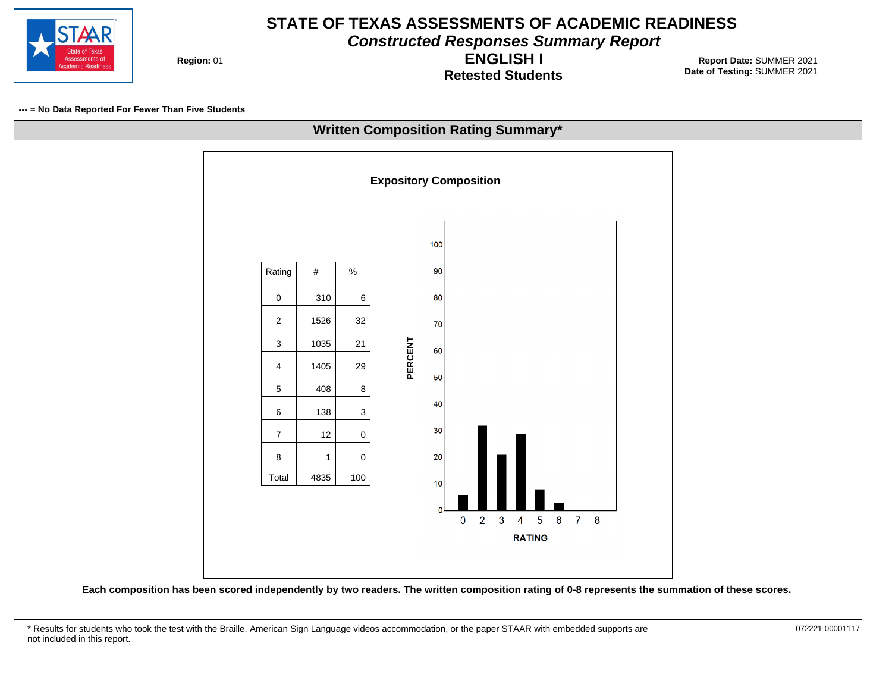

**Constructed Responses Summary Report**

**Region: 01** 

**Retested Students ENGLISH I**



<sup>\*</sup> Results for students who took the test with the Braille, American Sign Language videos accommodation, or the paper STAAR with embedded supports are 072221-00001117 not included in this report.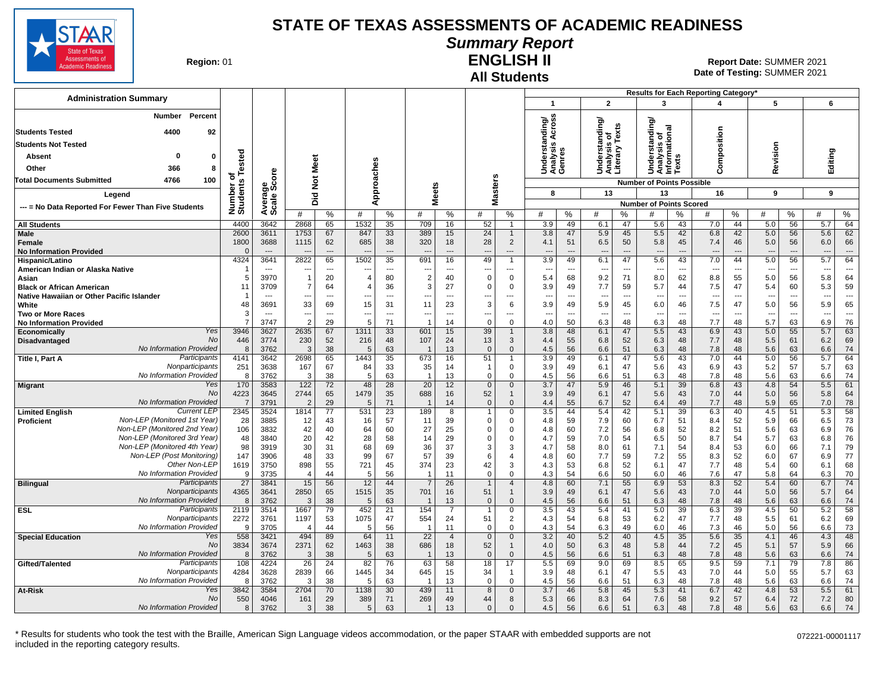

# **Summary Report**

**Region: 01** 

#### **All Students ENGLISH II**

**Date of Testing:**  SUMMER 2021 01 **Report Date:** SUMMER 2021

| <b>Administration Summary</b>                                |                         |                                  |                                  |                      |                                  |                          |                     |                          |                                |                                  |                               |                                |                                                 |                      |                                               |                          | Results for Each Reporting Category' |                          |                                 |           |            |                                |
|--------------------------------------------------------------|-------------------------|----------------------------------|----------------------------------|----------------------|----------------------------------|--------------------------|---------------------|--------------------------|--------------------------------|----------------------------------|-------------------------------|--------------------------------|-------------------------------------------------|----------------------|-----------------------------------------------|--------------------------|--------------------------------------|--------------------------|---------------------------------|-----------|------------|--------------------------------|
|                                                              |                         |                                  |                                  |                      |                                  |                          |                     |                          |                                |                                  | $\overline{\mathbf{1}}$       |                                | $\overline{2}$                                  |                      | 3                                             |                          | 4                                    |                          | 5                               |           | 6          |                                |
| Percent<br>Number                                            |                         |                                  |                                  |                      |                                  |                          |                     |                          |                                |                                  | nding/<br>Across              |                                | Understanding/<br>Analysis of<br>Literary Texts |                      |                                               |                          |                                      |                          |                                 |           |            |                                |
| 4400<br><b>Students Tested</b><br>92                         |                         |                                  |                                  |                      |                                  |                          |                     |                          |                                |                                  | Acro                          |                                |                                                 |                      |                                               |                          |                                      |                          |                                 |           |            |                                |
| <b>Students Not Tested</b>                                   |                         |                                  |                                  |                      |                                  |                          |                     |                          |                                |                                  | 显<br>S                        |                                |                                                 |                      | tanding                                       |                          |                                      |                          |                                 |           |            |                                |
| 0<br>$\mathbf 0$<br>Absent                                   |                         |                                  |                                  |                      |                                  |                          |                     |                          |                                |                                  |                               |                                |                                                 |                      |                                               | <b>SC</b>                | omposition                           |                          |                                 |           |            |                                |
| Other<br>366<br>8                                            | ested                   | ၑ                                |                                  | Meet                 |                                  |                          |                     |                          |                                |                                  | Underst<br>Analysis<br>Genres |                                |                                                 |                      | Understanding<br>Analysis of<br>Informational | š                        | ō                                    |                          | Revision                        |           | Editing    |                                |
| 4766<br>100<br>Total Documents Submitted                     | ō                       | $\overline{\bullet}$             | $\frac{5}{2}$                    |                      |                                  |                          |                     |                          |                                |                                  |                               |                                |                                                 |                      | <b>Number of Points Possible</b>              |                          |                                      |                          |                                 |           |            |                                |
| Legend                                                       | Number o<br>Students    | Average<br>Scale Scc             |                                  |                      |                                  | pproaches                | <b>Meets</b>        |                          |                                | <b>Masters</b>                   | 8                             |                                | 13                                              |                      | 13                                            |                          | 16                                   |                          | 9                               |           | 9          |                                |
|                                                              |                         |                                  | 고<br>۵                           |                      | ⋖                                |                          |                     |                          |                                |                                  |                               |                                |                                                 |                      | <b>Number of Points Scored</b>                |                          |                                      |                          |                                 |           |            |                                |
| --- = No Data Reported For Fewer Than Five Students          |                         |                                  | #                                | $\%$                 | #                                | %                        | #                   | %                        | #                              | %                                | #                             | %                              | #                                               | %                    | #                                             | ℅                        | #                                    | %                        | #                               | %         | #          | %                              |
| <b>All Students</b>                                          | 4400                    | 3642                             | 2868                             | 65                   | 1532                             | 35                       | 709                 | 16                       | 52                             | $\overline{1}$                   | 3.9                           | 49                             | 6.1                                             | 47                   | 5.6                                           | 43                       | 7.0                                  | 44                       | 5.0                             | 56        | 5.7        | 64                             |
| <b>Male</b>                                                  | 2600                    | 3611                             | 1753                             | 67                   | 847                              | 33                       | 389                 | 15                       | 24                             | $\overline{1}$                   | 3.8                           | 47                             | 5.9                                             | 45                   | 5.5                                           | 42                       | 6.8                                  | 42                       | 5.0                             | 56        | 5.6        | 62                             |
| Female<br><b>No Information Provided</b>                     | 1800<br>$\Omega$        | 3688<br>$\overline{\phantom{a}}$ | 1115                             | 62<br>$\overline{a}$ | 685                              | 38<br>$---$              | 320                 | 18<br>$---$              | 28<br>---                      | $\overline{2}$<br>$\overline{a}$ | 4.1                           | 51<br>$\overline{\phantom{a}}$ | 6.5<br>$\overline{\phantom{a}}$                 | 50<br>$\overline{a}$ | 5.8<br>---                                    | 45<br>$\sim$             | 7.4                                  | 46<br>$\overline{a}$     | 5.0<br>$\overline{\phantom{a}}$ | 56<br>--- | 6.0        | 66<br>$\overline{\phantom{a}}$ |
| Hispanic/Latino                                              | 4324                    | 3641                             | 2822                             | 65                   | 1502                             | $\overline{35}$          | 691                 | 16                       | 49                             | $\mathbf{1}$                     | 3.9                           | 49                             | 6.1                                             | 47                   | 5.6                                           | 43                       | 7.0                                  | 44                       | 5.0                             | 56        | 5.7        | 64                             |
| American Indian or Alaska Native                             |                         | $-$                              | $\overline{\phantom{a}}$         | ---                  | $\overline{\phantom{a}}$         | $\overline{\phantom{a}}$ |                     | $\overline{\phantom{a}}$ | …                              | $\scriptstyle\cdots$             | $\overline{\phantom{a}}$      | ---                            | ---                                             | ---                  |                                               | $\overline{\phantom{a}}$ | $\overline{\phantom{a}}$             | $\overline{\phantom{a}}$ | $\overline{\phantom{a}}$        | ---       | ---        | $\overline{\phantom{a}}$       |
| Asian<br><b>Black or African American</b>                    | 5<br>11                 | 3970<br>3709                     | $\overline{1}$<br>$\overline{7}$ | 20<br>64             | $\overline{4}$<br>$\overline{4}$ | 80<br>36                 | $\overline{2}$<br>3 | 40<br>27                 | $\mathbf 0$<br>$\Omega$        | $\mathbf 0$<br>$\overline{0}$    | 5.4<br>3.9                    | 68<br>49                       | 9.2<br>7.7                                      | 71<br>59             | 8.0<br>5.7                                    | 62<br>44                 | 8.8<br>7.5                           | 55<br>47                 | 5.0<br>5.4                      | 56<br>60  | 5.8<br>5.3 | 64<br>59                       |
| Native Hawaiian or Other Pacific Islander                    | -1                      |                                  | $\overline{\phantom{a}}$         | ---                  | ---                              | ---                      |                     | $\overline{a}$           | ---                            | ---                              | $\overline{\phantom{a}}$      | ---                            | ---                                             | ---                  | ---                                           | $\overline{a}$           | $\overline{\phantom{a}}$             | ---                      | $\overline{\phantom{a}}$        | ---       | ---        | $\overline{\phantom{a}}$       |
| White                                                        | 48                      | 3691                             | 33                               | 69                   | 15                               | 31                       | 11                  | 23                       | 3                              | 6                                | 3.9                           | 49                             | 5.9                                             | 45                   | 6.0                                           | 46                       | 7.5                                  | 47                       | 5.0                             | 56        | 5.9        | 65                             |
| <b>Two or More Races</b>                                     | 3                       | $\overline{\phantom{a}}$         | $\overline{\phantom{a}}$         | ---                  | ---                              | ---                      | ---                 | $\overline{\phantom{a}}$ | ---                            | $\overline{a}$                   | $\overline{\phantom{a}}$      | ---                            | $\overline{\phantom{a}}$                        | ---                  | ---                                           | $\overline{\phantom{a}}$ |                                      | ---                      | ---                             | ---       | ---        | $\overline{\phantom{a}}$       |
| <b>No Information Provided</b><br>Yes<br>Economically        | 7<br>3946               | 3747<br>3627                     | $\overline{2}$<br>2635           | 29<br>67             | 5<br>1311                        | 71<br>$\overline{33}$    | 601                 | 14<br>15                 | $\Omega$<br>39                 | $\overline{0}$<br>$\overline{1}$ | 4.0<br>3.8                    | 50<br>48                       | 6.3<br>6.1                                      | 48<br>47             | 6.3<br>5.5                                    | 48<br>43                 | 7.7<br>6.9                           | 48<br>43                 | 5.7<br>5.0                      | 63<br>55  | 6.9<br>5.7 | 76<br>63                       |
| No<br><b>Disadvantaged</b>                                   | 446                     | 3774                             | 230                              | 52                   | 216                              | 48                       | 107                 | 24                       | 13                             | 3                                | 4.4                           | 55                             | 6.8                                             | 52                   | 6.3                                           | 48                       | 7.7                                  | 48                       | 5.5                             | 61        | 6.2        | 69                             |
| No Information Provided                                      | 8                       | 3762                             | 3                                | 38                   | 5                                | 63                       |                     | 13                       | $\overline{0}$                 | $\mathbf{0}$                     | 4.5                           | 56                             | 6.6                                             | 51                   | 6.3                                           | 48                       | 7.8                                  | 48                       | 5.6                             | 63        | 6.6        | 74                             |
| Participants<br>Title I, Part A<br>Nonparticipants           | 4141                    | 3642                             | 2698                             | 65                   | 1443                             | 35<br>33                 | 673                 | 16                       | 51<br>$\overline{1}$           | $\mathbf{1}$                     | 3.9                           | 49                             | 6.1                                             | 47<br>47             | 5.6                                           | 43                       | 7.0                                  | 44<br>43                 | 5.0                             | 56        | 5.7        | 64                             |
| No Information Provided                                      | 251<br>8                | 3638<br>3762                     | 167<br>3                         | 67<br>38             | 84<br>.5                         | 63                       | 35                  | 14<br>13                 | $\Omega$                       | $\mathbf 0$<br>$\mathbf 0$       | 3.9<br>4.5                    | 49<br>56                       | 6.1<br>6.6                                      | 51                   | 5.6<br>6.3                                    | 43<br>48                 | 6.9<br>7.8                           | 48                       | 5.2<br>5.6                      | 57<br>63  | 5.7<br>6.6 | 63<br>74                       |
| Yes<br><b>Migrant</b>                                        | 170                     | 3583                             | 122                              | 72                   | 48                               | 28                       | 20                  | 12                       | $\Omega$                       | $\mathbf 0$                      | 3.7                           | 47                             | 5.9                                             | 46                   | 5.1                                           | 39                       | 6.8                                  | 43                       | 4.8                             | 54        | 5.5        | 61                             |
| No<br>No Information Provided                                | 4223                    | 3645                             | 2744                             | 65                   | 1479                             | 35                       | 688                 | 16                       | 52                             | $\overline{1}$                   | 3.9                           | 49                             | 6.1                                             | 47                   | 5.6                                           | 43                       | 7.0                                  | 44                       | 5.0                             | 56        | 5.8        | 64                             |
| <b>Current LEF</b><br><b>Limited English</b>                 | $\overline{7}$<br>2345  | 3791<br>3524                     | $\overline{2}$<br>1814           | 29<br>77             | 5<br>531                         | 71<br>23                 | 189                 | 14<br>8                  | $\overline{0}$<br>$\mathbf{1}$ | $\mathsf 0$<br>$\mathbf 0$       | 4.4<br>3.5                    | 55<br>44                       | 6.7<br>5.4                                      | 52<br>42             | 6.4<br>5.1                                    | 49<br>39                 | 7.7<br>6.3                           | 48<br>40                 | 5.9<br>4.5                      | 65<br>51  | 7.0<br>5.3 | 78<br>58                       |
| Non-LEP (Monitored 1st Year)<br>Proficient                   | 28                      | 3885                             | 12                               | 43                   | 16                               | 57                       | 11                  | 39                       | $\mathbf 0$                    | $\mathbf 0$                      | 4.8                           | 59                             | 7.9                                             | 60                   | 6.7                                           | 51                       | 8.4                                  | 52                       | 5.9                             | 66        | 6.5        | 73                             |
| Non-LEP (Monitored 2nd Year)                                 | 106                     | 3832                             | 42                               | 40                   | 64                               | 60                       | 27                  | 25                       | $\Omega$                       | $\mathbf 0$                      | 4.8                           | 60                             | 7.2                                             | 56                   | 6.8                                           | 52                       | 8.2                                  | 51                       | 5.6                             | 63        | 6.9        | 76                             |
| Non-LEP (Monitored 3rd Year)<br>Non-LEP (Monitored 4th Year) | 48                      | 3840                             | 20                               | 42                   | 28                               | 58                       | 14                  | 29                       | $\Omega$<br>3                  | $\mathbf 0$                      | 4.7                           | 59                             | 7.0                                             | 54                   | 6.5                                           | 50<br>54                 | 8.7                                  | 54<br>53                 | 5.7                             | 63        | 6.8        | 76                             |
| Non-LEP (Post Monitoring)                                    | 98<br>147               | 3919<br>3906                     | 30<br>48                         | 31<br>33             | 68<br>99                         | 69<br>67                 | 36<br>57            | 37<br>39                 | 6                              | 3<br>$\overline{4}$              | 4.7<br>4.8                    | 58<br>60                       | 8.0<br>7.7                                      | 61<br>59             | 7.1<br>7.2                                    | 55                       | 8.4<br>8.3                           | 52                       | 6.0<br>6.0                      | 66<br>67  | 7.1<br>6.9 | 79<br>77                       |
| Other Non-LEP                                                | 1619                    | 3750                             | 898                              | 55                   | 721                              | 45                       | 374                 | 23                       | 42                             | 3                                | 4.3                           | 53                             | 6.8                                             | 52                   | 6.1                                           | 47                       | 7.7                                  | 48                       | 5.4                             | 60        | 6.1        | 68                             |
| No Information Provided                                      | 9                       | 3735                             | $\overline{4}$                   | 44                   | -5                               | 56                       | -1                  | 11                       | $\Omega$                       | $\mathbf{0}$                     | 4.3                           | 54                             | 6.6                                             | 50                   | 6.0                                           | 46                       | 7.6                                  | 47                       | 5.8                             | 64        | 6.3        | 70                             |
| Participants<br><b>Bilingual</b><br>Nonparticipants          | $\overline{27}$<br>4365 | 3841<br>3641                     | 15<br>2850                       | 56<br>65             | 12<br>1515                       | 44<br>35                 | 7<br>701            | $\overline{26}$<br>16    | $\mathbf{1}$<br>51             | $\overline{4}$<br>$\overline{1}$ | 4.8<br>3.9                    | 60<br>49                       | 7.1<br>6.1                                      | 55<br>47             | 6.9<br>5.6                                    | 53<br>43                 | 8.3<br>7.0                           | 52<br>44                 | 5.4<br>5.0                      | 60<br>56  | 6.7<br>5.7 | 74<br>64                       |
| No Information Provided                                      | 8                       | 3762                             | 3                                | 38                   | 5                                | 63                       |                     | 13                       | $\overline{0}$                 | $\mathbf 0$                      | 4.5                           | 56                             | 6.6                                             | 51                   | 6.3                                           | 48                       | 7.8                                  | 48                       | 5.6                             | 63        | 6.6        | 74                             |
| Participants<br><b>ESL</b>                                   | 2119                    | 3514                             | 1667                             | 79                   | 452                              | 21                       | 154                 | -7                       | $\mathbf{1}$                   | $\mathbf 0$                      | 3.5                           | 43                             | 5.4                                             | 41                   | 5.0                                           | 39                       | 6.3                                  | 39                       | 4.5                             | 50        | 5.2        | 58                             |
| Nonparticipants<br>No Information Provided                   | 2272<br>q               | 3761                             | 1197                             | 53                   | 1075                             | 47                       | 554                 | 24                       | 51                             | 2                                | 4.3                           | 54                             | 6.8                                             | 53                   | 6.2                                           | 47                       | 7.7                                  | 48                       | 5.5                             | 61        | 6.2        | 69                             |
| Yes<br><b>Special Education</b>                              | 558                     | 3705<br>3421                     | 4<br>494                         | 44<br>89             | 5<br>64                          | 56<br>11                 | 22                  | 11<br>$\overline{4}$     | $\Omega$<br>$\mathbf 0$        | $\mathbf 0$<br>$\mathbf 0$       | 4.3<br>3.2                    | 54<br>40                       | 6.3<br>5.2                                      | 49<br>40             | 6.0<br>4.5                                    | 46<br>35                 | 7.3<br>5.6                           | 46<br>35                 | 5.0<br>4.1                      | 56<br>46  | 6.6<br>4.3 | 73<br>48                       |
| <b>No</b>                                                    | 3834                    | 3674                             | 2371                             | 62                   | 1463                             | 38                       | 686                 | 18                       | 52                             | $\overline{1}$                   | 4.0                           | 50                             | 6.3                                             | 48                   | 5.8                                           | 44                       | 7.2                                  | 45                       | 5.1                             | 57        | 5.9        | 66                             |
| No Information Provided                                      | 8                       | 3762                             | 3                                | 38                   | 5                                | 63                       |                     | 13                       | $\overline{0}$                 | $\mathbf 0$                      | 4.5                           | 56                             | 6.6                                             | 51                   | 6.3                                           | 48                       | 7.8                                  | 48                       | 5.6                             | 63        | 6.6        | 74                             |
| Participants<br>Gifted/Talented<br>Nonparticipants           | 108<br>4284             | 4224<br>3628                     | 26<br>2839                       | 24<br>66             | 82<br>1445                       | 76<br>34                 | 63<br>645           | 58<br>15                 | 18<br>34                       | 17<br>$\overline{1}$             | 5.5<br>3.9                    | 69<br>48                       | 9.0<br>6.1                                      | 69<br>47             | 8.5<br>5.5                                    | 65<br>43                 | 9.5<br>7.0                           | 59<br>44                 | 7.1<br>5.0                      | 79<br>55  | 7.8<br>5.7 | 86<br>63                       |
| No Information Provided                                      | £                       | 3762                             | 3                                | 38                   | .5                               | 63                       |                     | 13                       | $\Omega$                       | $\mathbf 0$                      | 4.5                           | 56                             | 6.6                                             | 51                   | 6.3                                           | 48                       | 7.8                                  | 48                       | 5.6                             | 63        | 6.6        | 74                             |
| Yes<br>At-Risk                                               | 3842                    | 3584                             | 2704                             | 70                   | 1138                             | 30                       | 439                 | 11                       | 8                              | $\Omega$                         | 3.7                           | 46                             | 5.8                                             | 45                   | 5.3                                           | 41                       | 6.7                                  | 42                       | 4.8                             | 53        | 5.5        | 61                             |
| No                                                           | 550                     | 4046                             | 161                              | 29                   | 389                              | 71                       | 269                 | 49                       | 44                             | 8                                | 5.3                           | 66                             | 8.3                                             | 64                   | 7.6                                           | 58                       | 9.2                                  | 57                       | 6.4                             | 72        | 7.2        | 80                             |
| No Information Provided                                      | -8                      | 3762                             | 3                                | 38                   | 5                                | 63                       | 1                   | 13                       | $\Omega$                       | $\Omega$                         | 4.5                           | 56                             | 6.6                                             | 51                   | 6.3                                           | 48                       | 7.8                                  | 48                       | 5.6                             | 63        | 6.6        | 74                             |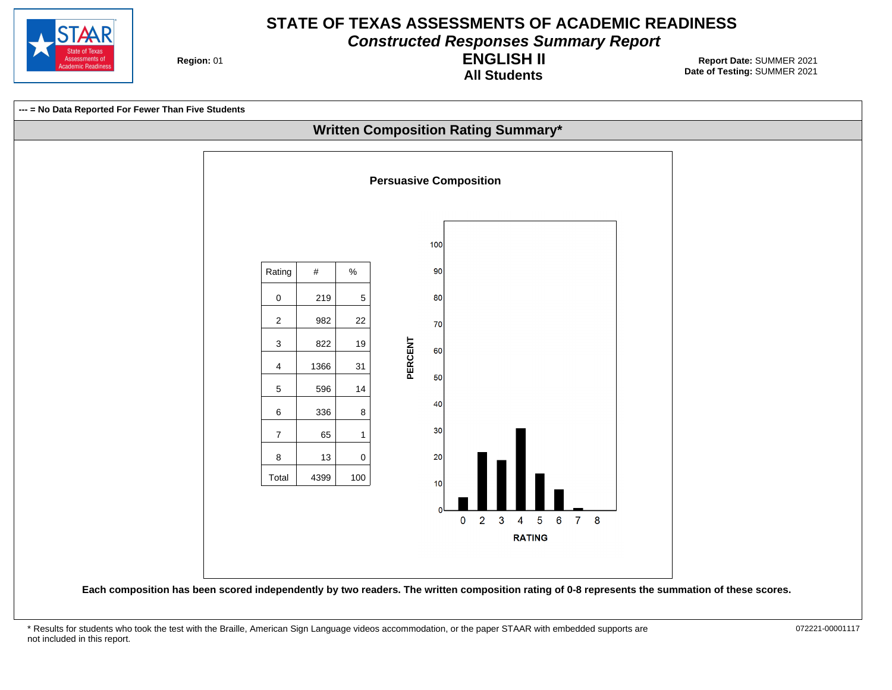

**Constructed Responses Summary Report**

**Region: 01** 

**All Students ENGLISH II**

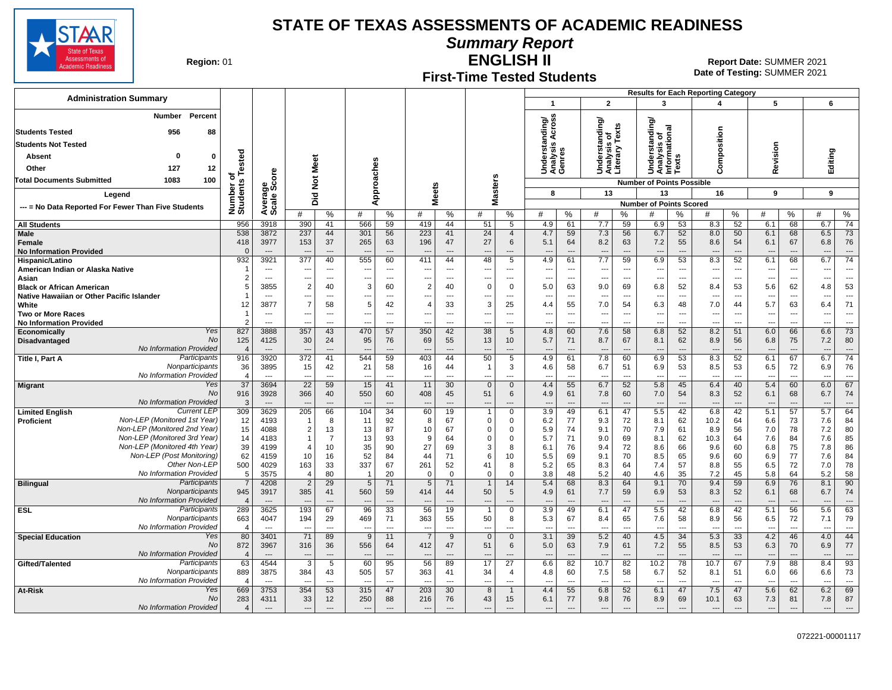**Summary Report**

ssessments of emic Readines

**Region: 01** 

# **First-Time Tested Students**

**ENGLISH II** 01 **Report Date:** SUMMER 2021 **Date of Testing:**  SUMMER 2021

|                                                                         |                                |                          |                                            |                                |                                 |                          |                          |                      |                                             |                                  |                                 |                                |                                           |                                |                                                        |                                | <b>Results for Each Reporting Category</b> |                                |                                 |                                |                                 |                                   |
|-------------------------------------------------------------------------|--------------------------------|--------------------------|--------------------------------------------|--------------------------------|---------------------------------|--------------------------|--------------------------|----------------------|---------------------------------------------|----------------------------------|---------------------------------|--------------------------------|-------------------------------------------|--------------------------------|--------------------------------------------------------|--------------------------------|--------------------------------------------|--------------------------------|---------------------------------|--------------------------------|---------------------------------|-----------------------------------|
| <b>Administration Summary</b>                                           |                                |                          |                                            |                                |                                 |                          |                          |                      |                                             |                                  | $\mathbf{1}$                    |                                | $\mathbf{2}$                              |                                | 3                                                      |                                | 4                                          |                                | 5                               |                                | 6                               |                                   |
| Percent<br>Number                                                       |                                |                          |                                            |                                |                                 |                          |                          |                      |                                             |                                  |                                 |                                |                                           |                                |                                                        |                                |                                            |                                |                                 |                                |                                 |                                   |
|                                                                         |                                |                          |                                            |                                |                                 |                          |                          |                      |                                             |                                  | nding/<br>Across                |                                | nding/                                    |                                | tanding/                                               |                                |                                            |                                |                                 |                                |                                 |                                   |
| 956<br><b>Students Tested</b><br>88                                     |                                |                          |                                            |                                |                                 |                          |                          |                      |                                             |                                  |                                 |                                |                                           | Texts                          | Understanding<br>Analysis of<br>Informational<br>Texts |                                | Composition                                |                                |                                 |                                |                                 |                                   |
| <b>Students Not Tested</b>                                              |                                |                          |                                            |                                |                                 |                          |                          |                      |                                             |                                  | lerstan<br><b>u</b>             |                                |                                           |                                |                                                        |                                |                                            |                                |                                 |                                |                                 |                                   |
| $\Omega$<br>Absent<br>0                                                 | ested                          |                          |                                            |                                |                                 |                          |                          |                      |                                             |                                  | Underst<br>Analysis<br>Genres   |                                | Understanc<br>Analysis of<br>Literary Te: |                                |                                                        |                                |                                            |                                | evision                         |                                | Editing                         |                                   |
| Other<br>127<br>12                                                      |                                |                          |                                            | Meet                           |                                 |                          |                          |                      |                                             |                                  |                                 |                                |                                           |                                |                                                        |                                |                                            |                                | ≃                               |                                |                                 |                                   |
| <b>Total Documents Submitted</b><br>1083<br>100                         | ъ                              |                          |                                            | $\breve{\mathbf{z}}$           |                                 |                          |                          |                      |                                             |                                  |                                 |                                |                                           |                                | <b>Number of Points Possible</b>                       |                                |                                            |                                |                                 |                                |                                 |                                   |
| Legend                                                                  | Number of<br>Students          | Average<br>Scale Score   |                                            |                                |                                 | pproaches                | <b>Meets</b>             |                      | <b>Masters</b>                              |                                  | 8                               |                                | 13                                        |                                | 13                                                     |                                | 16                                         |                                | 9                               |                                | 9                               |                                   |
| --- = No Data Reported For Fewer Than Five Students                     |                                |                          | Did                                        |                                |                                 | ⋖                        |                          |                      |                                             |                                  |                                 |                                |                                           |                                | <b>Number of Points Scored</b>                         |                                |                                            |                                |                                 |                                |                                 |                                   |
|                                                                         |                                |                          | #                                          | %                              | #                               | %                        | #                        | %                    | #                                           | %                                | #                               | %                              | #                                         | %                              | #                                                      | ℅                              | #                                          | %                              | #                               | %                              | #                               | $\%$                              |
| <b>All Students</b>                                                     | 956                            | 3918                     | 390                                        | 41                             | 566                             | 59                       | 419                      | 44                   | 51                                          | 5                                | 4.9                             | 61                             | 7.7                                       | 59                             | 6.9                                                    | 53                             | 8.3                                        | 52                             | 6.1                             | 68                             | 6.7                             | 74                                |
| <b>Male</b><br>Female                                                   | 538<br>418                     | 3872<br>3977             | 237<br>153                                 | 44<br>37                       | 301<br>265                      | 56<br>63                 | 223<br>196               | 41<br>47             | 24<br>27                                    | $\overline{4}$<br>6              | 4.7<br>5.1                      | 59<br>64                       | 7.3<br>8.2                                | 56<br>63                       | 6.7<br>7.2                                             | 52<br>55                       | 8.0<br>8.6                                 | 50<br>54                       | 6.1<br>6.1                      | 68<br>67                       | 6.5<br>6.8                      | 73<br>76                          |
| <b>No Information Provided</b>                                          | $\Omega$                       | $---$                    | $\sim$                                     | $---$                          | ---                             | $---$                    | ---                      | $---$                | ---                                         | $---$                            | $\overline{\phantom{a}}$        | $---$                          | $\overline{\phantom{a}}$                  | $\overline{a}$                 | $\overline{\phantom{a}}$                               | $\overline{\phantom{a}}$       | $\overline{\phantom{a}}$                   | $---$                          | $---$                           | $---$                          | $---$                           | $\overline{\phantom{a}}$          |
| Hispanic/Latino                                                         | 932                            | 3921                     | 377                                        | 40                             | 555                             | 60                       | 411                      | 44                   | 48                                          | 5                                | 4.9                             | 61                             | 7.7                                       | 59                             | 6.9                                                    | 53                             | 8.3                                        | 52                             | 6.1                             | 68                             | 6.7                             | $\overline{74}$                   |
| American Indian or Alaska Native                                        | f.                             | $-$                      | $\overline{\phantom{a}}$                   | $---$                          | $\overline{\phantom{a}}$        | $\overline{a}$           | $- - -$                  | $---$                | $\sim$                                      | $---$                            | $\overline{a}$                  | $---$                          | ---                                       | $\overline{a}$                 | ---                                                    | $\overline{a}$                 | $\overline{\phantom{a}}$                   | $\overline{\phantom{a}}$       | $\overline{\phantom{a}}$        | $\sim$                         | $\overline{\phantom{a}}$        | $\overline{a}$                    |
| Asian<br><b>Black or African American</b>                               | $\overline{2}$<br>5            | $-$<br>3855              | $\overline{\phantom{a}}$<br>$\overline{2}$ | $\overline{\phantom{a}}$<br>40 | ---<br>3                        | $\overline{a}$<br>60     | ---<br>$\overline{2}$    | $---$<br>40          | $\sim$<br>$\mathbf 0$                       | $---$<br>$\mathbf 0$             | $\overline{\phantom{a}}$<br>5.0 | ---<br>63                      | ---<br>9.0                                | ---<br>69                      | ---<br>6.8                                             | $\overline{\phantom{a}}$<br>52 | $\overline{\phantom{a}}$<br>8.4            | $\overline{\phantom{a}}$<br>53 | $\sim$<br>5.6                   | $\overline{\phantom{a}}$<br>62 | $\overline{\phantom{a}}$<br>4.8 | $\overline{\phantom{a}}$<br>53    |
| Native Hawaiian or Other Pacific Islander                               |                                | ---                      | ---                                        | $\scriptstyle\cdots$           | ---                             | $\overline{a}$           | $\overline{\phantom{a}}$ | ---                  | ---                                         | $\cdots$                         | $\overline{\phantom{a}}$        | $\overline{\phantom{a}}$       | ---                                       | ---                            | ---                                                    | ---                            | ---                                        | $\overline{\phantom{a}}$       | $\overline{\phantom{a}}$        | $\overline{\phantom{a}}$       | $\overline{\phantom{a}}$        | $\overline{\phantom{a}}$          |
| White                                                                   | 12                             | 3877                     | $\overline{7}$                             | 58                             | 5                               | 42                       | $\overline{4}$           | 33                   | 3                                           | 25                               | 4.4                             | 55                             | 7.0                                       | 54                             | 6.3                                                    | 48                             | 7.0                                        | 44                             | 5.7                             | 63                             | 6.4                             | 71                                |
| <b>Two or More Races</b>                                                |                                | $\overline{\phantom{a}}$ | ---                                        | $\scriptstyle\cdots$           | ---                             | $\overline{\phantom{a}}$ | ---                      | ---                  |                                             | $---$                            | $\overline{\phantom{a}}$        | ---                            | ---                                       | ---                            | …                                                      | ---                            | ---                                        | $\overline{\phantom{a}}$       | $\overline{\phantom{a}}$        | ---                            | ---                             | $\overline{\phantom{a}}$          |
| <b>No Information Provided</b><br>Yes<br><b>Economically</b>            | $\mathcal{P}$<br>827           | $\overline{a}$<br>3888   | $\overline{\phantom{a}}$<br>357            | $\overline{a}$<br>43           | ---<br>470                      | ---<br>57                | $\overline{a}$<br>350    | ---<br>42            | $\overline{\phantom{a}}$<br>$\overline{38}$ | $---$<br>5                       | $\overline{\phantom{a}}$<br>4.8 | $\overline{\phantom{a}}$<br>60 | ---<br>7.6                                | ---<br>58                      | Ξ.<br>6.8                                              | -−∙<br>52                      | ---<br>8.2                                 | ---<br>51                      | $\overline{\phantom{a}}$<br>6.0 | $\overline{a}$<br>66           | ---<br>6.6                      | $\overline{a}$<br>$\overline{73}$ |
| <b>No</b><br>Disadvantaged                                              | 125                            | 4125                     | 30                                         | 24                             | 95                              | 76                       | 69                       | 55                   | 13                                          | 10 <sup>°</sup>                  | 5.7                             | 71                             | 8.7                                       | 67                             | 8.1                                                    | 62                             | 8.9                                        | 56                             | 6.8                             | 75                             | 7.2                             | 80                                |
| No Information Provided                                                 | $\overline{4}$                 | $\overline{\phantom{a}}$ | $\overline{\phantom{a}}$                   | $\overline{a}$                 | ---                             | $\overline{\phantom{a}}$ |                          | $\overline{a}$       |                                             | $\overline{\phantom{a}}$         | $\overline{\phantom{a}}$        | ---                            | ---                                       | ---                            | $\overline{\phantom{a}}$                               | $\overline{\phantom{a}}$       | ---                                        | $\overline{\phantom{a}}$       | $\overline{\phantom{a}}$        | $\overline{\phantom{a}}$       | $\overline{\phantom{a}}$        |                                   |
| Participants<br>Title I, Part A<br>Nonparticipants                      | 916                            | 3920                     | 372                                        | 41                             | 544                             | 59                       | 403                      | 44                   | 50                                          | 5                                | 4.9                             | 61                             | 7.8                                       | 60                             | 6.9                                                    | 53                             | 8.3                                        | 52                             | 6.1                             | 67                             | 6.7                             | $\overline{74}$                   |
| No Information Provided                                                 | 36<br>$\overline{4}$           | 3895<br>$\sim$           | 15                                         | 42<br>$\overline{a}$           | 21<br>---                       | 58<br>$\overline{a}$     | 16                       | 44<br>$\overline{a}$ | $\mathbf{1}$                                | 3<br>---                         | 4.6<br>$\overline{\phantom{a}}$ | 58<br>$\overline{a}$           | 6.7<br>--                                 | 51<br>---                      | 6.9<br>---                                             | 53<br>$\overline{\phantom{a}}$ | 8.5                                        | 53<br>$\overline{a}$           | 6.5                             | 72<br>$\overline{a}$           | 6.9<br>$\overline{\phantom{a}}$ | 76<br>$\overline{a}$              |
| Yes<br><b>Migrant</b>                                                   | $\overline{37}$                | 3694                     | 22                                         | 59                             | 15                              | 41                       | 11                       | 30                   | $\mathbf{0}$                                | $\mathbf{0}$                     | 4.4                             | 55                             | 6.7                                       | 52                             | 5.8                                                    | 45                             | 6.4                                        | 40                             | 5.4                             | 60                             | 6.0                             | 67                                |
| No                                                                      | 916                            | 3928                     | 366                                        | 40                             | 550                             | 60                       | 408                      | 45                   | 51                                          | 6                                | 4.9                             | 61                             | 7.8                                       | 60                             | 7.0                                                    | 54                             | 8.3                                        | 52                             | 6.1                             | 68                             | 6.7                             | 74                                |
| No Information Provided<br><b>Current LEP</b><br><b>Limited English</b> | 3<br>309                       | $---$<br>3629            | $\sim$<br>205                              | $\overline{\phantom{a}}$<br>66 | $\overline{\phantom{a}}$<br>104 | $\overline{a}$<br>34     | 60                       | $\overline{a}$<br>19 | $\overline{\phantom{a}}$<br>$\overline{1}$  | $---$<br>0                       | $\overline{\phantom{a}}$<br>3.9 | $\overline{\phantom{a}}$<br>49 | $\overline{\phantom{a}}$<br>6.1           | $\overline{a}$<br>47           | $\overline{\phantom{a}}$<br>5.5                        | $\overline{a}$<br>42           | ---<br>6.8                                 | $\overline{\phantom{a}}$<br>42 | $\overline{\phantom{a}}$<br>5.1 | $\overline{\phantom{a}}$<br>57 | $\overline{\phantom{a}}$<br>5.7 | $\overline{\phantom{a}}$<br>64    |
| Non-LEP (Monitored 1st Year)<br>Proficient                              | 12                             | 4193                     | $\mathbf{1}$                               | 8                              | 11                              | 92                       | 8                        | 67                   | $\mathbf 0$                                 | $\mathbf 0$                      | 6.2                             | 77                             | 9.3                                       | 72                             | 8.1                                                    | 62                             | 10.2                                       | 64                             | 6.6                             | 73                             | 7.6                             | 84                                |
| Non-LEP (Monitored 2nd Year)                                            | 15                             | 4088                     | 2                                          | 13                             | 13                              | 87                       | 10                       | 67                   | $\mathbf 0$                                 | 0                                | 5.9                             | 74                             | 9.1                                       | 70                             | 7.9                                                    | 61                             | 8.9                                        | 56                             | 7.0                             | 78                             | 7.2                             | 80                                |
| Non-LEP (Monitored 3rd Year)                                            | 14                             | 4183                     | $\mathbf{1}$                               | $\overline{7}$                 | 13                              | 93                       | 9                        | 64                   | $\Omega$                                    | $\Omega$                         | 5.7                             | 71                             | 9.0                                       | 69                             | 8.1                                                    | 62                             | 10.3                                       | 64                             | 7.6                             | 84                             | 7.6                             | 85                                |
| Non-LEP (Monitored 4th Year)<br>Non-LEP (Post Monitoring)               | 39<br>62                       | 4199<br>4159             | $\overline{4}$<br>10                       | 10<br>16                       | 35<br>52                        | 90<br>84                 | 27<br>44                 | 69<br>71             | 3<br>6                                      | 8<br>10                          | 6.1<br>5.5                      | 76<br>69                       | 9.4<br>9.1                                | 72<br>70                       | 8.6<br>8.5                                             | 66<br>65                       | 9.6<br>9.6                                 | 60<br>60                       | 6.8<br>6.9                      | 75<br>77                       | 7.8<br>7.6                      | 86<br>84                          |
| Other Non-LEP                                                           | 500                            | 4029                     | 163                                        | 33                             | 337                             | 67                       | 261                      | 52                   | 41                                          | 8                                | 5.2                             | 65                             | 8.3                                       | 64                             | 7.4                                                    | 57                             | 8.8                                        | 55                             | 6.5                             | 72                             | 7.0                             | 78                                |
| No Information Provided                                                 | 5                              | 3575                     | $\Delta$                                   | 80                             |                                 | 20                       | $\Omega$                 | $\Omega$             | $\Omega$                                    | $\Omega$                         | 3.8                             | 48                             | 5.2                                       | 40                             | 4.6                                                    | 35                             | 7.2                                        | 45                             | 5.8                             | 64                             | 5.2                             | 58                                |
| Participants<br><b>Bilingual</b>                                        | $\overline{7}$                 | 4208                     | $\overline{2}$                             | 29                             | 5                               | 71                       | 5                        | 71                   | $\overline{1}$                              | 14                               | 5.4                             | 68                             | 8.3                                       | 64                             | 9.1                                                    | 70                             | 9.4                                        | 59                             | 6.9                             | 76                             | 8.1                             | 90                                |
| Nonparticipants<br>No Information Provided                              | 945<br>$\overline{4}$          | 3917                     | 385                                        | 41<br>$\overline{\phantom{a}}$ | 560<br>$\overline{\phantom{a}}$ | 59<br>$\overline{a}$     | 414                      | 44                   | 50<br>$\overline{\phantom{a}}$              | 5                                | 4.9<br>$\overline{\phantom{a}}$ | 61                             | 7.7<br>$\overline{\phantom{a}}$           | 59<br>$\overline{\phantom{a}}$ | 6.9<br>---                                             | 53<br>$\overline{\phantom{a}}$ | 8.3<br>$\overline{\phantom{a}}$            | 52<br>$\overline{\phantom{a}}$ | 6.1<br>$\overline{\phantom{a}}$ | 68<br>$\overline{a}$           | 6.7<br>$\overline{\phantom{a}}$ | 74<br>$\overline{\phantom{a}}$    |
| Participants<br><b>ESL</b>                                              | 289                            | 3625                     | 193                                        | 67                             | 96                              | 33                       | 56                       | 19                   | $\overline{1}$                              | $\mathbf 0$                      | 3.9                             | 49                             | 6.1                                       | 47                             | 5.5                                                    | 42                             | 6.8                                        | 42                             | 5.1                             | 56                             | 5.6                             | 63                                |
| Nonparticipants                                                         | 663                            | 4047                     | 194                                        | 29                             | 469                             | 71                       | 363                      | 55                   | 50                                          | 8                                | 5.3                             | 67                             | 8.4                                       | 65                             | 7.6                                                    | 58                             | 8.9                                        | 56                             | 6.5                             | 72                             | 7.1                             | 79                                |
| No Information Provided                                                 | $\overline{4}$                 | $\overline{a}$           | $\overline{a}$                             | $\overline{a}$                 | ---                             | $\overline{a}$           | ---                      | $\overline{a}$       | $\overline{\phantom{a}}$                    | $\overline{a}$                   | $\sim$                          | $\overline{a}$                 | $\overline{\phantom{a}}$                  | ---                            | Ξ.                                                     | -−∙                            | $\overline{a}$                             | $\overline{\phantom{a}}$       | $\overline{\phantom{a}}$        | $\overline{a}$                 | $\overline{\phantom{a}}$        |                                   |
| Yes<br><b>Special Education</b><br>No                                   | 80<br>872                      | 3401<br>3967             | $\overline{71}$<br>316                     | 89<br>36                       | 9<br>556                        | 11<br>64                 | $\overline{7}$<br>412    | 9<br>47              | $\overline{0}$<br>51                        | $\mathbf{0}$<br>6                | 3.1<br>5.0                      | 39<br>63                       | 5.2<br>7.9                                | 40<br>61                       | 4.5<br>7.2                                             | 34<br>55                       | 5.3<br>8.5                                 | 33<br>53                       | 4.2<br>6.3                      | 46<br>70                       | 4.0<br>6.9                      | 44<br>77                          |
| No Information Provided                                                 | $\overline{4}$                 |                          | $\overline{\phantom{a}}$                   | $\overline{a}$                 | ---                             |                          |                          |                      |                                             |                                  | $\overline{\phantom{a}}$        | $\overline{\phantom{a}}$       | ---                                       | $\overline{a}$                 | ---                                                    |                                | $\overline{a}$                             | $\overline{\phantom{a}}$       | $\overline{\phantom{a}}$        |                                | $\overline{\phantom{a}}$        | $\sim$                            |
| Participants<br>Gifted/Talented                                         | 63                             | 4544                     | 3                                          | 5                              | 60                              | 95                       | 56                       | 89                   | 17                                          | 27                               | 6.6                             | 82                             | 10.7                                      | 82                             | 10.2                                                   | 78                             | 10.7                                       | 67                             | 7.9                             | 88                             | 8.4                             | 93                                |
| Nonparticipants                                                         | 889                            | 3875                     | 384                                        | 43                             | 505                             | 57                       | 363                      | 41                   | 34                                          | $\overline{4}$                   | 4.8                             | 60                             | 7.5                                       | 58                             | 6.7                                                    | 52                             | 8.1                                        | 51                             | 6.0                             | 66                             | 6.6                             | 73                                |
| No Information Provided<br>Yes<br>At-Risk                               | $\overline{\mathbf{4}}$<br>669 | $-$<br>3753              | 354                                        | $\overline{a}$<br>53           | $\overline{a}$<br>315           | $\overline{a}$<br>47     | 203                      | $\overline{a}$<br>30 | 8                                           | $\overline{a}$<br>$\overline{1}$ | $\overline{\phantom{a}}$<br>4.4 | $\overline{a}$<br>55           | ---<br>6.8                                | ---<br>52                      | ---<br>6.1                                             | $\overline{\phantom{a}}$<br>47 | ---<br>7.5                                 | $\overline{a}$<br>47           | 5.6                             | $\overline{a}$<br>62           | $\overline{\phantom{a}}$<br>6.2 | $\overline{a}$<br>69              |
| No                                                                      | 283                            | 4311                     | 33                                         | 12                             | 250                             | 88                       | 216                      | 76                   | 43                                          | 15                               | 6.1                             | 77                             | 9.8                                       | 76                             | 8.9                                                    | 69                             | 10.1                                       | 63                             | 7.3                             | 81                             | 7.8                             | 87                                |
| No Information Provided                                                 | $\Delta$                       | $---$                    | $\overline{\phantom{a}}$                   | $\overline{a}$                 | $\cdots$                        | $\hspace{1.5cm} \ldots$  | $---$                    | $\overline{a}$       | ---                                         | $---$                            | $---$                           | $\overline{\phantom{a}}$       | $\overline{\phantom{a}}$                  | $\overline{a}$                 | $\overline{\phantom{a}}$                               | $\sim$                         | $\overline{\phantom{a}}$                   | $\overline{\phantom{a}}$       | $\overline{\phantom{a}}$        | $\overline{\phantom{a}}$       | ---                             |                                   |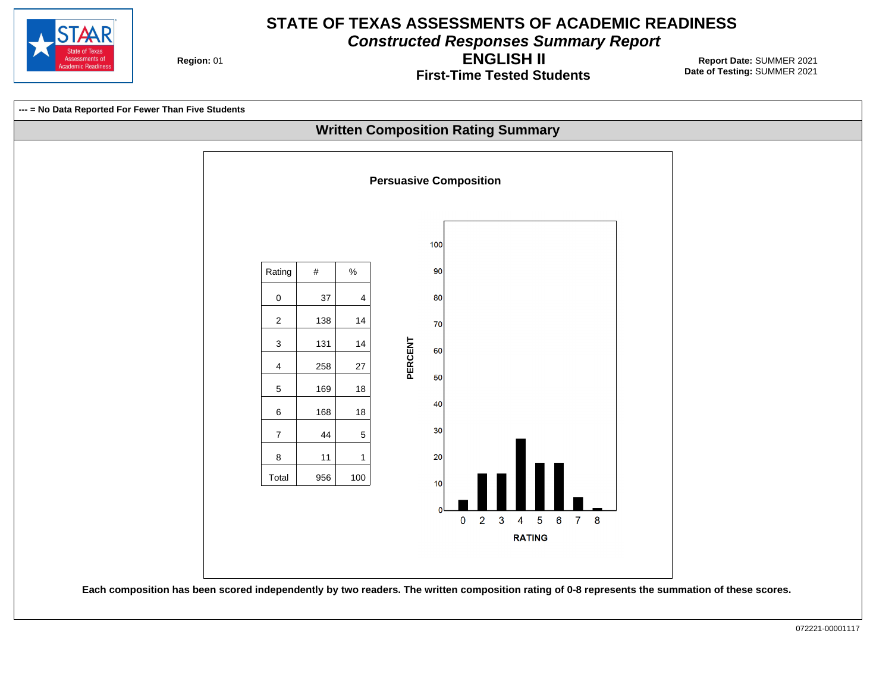

**Constructed Responses Summary Report**

**Region: 01** 

**First-Time Tested Students ENGLISH II**

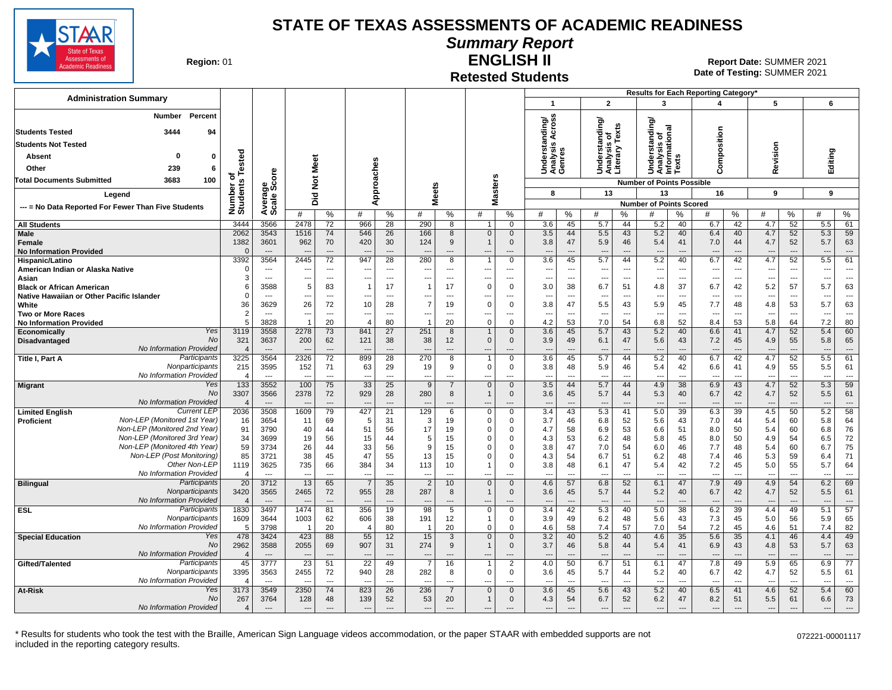

# **Summary Report**

**Region: 01** 

#### **Retested Students ENGLISH II**

**Date of Testing:**  SUMMER 2021 01 **Report Date:** SUMMER 2021

|                                                                                                                     |                                             |                                  |                                 |                          |                                            |                          |                                |                          |                          |                               |                                                        |                                |                                                 |                      |                                                       |                                | Results for Each Reporting Category' |                                |                                 |                      |                          |                                |
|---------------------------------------------------------------------------------------------------------------------|---------------------------------------------|----------------------------------|---------------------------------|--------------------------|--------------------------------------------|--------------------------|--------------------------------|--------------------------|--------------------------|-------------------------------|--------------------------------------------------------|--------------------------------|-------------------------------------------------|----------------------|-------------------------------------------------------|--------------------------------|--------------------------------------|--------------------------------|---------------------------------|----------------------|--------------------------|--------------------------------|
| <b>Administration Summary</b>                                                                                       |                                             |                                  |                                 |                          |                                            |                          |                                |                          |                          |                               | -1                                                     |                                | $\overline{2}$                                  |                      | 3                                                     |                                | 4                                    |                                | 5                               |                      | 6                        |                                |
| Percent<br>Number<br>3444<br><b>Students Tested</b><br>94<br><b>Students Not Tested</b><br>Absent<br>-0<br>$\Omega$ |                                             |                                  |                                 |                          |                                            |                          |                                |                          |                          |                               | nding/<br>Across<br>S<br>Underst<br>Analysis<br>Genres |                                | Understanding/<br>Analysis of<br>Literary Texts |                      | ding<br>Understanding<br>Analysis of<br>Informational | ဖာ                             | Composition                          |                                | Revision                        |                      |                          |                                |
|                                                                                                                     | ested                                       |                                  | Meet                            |                          |                                            |                          |                                |                          |                          |                               |                                                        |                                |                                                 |                      |                                                       | ē.                             |                                      |                                |                                 |                      | Editing                  |                                |
| 239<br>Other<br>-6                                                                                                  | ৳                                           | ge<br>Score                      |                                 |                          |                                            | Approaches               |                                |                          |                          |                               |                                                        |                                |                                                 |                      |                                                       |                                |                                      |                                |                                 |                      |                          |                                |
| 100<br>3683<br><b>Total Documents Submitted</b>                                                                     | Number o<br>Students                        |                                  | $\frac{5}{2}$                   |                          |                                            |                          |                                |                          |                          | <b>Masters</b>                |                                                        |                                |                                                 |                      | <b>Number of Points Possible</b>                      |                                |                                      |                                |                                 |                      |                          |                                |
| Legend                                                                                                              |                                             |                                  | Did                             |                          |                                            |                          | eets                           |                          |                          |                               | 8                                                      |                                | 13                                              |                      | 13                                                    |                                | 16                                   |                                | 9                               |                      | 9                        |                                |
| --- = No Data Reported For Fewer Than Five Students                                                                 |                                             | Avera<br>Scale                   |                                 |                          |                                            |                          | ż.                             |                          |                          |                               |                                                        |                                |                                                 |                      | <b>Number of Points Scored</b>                        |                                |                                      |                                |                                 |                      |                          |                                |
|                                                                                                                     |                                             |                                  | #                               | %                        | #                                          | %                        | #                              | %                        | #                        | %                             | #                                                      | %                              | #                                               | ℅                    | #                                                     | ℅                              | #                                    | %                              | #                               | %                    | #                        | $\%$                           |
| <b>All Students</b><br>Male                                                                                         | 3444<br>2062                                | 3566<br>3543                     | 2478<br>1516                    | 72<br>74                 | 966<br>546                                 | 28<br>26                 | 290<br>166                     | 8<br>8                   | $\mathbf{1}$<br>$\Omega$ | $\mathbf 0$<br>$\mathbf 0$    | 3.6<br>3.5                                             | 45<br>44                       | 5.7<br>5.5                                      | 44<br>43             | 5.2<br>5.2                                            | 40<br>40                       | 6.7<br>6.4                           | 42<br>40                       | 4.7<br>4.7                      | 52<br>52             | 5.5<br>5.3               | 61<br>59                       |
| Female<br><b>No Information Provided</b>                                                                            | 1382<br>$\sqrt{ }$                          | 3601<br>$\overline{\phantom{a}}$ | 962                             | 70<br>---                | 420<br>$---$                               | 30<br>$\overline{a}$     | 124                            | 9<br>$---$               | ---                      | $\mathbf 0$<br>$---$          | 3.8<br>$---$                                           | 47<br>$\overline{a}$           | 5.9<br>$\overline{\phantom{a}}$                 | 46<br>$\overline{a}$ | 5.4<br>$\overline{\phantom{a}}$                       | 41<br>$\overline{\phantom{a}}$ | 7.0<br>$---$                         | 44<br>$---$                    | 4.7<br>---                      | 52<br>$\overline{a}$ | 5.7<br>---               | 63<br>$\qquad \qquad \cdots$   |
| Hispanic/Latino                                                                                                     | 3392                                        | 3564                             | 2445                            | 72                       | 947                                        | 28                       | 280                            | 8                        |                          | $\mathbf 0$                   | 3.6                                                    | 45                             | 5.7                                             | 44                   | 5.2                                                   | 40                             | 6.7                                  | 42                             | 4.7                             | 52                   | $\overline{5.5}$         | 61                             |
| American Indian or Alaska Native                                                                                    | $\epsilon$                                  | $\overline{\phantom{a}}$         | ---                             | ---                      | $---$                                      | $\overline{\phantom{a}}$ | $\overline{\phantom{a}}$       | $---$                    | ---                      | $\overline{\phantom{a}}$      | ---                                                    | $\overline{\phantom{a}}$       | ---                                             | ---                  | $\overline{\phantom{a}}$                              | $\overline{\phantom{a}}$       | $---$                                | ---                            | ---                             | ---                  | ---                      | $\overline{\phantom{a}}$       |
| Asian<br><b>Black or African American</b>                                                                           | 3<br>F                                      | $\overline{a}$<br>3588           | --<br>5                         | $\overline{a}$<br>83     | ---<br>$\overline{1}$                      | ---<br>17                | $\overline{\phantom{a}}$<br>-1 | $---$<br>17              | ---<br>$\Omega$          | ---<br>$\overline{0}$         | ---<br>3.0                                             | $\overline{\phantom{a}}$<br>38 | ---<br>6.7                                      | ---<br>51            | ---<br>4.8                                            | $\sim$<br>37                   | $--$<br>6.7                          | $\overline{\phantom{a}}$<br>42 | $\overline{\phantom{a}}$<br>5.2 | ---<br>57            | ---<br>5.7               | $\overline{\phantom{a}}$<br>63 |
| Native Hawaiian or Other Pacific Islander                                                                           | $\Omega$                                    | $\overline{a}$                   | ---                             | $\overline{a}$           | $\overline{\phantom{a}}$                   | $\overline{a}$           | $\overline{\phantom{a}}$       | $---$                    | ---                      | ---                           | $\overline{\phantom{a}}$                               | $\overline{\phantom{a}}$       | ---                                             | $\overline{a}$       | $\overline{\phantom{a}}$                              | $\overline{\phantom{a}}$       | $\overline{\phantom{a}}$             | ---                            | $\overline{\phantom{a}}$        | ---                  | ---                      | $\overline{\phantom{a}}$       |
| White                                                                                                               | 36                                          | 3629                             | 26                              | 72                       | 10                                         | 28                       | $\overline{7}$                 | 19                       | $\mathbf 0$              | $\mathbf 0$                   | 3.8                                                    | 47                             | 5.5                                             | 43                   | 5.9                                                   | 45                             | 7.7                                  | 48                             | 4.8                             | 53                   | 5.7                      | 63                             |
| <b>Two or More Races</b>                                                                                            | -2                                          | $\sim$                           | --                              | ---                      | $\hspace{0.05cm} \ldots$                   | $\overline{a}$           |                                | $\overline{\phantom{a}}$ | ---                      | ---                           | $\overline{\phantom{a}}$                               | $\overline{\phantom{a}}$       | $\overline{\phantom{a}}$                        | $\overline{a}$       | $\overline{\phantom{a}}$                              | $\overline{\phantom{a}}$       | $\overline{\phantom{a}}$             | $---$                          | --                              | ---                  | ---                      | $\overline{\phantom{a}}$       |
| <b>No Information Provided</b><br>Yes<br><b>Economically</b>                                                        | 3119                                        | 3828<br>3558                     | $\overline{\mathbf{1}}$<br>2278 | 20<br>73                 | $\boldsymbol{\varDelta}$<br>841            | 80<br>$\overline{27}$    | 251                            | 20<br>8                  | $\Omega$                 | $\mathbf 0$<br>$\overline{0}$ | 4.2<br>3.6                                             | 53<br>45                       | 7.0<br>5.7                                      | 54<br>43             | 6.8<br>5.2                                            | 52<br>40                       | 8.4<br>6.6                           | 53<br>41                       | 5.8<br>4.7                      | 64<br>52             | 7.2<br>5.4               | 80<br>60                       |
| No<br><b>Disadvantaged</b>                                                                                          | 321                                         | 3637                             | 200                             | 62                       | 121                                        | 38                       | 38                             | 12                       | $\Omega$                 | $\mathbf 0$                   | 3.9                                                    | 49                             | 6.1                                             | 47                   | 5.6                                                   | 43                             | 7.2                                  | 45                             | 4.9                             | 55                   | 5.8                      | 65                             |
| No Information Provided                                                                                             | $\sqrt{2}$                                  | $\overline{\phantom{a}}$         |                                 | ---                      |                                            | $\overline{a}$           |                                | $\overline{\phantom{a}}$ | ---                      | ---                           | $\overline{\phantom{a}}$                               | $\overline{a}$                 | $\overline{\phantom{a}}$                        | ---                  | $\overline{\phantom{a}}$                              | $\sim$                         |                                      |                                | $\qquad \qquad -$               | $\overline{a}$       | ---                      | $\overline{\phantom{a}}$       |
| Participants<br>Title I, Part A                                                                                     | 3225                                        | 3564                             | 2326                            | $\overline{72}$          | 899                                        | 28                       | 270                            | 8                        | $\mathbf{1}$             | $\overline{0}$                | 3.6                                                    | 45                             | 5.7                                             | 44                   | 5.2                                                   | 40                             | 6.7                                  | 42                             | 4.7                             | 52                   | $\overline{5.5}$         | 61                             |
| Nonparticipants<br>No Information Provided                                                                          | 215                                         | 3595<br>$\overline{\phantom{a}}$ | 152                             | 71<br>$\overline{a}$     | 63                                         | 29<br>$\overline{a}$     | 19                             | 9                        | $\Omega$                 | $\mathbf 0$<br>---            | 3.8                                                    | 48<br>$\overline{\phantom{a}}$ | 5.9                                             | 46<br>---            | 5.4                                                   | 42<br>$\overline{\phantom{a}}$ | 6.6                                  | 41<br>$\overline{\phantom{a}}$ | 4.9                             | 55<br>$\overline{a}$ | 5.5                      | 61<br>$\overline{a}$           |
| Yes<br><b>Migrant</b>                                                                                               | $\sqrt{2}$<br>133                           | 3552                             | 100                             | 75                       | $-$<br>33                                  | 25                       | $\overline{\phantom{a}}$<br>9  | $---$<br>7               | ---<br>$\Omega$          | $\overline{0}$                | $\overline{a}$<br>3.5                                  | 44                             | ---<br>5.7                                      | 44                   | $\overline{\phantom{a}}$<br>4.9                       | 38                             | $\sim$<br>6.9                        | 43                             | $\overline{a}$<br>4.7           | 52                   | ---<br>5.3               | 59                             |
| No                                                                                                                  | 3307                                        | 3566                             | 2378                            | 72                       | 929                                        | 28                       | 280                            | 8                        |                          | $\mathbf 0$                   | 3.6                                                    | 45                             | 5.7                                             | 44                   | 5.3                                                   | 40                             | 6.7                                  | 42                             | 4.7                             | 52                   | 5.5                      | 61                             |
| No Information Provided                                                                                             | $\sqrt{2}$                                  | $\overline{\phantom{a}}$         |                                 | $---$                    | $\overline{\phantom{a}}$                   | $\overline{a}$           |                                | $---$                    | ---                      | ---                           | $\overline{\phantom{a}}$                               | $\overline{\phantom{a}}$       | $\overline{\phantom{a}}$                        | ---                  | $\overline{\phantom{a}}$                              | $---$                          | $\overline{\phantom{a}}$             | $\overline{\phantom{a}}$       | $\overline{\phantom{a}}$        | $\overline{a}$       | ---                      | $\qquad \qquad \cdots$         |
| <b>Current LEP</b><br><b>Limited English</b><br>Non-LEP (Monitored 1st Year)<br>Proficient                          | 2036<br>16                                  | 3508<br>3654                     | 1609<br>11                      | 79<br>69                 | 427<br>5                                   | 21<br>31                 | 129<br>3                       | 6<br>19                  | $\mathbf 0$<br>$\Omega$  | $\mathbf 0$<br>$\mathbf 0$    | 3.4<br>3.7                                             | 43<br>46                       | 5.3<br>6.8                                      | 41<br>52             | 5.0<br>5.6                                            | 39<br>43                       | 6.3<br>7.0                           | 39<br>44                       | 4.5<br>5.4                      | 50<br>60             | 5.2<br>5.8               | 58<br>64                       |
| Non-LEP (Monitored 2nd Year)<br>Non-LEP (Monitored 3rd Year)                                                        | 91<br>34                                    | 3790<br>3699                     | 40<br>19                        | 44<br>56                 | 51<br>15                                   | 56<br>44                 | 17<br>5                        | 19<br>15                 | $\Omega$<br>$\Omega$     | $\Omega$<br>$\Omega$          | 4.7<br>4.3                                             | 58<br>53                       | 6.9<br>6.2                                      | 53<br>48             | 6.6<br>5.8                                            | 51<br>45                       | 8.0<br>8.0                           | 50<br>50                       | 5.4<br>4.9                      | 60<br>54             | 6.8<br>6.5               | 76<br>72                       |
| Non-LEP (Monitored 4th Year)                                                                                        | 59                                          | 3734                             | 26                              | 44                       | 33                                         | 56                       | 9                              | 15                       | r                        | $\Omega$                      | 3.8                                                    | 47                             | 7.0                                             | 54                   | 6.0                                                   | 46                             | 7.7                                  | 48                             | 5.4                             | 60                   | 6.7                      | 75                             |
| Non-LEP (Post Monitoring)                                                                                           | 85                                          | 3721                             | 38                              | 45                       | 47                                         | 55                       | 13                             | 15                       |                          | $\Omega$                      | 4.3                                                    | 54                             | 6.7                                             | 51                   | 6.2                                                   | 48                             | 7.4                                  | 46                             | 5.3                             | 59                   | 6.4                      | 71                             |
| Other Non-LEP                                                                                                       | 1119                                        | 3625                             | 735                             | 66                       | 384                                        | 34                       | 113                            | 10                       |                          | $\mathbf 0$                   | 3.8                                                    | 48                             | 6.1                                             | 47                   | 5.4                                                   | 42                             | 7.2                                  | 45                             | 5.0                             | 55                   | 5.7                      | 64                             |
| No Information Provided<br>Participants<br><b>Bilingual</b>                                                         | $\overline{\phantom{a}}$<br>$\overline{20}$ | $-$<br>3712                      | 13                              | $\overline{a}$<br>65     | $\overline{\phantom{a}}$<br>$\overline{7}$ | $\overline{a}$<br>35     | $\overline{2}$                 | $\overline{a}$<br>10     | ---<br>$\Omega$          | ---<br>$\mathbf{0}$           | $\overline{a}$<br>4.6                                  | $\overline{\phantom{a}}$<br>57 | --<br>6.8                                       | ---<br>52            | ---<br>6.1                                            | $\sim$<br>47                   | $\sim$<br>7.9                        | $\overline{\phantom{a}}$<br>49 | 4.9                             | $\overline{a}$<br>54 | 6.2                      | $\overline{a}$<br>69           |
| Nonparticipants                                                                                                     | 3420                                        | 3565                             | 2465                            | 72                       | 955                                        | 28                       | 287                            | 8                        |                          | $\mathbf{0}$                  | 3.6                                                    | 45                             | 5.7                                             | 44                   | 5.2                                                   | 40                             | 6.7                                  | 42                             | 4.7                             | 52                   | 5.5                      | 61                             |
| No Information Provided                                                                                             |                                             |                                  |                                 | ---                      |                                            | $\overline{\phantom{a}}$ |                                |                          | ---                      | ---                           | $\overline{\phantom{a}}$                               | ---                            | $\overline{\phantom{a}}$                        | ---                  |                                                       | $\overline{\phantom{a}}$       | $\overline{\phantom{a}}$             |                                | $\overline{\phantom{a}}$        |                      | ---                      | $\hspace{0.05cm} \ldots$       |
| Participants<br><b>ESL</b>                                                                                          | 1830                                        | 3497                             | 1474                            | 81                       | 356                                        | 19                       | 98                             | 5                        | $\mathbf 0$              | $\mathbf 0$                   | 3.4                                                    | 42                             | 5.3                                             | 40                   | 5.0                                                   | 38                             | 6.2                                  | 39                             | 4.4                             | 49                   | 5.1                      | 57                             |
| Nonparticipants<br>No Information Provided                                                                          | 1609<br>-5                                  | 3644<br>3798                     | 1003<br>$\overline{1}$          | 62<br>20                 | 606<br>$\overline{4}$                      | 38<br>80                 | 191                            | 12<br>20                 | $\Omega$                 | $\mathbf 0$<br>$\mathbf 0$    | 3.9<br>4.6                                             | 49<br>58                       | 6.2<br>7.4                                      | 48<br>57             | 5.6<br>7.0                                            | 43<br>54                       | 7.3<br>7.2                           | 45<br>45                       | 5.0                             | 56<br>51             | 5.9<br>7.4               | 65<br>82                       |
| Yes<br><b>Special Education</b>                                                                                     | 478                                         | 3424                             | 423                             | 88                       | 55                                         | 12                       | 15                             | 3                        | $\Omega$                 | $\mathbf 0$                   | 3.2                                                    | 40                             | 5.2                                             | 40                   | 4.6                                                   | 35                             | 5.6                                  | 35                             | 4.6<br>4.1                      | 46                   | 4.4                      | 49                             |
| <b>No</b>                                                                                                           | 2962                                        | 3588                             | 2055                            | 69                       | 907                                        | 31                       | 274                            | 9                        |                          | $\mathbf 0$                   | 3.7                                                    | 46                             | 5.8                                             | 44                   | 5.4                                                   | 41                             | 6.9                                  | 43                             | 4.8                             | 53                   | 5.7                      | 63                             |
| No Information Provided                                                                                             | $\sqrt{2}$                                  | $---$                            | ---                             | $---$                    | $---$                                      | $---$                    | $\overline{\phantom{a}}$       | $---$                    | ---                      | $\overline{a}$                | $---$                                                  | $---$                          | $---$                                           | $---$                | $\overline{\phantom{a}}$                              | $---$                          | $---$                                | $---$                          | $\overline{\phantom{a}}$        | $---$                | $\overline{\phantom{a}}$ | $---$                          |
| Participants<br>Gifted/Talented                                                                                     | 45                                          | 3777                             | $\overline{23}$                 | 51                       | $\overline{22}$                            | 49                       |                                | 16                       |                          | $\overline{2}$                | 4.0                                                    | 50                             | 6.7                                             | 51                   | 6.1                                                   | 47                             | 7.8                                  | 49                             | 5.9                             | 65                   | 6.9                      | $\overline{77}$                |
| Nonparticipants<br>No Information Provided                                                                          | 3395                                        | 3563<br>$\overline{a}$           | 2455                            | 72<br>$\overline{a}$     | 940                                        | 28<br>$\overline{a}$     | 282                            | 8<br>$\overline{a}$      | $\mathbf 0$<br>---       | $\mathbf 0$<br>---            | 3.6                                                    | 45<br>$\overline{a}$           | 5.7<br>--                                       | 44<br>$\sim$         | 5.2<br>$\overline{a}$                                 | 40<br>$\sim$                   | 6.7                                  | 42<br>$\overline{a}$           | 4.7                             | 52<br>$\sim$         | 5.5<br>---               | 61<br>$\overline{a}$           |
| Yes<br>At-Risk                                                                                                      | 3173                                        | 3549                             | 2350                            | 74                       | 823                                        | 26                       | 236                            |                          | $\Omega$                 | $\mathbf{0}$                  | 3.6                                                    | 45                             | 5.6                                             | 43                   | 5.2                                                   | 40                             | 6.5                                  | 41                             | 4.6                             | 52                   | 5.4                      | 60                             |
| No                                                                                                                  | 267                                         | 3764                             | 128                             | 48                       | 139                                        | 52                       | 53                             | 20                       |                          | $\mathbf{0}$                  | 4.3                                                    | 54                             | 6.7                                             | 52                   | 6.2                                                   | 47                             | 8.2                                  | 51                             | 5.5                             | 61                   | 6.6                      | 73                             |
| No Information Provided                                                                                             | $\overline{4}$                              | $\cdots$                         | ---                             | $\overline{\phantom{a}}$ | $\hspace{1.5cm} \cdots$                    | $\qquad \qquad \cdots$   | $\overline{\phantom{a}}$       | $\qquad \qquad \cdots$   | ---                      | $---$                         | $\overline{\phantom{a}}$                               | $\qquad \qquad \cdots$         | $\overline{\phantom{a}}$                        | ---                  | $\overline{\phantom{a}}$                              | $\cdots$                       | $\overline{\phantom{a}}$             | $\cdots$                       | $\overline{\phantom{a}}$        | $\overline{a}$       | ---                      | $\overline{\phantom{a}}$       |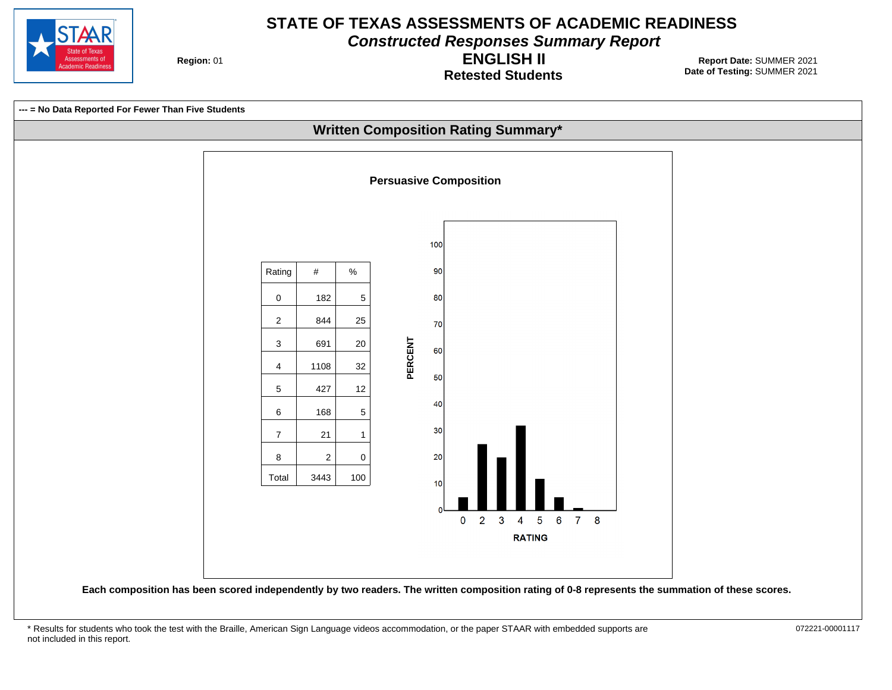

**Constructed Responses Summary Report**

**Region: 01** 

**Retested Students ENGLISH II**



<sup>\*</sup> Results for students who took the test with the Braille, American Sign Language videos accommodation, or the paper STAAR with embedded supports are 072221-00001117 not included in this report.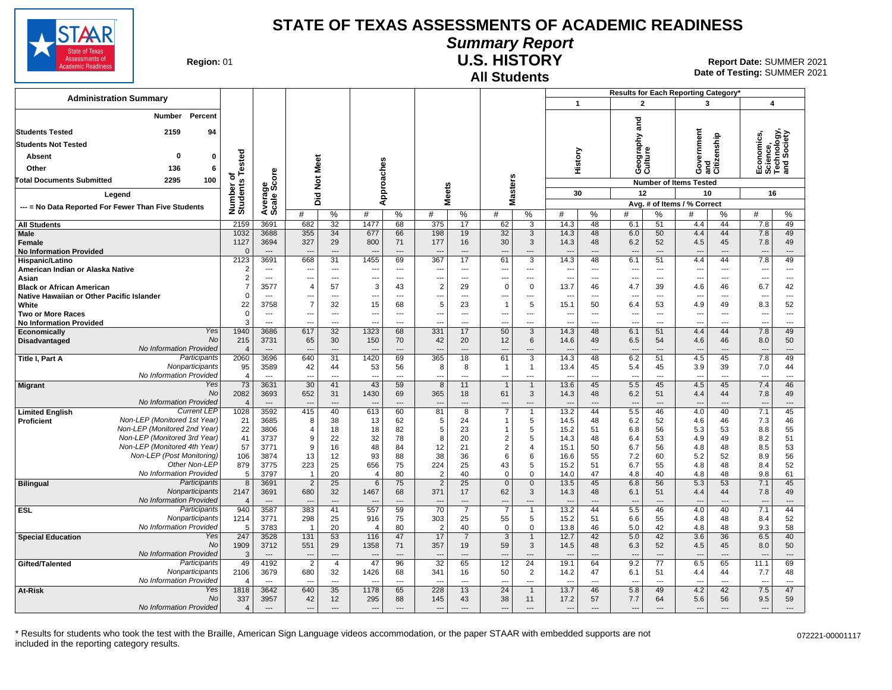

#### **Summary Report**

**Region: 01** 

#### **All Students U.S. HISTORY**

**Date of Testing:**  SUMMER 2021 01 **Report Date:** SUMMER 2021

|                                                                                            |                               |                                  |                                 |                                |                                  |                                |                                |                                  |                                            |                       |                                  |                                | Results for Each Reporting Category* |                                |                                   |           |                                                      |                                |
|--------------------------------------------------------------------------------------------|-------------------------------|----------------------------------|---------------------------------|--------------------------------|----------------------------------|--------------------------------|--------------------------------|----------------------------------|--------------------------------------------|-----------------------|----------------------------------|--------------------------------|--------------------------------------|--------------------------------|-----------------------------------|-----------|------------------------------------------------------|--------------------------------|
| <b>Administration Summary</b>                                                              |                               |                                  |                                 |                                |                                  |                                |                                |                                  |                                            |                       | $\mathbf{1}$                     |                                | $\overline{2}$                       |                                | $\overline{\mathbf{3}}$           |           | $\overline{\mathbf{4}}$                              |                                |
| Percent<br><b>Number</b>                                                                   |                               |                                  |                                 |                                |                                  |                                |                                |                                  |                                            |                       |                                  |                                |                                      |                                |                                   |           |                                                      |                                |
| <b>Students Tested</b><br>2159<br>94                                                       |                               |                                  |                                 |                                |                                  |                                |                                |                                  |                                            |                       |                                  |                                | ត<br>ត                               |                                |                                   |           |                                                      |                                |
| <b>Students Not Tested</b>                                                                 |                               |                                  |                                 |                                |                                  |                                |                                |                                  |                                            |                       |                                  |                                | ξ                                    |                                | Government<br>and<br>Citizenship  |           | Economics,<br>Science,<br>Technology,<br>and Society |                                |
| $\mathbf 0$<br>0<br>Absent                                                                 |                               |                                  |                                 |                                |                                  |                                |                                |                                  |                                            |                       |                                  |                                | Geograp<br>Culture                   |                                |                                   |           |                                                      |                                |
| Other<br>136<br>6                                                                          |                               |                                  |                                 |                                |                                  |                                |                                |                                  |                                            |                       | History                          |                                |                                      |                                |                                   |           |                                                      |                                |
| <b>Total Documents Submitted</b><br>2295<br>100                                            |                               |                                  |                                 |                                |                                  |                                |                                |                                  |                                            |                       |                                  |                                |                                      |                                |                                   |           |                                                      |                                |
|                                                                                            | Number of<br>Students Tested  |                                  | Did Not Meet                    |                                | pproaches                        |                                | <b>Meets</b>                   |                                  | Masters                                    |                       |                                  |                                |                                      |                                | <b>Number of Items Tested</b>     |           |                                                      |                                |
| Legend                                                                                     |                               |                                  |                                 |                                | ⋖                                |                                |                                |                                  |                                            |                       | 30                               |                                | 12                                   |                                | 10<br>Avg. # of Items / % Correct |           | 16                                                   |                                |
| --- = No Data Reported For Fewer Than Five Students                                        |                               | Average<br>Scale Score           | #                               | $\%$                           | #                                | $\%$                           | #                              | %                                | #                                          | %                     | #                                | %                              | #                                    | %                              | #                                 | $\%$      | #                                                    | %                              |
| <b>All Students</b>                                                                        | 2159                          | 3691                             | 682                             | 32                             | 1477                             | 68                             | 375                            | 17                               | 62                                         | 3                     | 14.3                             | 48                             | 6.1                                  | 51                             | 4.4                               | 44        | 7.8                                                  | 49                             |
| Male                                                                                       | 1032                          | 3688                             | 355                             | 34                             | 677                              | 66                             | 198                            | 19                               | 32                                         | 3                     | 14.3                             | 48                             | 6.0                                  | 50                             | 4.4                               | 44        | 7.8                                                  | 49                             |
| Female<br><b>No Information Provided</b>                                                   | 1127<br>$\mathbf{0}$          | 3694<br>$\overline{\phantom{a}}$ | 327<br>$\overline{a}$           | 29<br>$---$                    | 800<br>$\overline{a}$            | 71<br>$---$                    | 177<br>$\overline{a}$          | 16<br>$\overline{\phantom{a}}$   | 30<br>---                                  | 3<br>---              | 14.3<br>$\overline{a}$           | 48<br>$\overline{\phantom{a}}$ | 6.2<br>$---$                         | 52<br>$---$                    | 4.5<br>$\overline{\phantom{a}}$   | 45<br>--- | 7.8<br>$\overline{\phantom{a}}$                      | 49<br>$\overline{\phantom{a}}$ |
| Hispanic/Latino                                                                            | 2123                          | 3691                             | 668                             | $\overline{31}$                | 1455                             | 69                             | 367                            | 17                               | 61                                         | 3                     | 14.3                             | 48                             | 6.1                                  | 51                             | 4.4                               | 44        | 7.8                                                  | 49                             |
| American Indian or Alaska Native                                                           | $\overline{2}$                | $---$                            | ---                             | $---$                          | ---                              | ---                            | ---                            | $\overline{a}$                   | $\overline{\phantom{a}}$                   | $\overline{a}$        | ---                              | $\overline{a}$                 | $\overline{\phantom{a}}$             | $\overline{a}$                 | $\overline{\phantom{a}}$          | ---       | ---                                                  | $---$                          |
| Asian                                                                                      | 2                             | $\sim$                           | ---                             | $\sim$                         | ---                              | $\overline{\phantom{a}}$       | ---                            | $\overline{a}$                   | $\overline{a}$                             | ---                   | ---                              | $\overline{a}$                 | $\overline{\phantom{a}}$             | $\sim$                         | ---                               | ---       | ---                                                  | ---                            |
| <b>Black or African American</b><br>Native Hawaiian or Other Pacific Islander              | $\overline{7}$<br>$\mathbf 0$ | 3577<br>---                      | $\overline{4}$<br>---           | 57<br>$\overline{\phantom{a}}$ | 3<br>---                         | 43<br>---                      | $\overline{2}$<br>---          | 29<br>$\overline{a}$             | $\mathbf 0$<br>---                         | $\mathbf 0$<br>---    | 13.7<br>$\overline{\phantom{a}}$ | 46<br>---                      | 4.7<br>---                           | 39<br>$\overline{a}$           | 4.6<br>---                        | 46<br>--- | 6.7<br>---                                           | 42<br>$\overline{\phantom{a}}$ |
| White                                                                                      | 22                            | 3758                             | $\overline{7}$                  | 32                             | 15                               | 68                             | 5                              | 23                               | $\overline{1}$                             | 5                     | 15.1                             | 50                             | 6.4                                  | 53                             | 4.9                               | 49        | 8.3                                                  | 52                             |
| <b>Two or More Races</b>                                                                   | $\Omega$                      | $\overline{\phantom{a}}$         | $---$                           | $---$                          | $\overline{\phantom{a}}$         | ---                            | ---                            | $\overline{a}$                   | $\overline{\phantom{a}}$                   | ---                   | $\hspace{0.05cm} \ldots$         | ---                            | $---$                                | ---                            | $\overline{\phantom{a}}$          | ---       | $\overline{\phantom{a}}$                             | ---                            |
| <b>No Information Provided</b>                                                             | 3                             | ---                              | $\overline{a}$                  | $---$                          | ---                              | $\overline{a}$                 | ---                            | $\overline{a}$                   | $\overline{\phantom{a}}$                   | ---                   | ---                              | ---                            | $\overline{a}$                       | $\overline{a}$                 | ---                               | ---       | ---                                                  | ---                            |
| Yes<br>Economically<br>No<br><b>Disadvantaged</b>                                          | 1940<br>215                   | 3686<br>3731                     | 617<br>65                       | $\overline{32}$<br>30          | 1323<br>150                      | 68<br>70                       | 331<br>42                      | 17<br>20                         | 50<br>12                                   | $\overline{3}$<br>6   | 14.3<br>14.6                     | 48<br>49                       | 6.1<br>6.5                           | 51<br>54                       | 4.4<br>4.6                        | 44<br>46  | 7.8<br>8.0                                           | 49<br>50                       |
| No Information Provided                                                                    | $\overline{4}$                | $\overline{\phantom{a}}$         | ---                             | $\overline{\phantom{a}}$       | ---                              | ---                            | $\overline{a}$                 | $\overline{a}$                   | ---                                        | ---                   | $\overline{a}$                   | $\overline{a}$                 | $\overline{\phantom{a}}$             | $\overline{\phantom{a}}$       | ---                               | ---       | $\overline{a}$                                       | ---                            |
| Participants<br>Title I, Part A                                                            | 2060                          | 3696                             | 640                             | 31                             | 1420                             | 69                             | 365                            | 18                               | 61                                         | 3                     | 14.3                             | 48                             | 6.2                                  | 51                             | 4.5                               | 45        | 7.8                                                  | 49                             |
| Nonparticipants<br>No Information Provided                                                 | 95                            | 3589<br>$\overline{a}$           | 42<br>$\sim$                    | 44<br>$\overline{a}$           | 53<br>---                        | 56<br>$\sim$                   | 8<br>---                       | 8<br>$\overline{a}$              | $\mathbf{1}$                               | $\overline{1}$<br>--- | 13.4<br>$\overline{a}$           | 45<br>$\overline{a}$           | 5.4<br>$\overline{a}$                | 45<br>$\overline{a}$           | 3.9<br>$\overline{\phantom{a}}$   | 39<br>--- | 7.0<br>$\overline{a}$                                | 44<br>$\overline{a}$           |
| Yes<br><b>Migrant</b>                                                                      | $\overline{4}$<br>73          | 3631                             | 30                              | 41                             | 43                               | 59                             | 8                              | 11                               | ---<br>$\mathbf{1}$                        | $\overline{1}$        | 13.6                             | 45                             | 5.5                                  | 45                             | 4.5                               | 45        | 7.4                                                  | 46                             |
| <b>No</b>                                                                                  | 2082                          | 3693                             | 652                             | 31                             | 1430                             | 69                             | 365                            | 18                               | 61                                         | 3                     | 14.3                             | 48                             | 6.2                                  | 51                             | 4.4                               | 44        | 7.8                                                  | 49                             |
| No Information Provided                                                                    | $\overline{4}$                | $---$                            | $---$                           | $---$                          | $\sim$                           | $---$                          | $\overline{a}$                 | $\overline{a}$                   | $\overline{\phantom{a}}$                   | $\overline{a}$        | $---$                            | $---$                          | $---$                                | $\overline{a}$                 | $\overline{\phantom{a}}$          | ---       | $\overline{\phantom{a}}$                             | $---$                          |
| <b>Current LEP</b><br><b>Limited English</b><br>Non-LEP (Monitored 1st Year)<br>Proficient | 1028<br>21                    | 3592<br>3685                     | 415<br>8                        | 40<br>38                       | 613<br>13                        | 60<br>62                       | 81<br>5                        | 8<br>24                          | $\overline{7}$<br>$\mathbf{1}$             | 1<br>5                | 13.2<br>14.5                     | 44<br>48                       | 5.5<br>6.2                           | 46<br>52                       | 4.0<br>4.6                        | 40<br>46  | 7.1<br>7.3                                           | 45<br>46                       |
| Non-LEP (Monitored 2nd Year)                                                               | 22                            | 3806                             | $\overline{4}$                  | 18                             | 18                               | 82                             | 5                              | 23                               | $\mathbf{1}$                               | 5                     | 15.2                             | 51                             | 6.8                                  | 56                             | 5.3                               | 53        | 8.8                                                  | 55                             |
| Non-LEP (Monitored 3rd Year)                                                               | 41                            | 3737                             | 9                               | 22                             | 32                               | 78                             | 8                              | 20                               | $\overline{2}$                             | 5                     | 14.3                             | 48                             | 6.4                                  | 53                             | 4.9                               | 49        | 8.2                                                  | 51                             |
| Non-LEP (Monitored 4th Year)                                                               | 57                            | 3771                             | 9                               | 16                             | 48                               | 84                             | 12                             | 21                               | $\overline{2}$                             | $\overline{4}$        | 15.1                             | 50                             | 6.7                                  | 56                             | 4.8                               | 48        | 8.5                                                  | 53                             |
| Non-LEP (Post Monitoring)<br>Other Non-LEP                                                 | 106<br>879                    | 3874<br>3775                     | 13<br>223                       | 12<br>25                       | 93<br>656                        | 88<br>75                       | 38<br>224                      | 36<br>25                         | 6<br>43                                    | 6<br>5                | 16.6<br>15.2                     | 55<br>51                       | 7.2<br>6.7                           | 60<br>55                       | 5.2<br>4.8                        | 52<br>48  | 8.9<br>8.4                                           | 56<br>52                       |
| No Information Provided                                                                    | 5                             | 3797                             | -1                              | 20                             | $\overline{4}$                   | 80                             | $\overline{2}$                 | 40                               | $\mathbf 0$                                | $\mathbf 0$           | 14.0                             | 47                             | 4.8                                  | 40                             | 4.8                               | 48        | 9.8                                                  | 61                             |
| Participants<br><b>Bilingual</b>                                                           | 8                             | 3691                             | $\overline{2}$                  | $\overline{25}$                | 6                                | 75                             | $\overline{2}$                 | 25                               | $\mathbf{0}$                               | $\mathbf{0}$          | 13.5                             | 45                             | 6.8                                  | 56                             | 5.3                               | 53        | 7.1                                                  | 45                             |
| Nonparticipants                                                                            | 2147                          | 3691                             | 680                             | 32                             | 1467                             | 68                             | 371                            | 17                               | 62                                         | 3                     | 14.3                             | 48                             | 6.1                                  | 51                             | 4.4                               | 44        | 7.8                                                  | 49                             |
| No Information Provided<br>Participants<br><b>ESL</b>                                      | $\overline{4}$<br>940         | 3587                             | 383                             | 41                             | --<br>557                        | 59                             | $\overline{\phantom{a}}$<br>70 | $\overline{a}$<br>$\overline{7}$ | $\overline{\phantom{a}}$<br>$\overline{7}$ | ---<br>-1             | $\overline{\phantom{a}}$<br>13.2 | $\overline{\phantom{a}}$<br>44 | $\overline{\phantom{a}}$<br>5.5      | 46                             | ---<br>4.0                        | 40        | $\overline{\phantom{a}}$<br>7.1                      | ---<br>44                      |
| Nonparticipants                                                                            | 1214                          | 3771                             | 298                             | 25                             | 916                              | 75                             | 303                            | 25                               | 55                                         | 5                     | 15.2                             | 51                             | 6.6                                  | 55                             | 4.8                               | 48        | 8.4                                                  | 52                             |
| No Information Provided                                                                    | 5                             | 3783                             | $\overline{1}$                  | 20                             | $\overline{4}$                   | 80                             | $\overline{2}$                 | 40                               | $\mathbf 0$                                | $\mathbf 0$           | 13.8                             | 46                             | 5.0                                  | 42                             | 4.8                               | 48        | 9.3                                                  | 58                             |
| Yes<br><b>Special Education</b>                                                            | 247                           | 3528                             | 131                             | 53                             | 116                              | 47                             | 17                             | $\overline{7}$                   | $\overline{3}$                             | $\overline{1}$        | 12.7                             | 42                             | 5.0                                  | 42                             | 3.6                               | 36        | 6.5                                                  | 40                             |
| No<br>No Information Provided                                                              | 1909<br>3                     | 3712<br>$\qquad \qquad \cdots$   | 551<br>$\overline{\phantom{a}}$ | 29<br>$\overline{\phantom{a}}$ | 1358<br>$\overline{\phantom{a}}$ | 71<br>$\overline{\phantom{a}}$ | 357<br>---                     | 19<br>$\overline{a}$             | 59<br>$\overline{\phantom{a}}$             | 3<br>---              | 14.5<br>$\overline{\phantom{a}}$ | 48<br>$\overline{\phantom{a}}$ | 6.3<br>$\overline{\phantom{a}}$      | 52<br>$\overline{\phantom{a}}$ | 4.5<br>$\overline{\phantom{a}}$   | 45<br>--- | 8.0<br>$\overline{\phantom{a}}$                      | 50<br>$\overline{\phantom{a}}$ |
| Participants<br>Gifted/Talented                                                            | 49                            | 4192                             | $\overline{2}$                  | $\overline{4}$                 | 47                               | 96                             | $\overline{32}$                | 65                               | $\overline{12}$                            | $\overline{24}$       | 19.1                             | 64                             | 9.2                                  | 77                             | 6.5                               | 65        | 11.1                                                 | 69                             |
| Nonparticipants                                                                            | 2106                          | 3679                             | 680                             | 32                             | 1426                             | 68                             | 341                            | 16                               | 50                                         | $\overline{2}$        | 14.2                             | 47                             | 6.1                                  | 51                             | 4.4                               | 44        | 7.7                                                  | 48                             |
| <b>No Information Provided</b>                                                             | $\overline{4}$                | $\overline{a}$                   |                                 | $\overline{a}$                 | $\overline{a}$                   | $\sim$                         |                                | $\sim$                           |                                            | ---                   | $\overline{a}$                   | $\overline{a}$                 | $\overline{a}$                       | $\overline{\phantom{a}}$       | $\overline{a}$                    | $\sim$    | $\overline{a}$                                       | $\overline{a}$                 |
| Yes<br>At-Risk<br>No                                                                       | 1818<br>337                   | 3642<br>3957                     | 640<br>42                       | 35<br>12                       | 1178<br>295                      | 65<br>88                       | 228<br>145                     | 13<br>43                         | 24<br>38                                   | $\overline{1}$<br>11  | 13.7<br>17.2                     | 46<br>57                       | 5.8<br>7.7                           | 49<br>64                       | 4.2<br>5.6                        | 42<br>56  | 7.5<br>9.5                                           | 47<br>59                       |
| No Information Provided                                                                    | $\overline{4}$                | $---$                            | $\overline{a}$                  | $---$                          | $\overline{\phantom{a}}$         | $---$                          | $\overline{\phantom{a}}$       | $\cdots$                         | $\overline{\phantom{a}}$                   | ---                   | $\overline{\phantom{a}}$         | $\overline{\phantom{a}}$       | $\overline{\phantom{a}}$             | $\overline{\phantom{a}}$       | $\overline{\phantom{a}}$          | ---       | ---                                                  | ---                            |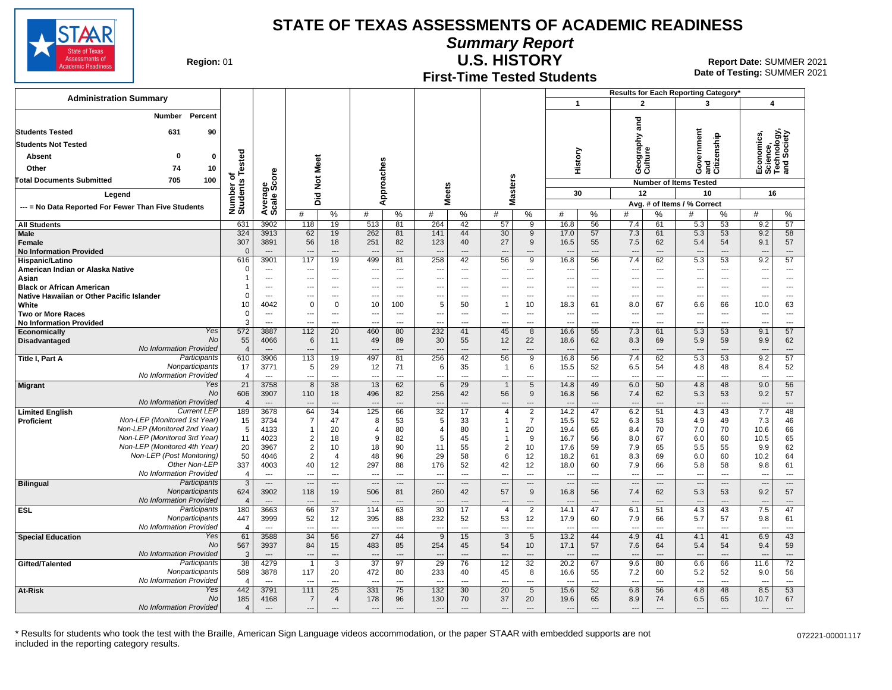**Summary Report**

Assessments of demic Readines

**Region: 01** 

# **First-Time Tested Students**

**U.S. HISTORY** Report Date: SUMMER 2021 **Date of Testing:**  SUMMER 2021

|                                                     |                                                              |                                 |                          |                          |                                |                          |                          |                                 |                                 |                      |                          |                                            |                                  |                      | Results for Each Reporting Category' |                                |                                 |                      |                                             |                                |  |
|-----------------------------------------------------|--------------------------------------------------------------|---------------------------------|--------------------------|--------------------------|--------------------------------|--------------------------|--------------------------|---------------------------------|---------------------------------|----------------------|--------------------------|--------------------------------------------|----------------------------------|----------------------|--------------------------------------|--------------------------------|---------------------------------|----------------------|---------------------------------------------|--------------------------------|--|
| <b>Administration Summary</b>                       |                                                              |                                 |                          |                          |                                |                          |                          |                                 |                                 |                      |                          |                                            | $\mathbf{1}$                     |                      | $\overline{2}$                       |                                | 3                               |                      | $\overline{\mathbf{4}}$                     |                                |  |
|                                                     | Number                                                       | Percent                         |                          |                          |                                |                          |                          |                                 |                                 |                      |                          |                                            |                                  |                      |                                      |                                |                                 |                      |                                             |                                |  |
| <b>Students Tested</b>                              | 631                                                          | 90                              |                          |                          |                                |                          |                          |                                 |                                 |                      |                          |                                            |                                  |                      | and                                  |                                |                                 |                      |                                             |                                |  |
| <b>Students Not Tested</b>                          |                                                              |                                 |                          |                          |                                |                          |                          |                                 |                                 |                      |                          |                                            |                                  | ξ                    |                                      |                                |                                 |                      |                                             |                                |  |
| <b>Absent</b>                                       | 0                                                            | $\bf{0}$                        |                          |                          |                                |                          |                          |                                 |                                 |                      |                          |                                            |                                  |                      |                                      |                                |                                 |                      | conomics,                                   | thrology,<br>I Society         |  |
| Other                                               | 74                                                           | 10                              | ested                    |                          |                                |                          |                          |                                 |                                 |                      |                          |                                            | History                          |                      | Geograp<br>Culture                   |                                | Government                      | and<br>Citizenship   | Economi<br>Science,<br>Technolo<br>and Soci |                                |  |
| <b>Total Documents Submitted</b>                    | 705                                                          | 100                             |                          | Average<br>Scale Score   |                                | Not Meet                 |                          | Approaches                      |                                 |                      | s                        |                                            |                                  |                      |                                      |                                | <b>Number of Items Tested</b>   |                      |                                             |                                |  |
| Legend                                              |                                                              |                                 | Number of<br>Students Te |                          |                                |                          |                          |                                 | <b>Meets</b>                    |                      | laster:                  |                                            | 30                               |                      | 12                                   |                                | 10                              |                      | 16                                          |                                |  |
| --- = No Data Reported For Fewer Than Five Students |                                                              |                                 |                          |                          | Did                            |                          |                          |                                 |                                 |                      | Σ                        |                                            |                                  |                      |                                      |                                | Avg. # of Items / % Correct     |                      |                                             |                                |  |
|                                                     |                                                              |                                 |                          |                          | #                              | %                        | #                        | $\%$                            | #                               | %                    | #                        | ℅                                          | #                                | $\%$                 | #                                    | %                              | #                               | %                    | #                                           | %                              |  |
| <b>All Students</b><br>Male                         |                                                              |                                 | 631<br>324               | 3902<br>3913             | 118<br>62                      | 19<br>19                 | 513<br>262               | 81<br>81                        | 264<br>141                      | 42<br>44             | 57<br>30                 | 9<br>9                                     | 16.8<br>17.0                     | 56<br>57             | 7.4<br>7.3                           | 61<br>61                       | 5.3<br>5.3                      | 53<br>53             | 9.2<br>9.2                                  | $\overline{57}$<br>58          |  |
| Female                                              |                                                              |                                 | 307                      | 3891                     | 56                             | 18                       | 251                      | 82                              | 123                             | 40                   | 27                       | 9                                          | 16.5                             | 55                   | 7.5                                  | 62                             | 5.4                             | 54                   | 9.1                                         | 57                             |  |
| <b>No Information Provided</b>                      |                                                              |                                 | $\Omega$                 | $---$                    | $\overline{\phantom{a}}$       | ---                      |                          | $---$                           | $\overline{a}$                  | $---$                | ---                      | ---                                        | $\overline{\phantom{a}}$         | $\overline{a}$       | $\overline{a}$                       | $\overline{a}$                 | $\overline{a}$                  | $---$                | $\overline{\phantom{a}}$                    | ---                            |  |
| Hispanic/Latino<br>American Indian or Alaska Native |                                                              |                                 | 616<br>$\mathbf 0$       | 3901<br>---              | 117                            | 19<br>---                | 499<br>---               | 81<br>$\overline{\phantom{a}}$  | 258<br>$\overline{\phantom{a}}$ | 42<br>$\overline{a}$ | 56<br>---                | $\overline{9}$<br>---                      | 16.8<br>---                      | 56<br>---            | 7.4<br>$\overline{\phantom{a}}$      | 62<br>$\overline{a}$           | 5.3<br>---                      | 53<br>$\overline{a}$ | 9.2<br>$\sim$                               | 57<br>---                      |  |
| Asian                                               |                                                              |                                 | 1                        | $\overline{\phantom{a}}$ |                                | ---                      | ---                      | $\cdots$                        | ---                             | $\overline{a}$       | ---                      | ---                                        | ---                              | ---                  | $\overline{\phantom{a}}$             |                                | ---                             | ---                  | $\overline{\phantom{a}}$                    | ---                            |  |
| <b>Black or African American</b>                    |                                                              |                                 | -1                       | ---                      | ---                            | $\overline{\phantom{a}}$ | ---                      | $\overline{\phantom{a}}$        | $\overline{\phantom{a}}$        | $\overline{a}$       | ---                      | ---                                        | ---                              | ---                  | $\overline{\phantom{a}}$             |                                | ---                             | ---                  | $\overline{\phantom{a}}$                    | ---                            |  |
| Native Hawaiian or Other Pacific Islander<br>White  |                                                              |                                 | $\Omega$<br>10           | ---<br>4042              | $---$<br>$\mathbf 0$           | ---<br>$\mathbf 0$       | ---<br>10                | $\overline{\phantom{a}}$<br>100 | $\overline{\phantom{a}}$<br>5   | $\overline{a}$<br>50 | ---<br>$\overline{1}$    | $\overline{a}$<br>10                       | $\overline{\phantom{a}}$<br>18.3 | ---<br>61            | $\overline{\phantom{a}}$<br>8.0      | ---<br>67                      | ---<br>6.6                      | ---<br>66            | $\overline{\phantom{a}}$<br>10.0            | $\overline{a}$<br>63           |  |
| <b>Two or More Races</b>                            |                                                              |                                 | $\mathbf 0$              | $\ldots$                 | $\overline{\phantom{a}}$       | ---                      | ---                      | $\hspace{0.05cm} \ldots$        | $\overline{\phantom{a}}$        | ---                  | ---                      | ---                                        | $\overline{\phantom{a}}$         | ---                  | $\overline{\phantom{a}}$             | $\overline{\phantom{a}}$       | $\overline{\phantom{a}}$        | $\overline{a}$       | ---                                         | $\overline{\phantom{a}}$       |  |
| <b>No Information Provided</b>                      |                                                              |                                 | 3                        | ---                      |                                | -−                       |                          | $\overline{\phantom{a}}$        |                                 | ---                  | ---                      | ---                                        |                                  | ---                  | $\overline{a}$                       |                                | Ξ.                              | $\overline{a}$       | $\overline{a}$                              | ---                            |  |
| Economically<br>Disadvantaged                       |                                                              | Yes<br><b>No</b>                | 572<br>55                | 3887<br>4066             | 112<br>6                       | $\overline{20}$<br>11    | 460<br>49                | 80<br>89                        | 232<br>30                       | 41<br>55             | 45<br>12                 | 8<br>22                                    | 16.6<br>18.6                     | 55<br>62             | 7.3<br>8.3                           | 61<br>69                       | 5.3<br>5.9                      | 53<br>59             | 9.1<br>9.9                                  | 57<br>62                       |  |
|                                                     | No Information Provided                                      |                                 | $\overline{4}$           | $---$                    |                                | ---                      |                          | $---$                           |                                 | ---                  | ---                      | ---                                        | $\overline{\phantom{a}}$         | $\overline{a}$       | $\overline{a}$                       | $\sim$                         | ---                             | $---$                | $\sim$                                      | ---                            |  |
| Title I, Part A                                     |                                                              | Participants<br>Nonparticipants | 610                      | 3906                     | 113                            | 19                       | 497                      | 81                              | 256                             | 42                   | 56                       | 9                                          | 16.8                             | 56                   | 7.4                                  | 62                             | 5.3                             | 53                   | 9.2                                         | 57                             |  |
|                                                     | No Information Provided                                      |                                 | 17<br>$\overline{4}$     | 3771<br>$\overline{a}$   | 5                              | 29<br>$\sim$             | 12<br>$\overline{a}$     | 71<br>$\sim$                    | 6<br>$\overline{a}$             | 35<br>$\sim$         | $\mathbf{1}$<br>---      | 6<br>---                                   | 15.5                             | 52<br>$\overline{a}$ | 6.5<br>$\overline{a}$                | 54<br>$\overline{a}$           | 4.8<br>$\overline{\phantom{a}}$ | 48<br>$\overline{a}$ | 8.4<br>$\overline{a}$                       | 52<br>$\overline{a}$           |  |
| <b>Migrant</b>                                      |                                                              | Yes                             | 21                       | 3758                     | 8                              | 38                       | 13                       | 62                              | $6\phantom{1}6$                 | 29                   | $\mathbf{1}$             | 5                                          | 14.8                             | 49                   | 6.0                                  | 50                             | 4.8                             | 48                   | 9.0                                         | 56                             |  |
|                                                     | No Information Provided                                      | <b>No</b>                       | 606                      | 3907                     | 110                            | 18<br>---                | 496                      | 82<br>$---$                     | 256<br>$\overline{a}$           | 42<br>$---$          | 56                       | 9                                          | 16.8                             | 56<br>---            | 7.4<br>$\overline{a}$                | 62<br>$---$                    | 5.3                             | 53<br>$---$          | 9.2<br>$\sim$                               | 57<br>$\overline{\phantom{a}}$ |  |
| <b>Limited English</b>                              |                                                              | <b>Current LEP</b>              | $\overline{4}$<br>189    | 3678                     | 64                             | 34                       | 125                      | 66                              | $\overline{32}$                 | 17                   | ---<br>$\overline{4}$    | $\overline{\phantom{a}}$<br>$\overline{2}$ | 14.2                             | 47                   | 6.2                                  | 51                             | $\overline{\phantom{a}}$<br>4.3 | 43                   | 7.7                                         | 48                             |  |
| Proficient                                          | Non-LEP (Monitored 1st Year)                                 |                                 | 15                       | 3734                     | 7                              | 47                       | 8                        | 53                              | 5                               | 33                   | $\mathbf{1}$             | $\overline{7}$                             | 15.5                             | 52                   | 6.3                                  | 53                             | 4.9                             | 49                   | 7.3                                         | 46                             |  |
|                                                     | Non-LEP (Monitored 2nd Year)<br>Non-LEP (Monitored 3rd Year) |                                 | 5<br>11                  | 4133<br>4023             | $\mathbf{1}$<br>$\overline{2}$ | 20<br>18                 | $\overline{4}$<br>9      | 80<br>82                        | $\overline{4}$<br>5             | 80<br>45             | 1<br>1                   | 20<br>9                                    | 19.4<br>16.7                     | 65<br>56             | 8.4<br>8.0                           | 70<br>67                       | 7.0<br>6.0                      | 70<br>60             | 10.6<br>10.5                                | 66<br>65                       |  |
|                                                     | Non-LEP (Monitored 4th Year)                                 |                                 | 20                       | 3967                     | $\overline{2}$                 | 10                       | 18                       | 90                              | 11                              | 55                   | $\overline{2}$           | 10                                         | 17.6                             | 59                   | 7.9                                  | 65                             | 5.5                             | 55                   | 9.9                                         | 62                             |  |
|                                                     | Non-LEP (Post Monitoring)                                    |                                 | 50                       | 4046                     | 2                              | $\overline{4}$           | 48                       | 96                              | 29                              | 58                   | 6                        | 12                                         | 18.2                             | 61                   | 8.3                                  | 69                             | 6.0                             | 60                   | 10.2                                        | 64                             |  |
|                                                     | No Information Provided                                      | Other Non-LEP                   | 337<br>$\overline{4}$    | 4003<br>$\sim$           | 40<br>$\overline{\phantom{a}}$ | 12<br>$\overline{a}$     | 297<br>$\overline{a}$    | 88<br>$\overline{\phantom{a}}$  | 176<br>$\overline{a}$           | 52<br>$\overline{a}$ | 42<br>---                | 12<br>$\overline{a}$                       | 18.0<br>$\overline{\phantom{a}}$ | 60<br>$\overline{a}$ | 7.9<br>$\overline{a}$                | 66<br>$\sim$                   | 5.8<br>$\overline{\phantom{a}}$ | 58<br>$\overline{a}$ | 9.8<br>--                                   | 61<br>$\overline{a}$           |  |
| <b>Bilingual</b>                                    |                                                              | Participants                    | $\overline{3}$           | $\hspace{0.05cm} \ldots$ | $\overline{\phantom{a}}$       | ---                      | $\overline{\phantom{a}}$ | $\qquad \qquad \cdots$          | $\overline{\phantom{a}}$        | ---                  | $\overline{\phantom{a}}$ | ---                                        | $\overline{\phantom{a}}$         | ---                  | $\overline{\phantom{a}}$             | $\cdots$                       | $\overline{\phantom{a}}$        | ---                  | $\overline{\phantom{a}}$                    | $---$                          |  |
|                                                     |                                                              | Nonparticipants                 | 624                      | 3902                     | 118                            | 19                       | 506                      | 81                              | 260                             | 42                   | 57                       | 9                                          | 16.8                             | 56                   | 7.4                                  | 62                             | 5.3                             | 53                   | 9.2                                         | 57                             |  |
| <b>ESL</b>                                          | No Information Provided                                      | Participants                    | $\overline{4}$<br>180    | 3663                     | 66                             | $\overline{37}$          | 114                      | 63                              | 30                              | 17                   | ---<br>$\overline{4}$    | ---<br>$\overline{2}$                      | 14.1                             | ---<br>47            | $\overline{a}$<br>6.1                | 51                             | ---<br>4.3                      | 43                   | $\overline{\phantom{a}}$<br>7.5             | ---<br>47                      |  |
|                                                     |                                                              | Nonparticipants                 | 447                      | 3999                     | 52                             | 12                       | 395                      | 88                              | 232                             | 52                   | 53                       | 12                                         | 17.9                             | 60                   | 7.9                                  | 66                             | 5.7                             | 57                   | 9.8                                         | 61                             |  |
|                                                     | No Information Provided                                      |                                 | $\overline{4}$           |                          | $\overline{a}$                 | $\overline{a}$           | Ξ.                       | ---                             |                                 | ---                  | --                       | ---                                        |                                  | ---                  | $\overline{a}$                       |                                | $\overline{\phantom{a}}$        | $\overline{a}$       |                                             | ---                            |  |
| <b>Special Education</b>                            |                                                              | Yes<br>No                       | 61<br>567                | 3588<br>3937             | 34<br>84                       | 56<br>15                 | 27<br>483                | 44<br>85                        | 9<br>254                        | 15<br>45             | $\mathbf{3}$<br>54       | 5<br>10                                    | 13.2<br>17.1                     | 44<br>57             | 4.9<br>7.6                           | 41<br>64                       | 4.1<br>5.4                      | 41<br>54             | 6.9<br>9.4                                  | 43<br>59                       |  |
|                                                     | No Information Provided                                      |                                 | 3                        | $---$                    | $---$                          | $\overline{a}$           | $---$                    | $\overline{\phantom{a}}$        | $---$                           | $\overline{a}$       | ---                      | $\overline{a}$                             | $\overline{\phantom{a}}$         | $\overline{a}$       | $\overline{a}$                       | $\overline{a}$                 | $\overline{\phantom{a}}$        | $---$                | $\sim$                                      | $\qquad \qquad \cdots$         |  |
| Gifted/Talented                                     |                                                              | Participants                    | 38                       | 4279                     | $\overline{1}$                 | $\overline{3}$           | 37                       | $\overline{97}$                 | 29                              | 76                   | $\overline{12}$          | $\overline{32}$                            | 20.2                             | 67                   | 9.6                                  | 80                             | 6.6                             | 66                   | 11.6                                        | 72                             |  |
|                                                     | No Information Provided                                      | Nonparticipants                 | 589<br>$\overline{4}$    | 3878<br>$\sim$           | 117                            | 20<br>$\overline{a}$     | 472<br>$\overline{a}$    | 80<br>$\overline{\phantom{a}}$  | 233<br>$\overline{a}$           | 40<br>$\overline{a}$ | 45<br>---                | 8<br>---                                   | 16.6<br>$\sim$                   | 55<br>$\overline{a}$ | 7.2<br>$\overline{a}$                | 60<br>$\overline{\phantom{a}}$ | 5.2<br>$\overline{\phantom{a}}$ | 52<br>$\overline{a}$ | 9.0<br>$\overline{a}$                       | 56<br>$\overline{a}$           |  |
| At-Risk                                             |                                                              | Yes                             | 442                      | 3791                     | 111                            | 25                       | 331                      | 75                              | 132                             | 30                   | 20                       | 5                                          | 15.6                             | 52                   | 6.8                                  | 56                             | 4.8                             | 48                   | 8.5                                         | 53                             |  |
|                                                     |                                                              | No                              | 185                      | 4168                     | $\overline{7}$                 | $\overline{4}$           | 178                      | 96                              | 130                             | 70                   | 37                       | 20                                         | 19.6                             | 65                   | 8.9                                  | 74                             | 6.5                             | 65                   | 10.7                                        | 67                             |  |
|                                                     | No Information Provided                                      |                                 | $\overline{4}$           | $---$                    | $\overline{\phantom{a}}$       | ---                      | $\overline{\phantom{a}}$ | $---$                           | $\overline{\phantom{a}}$        | $---$                | ---                      | ---                                        | $\overline{\phantom{a}}$         | ---                  | $\overline{a}$                       | $\overline{\phantom{a}}$       | $\overline{\phantom{a}}$        | $---$                | $\overline{\phantom{a}}$                    | $\overline{\phantom{a}}$       |  |